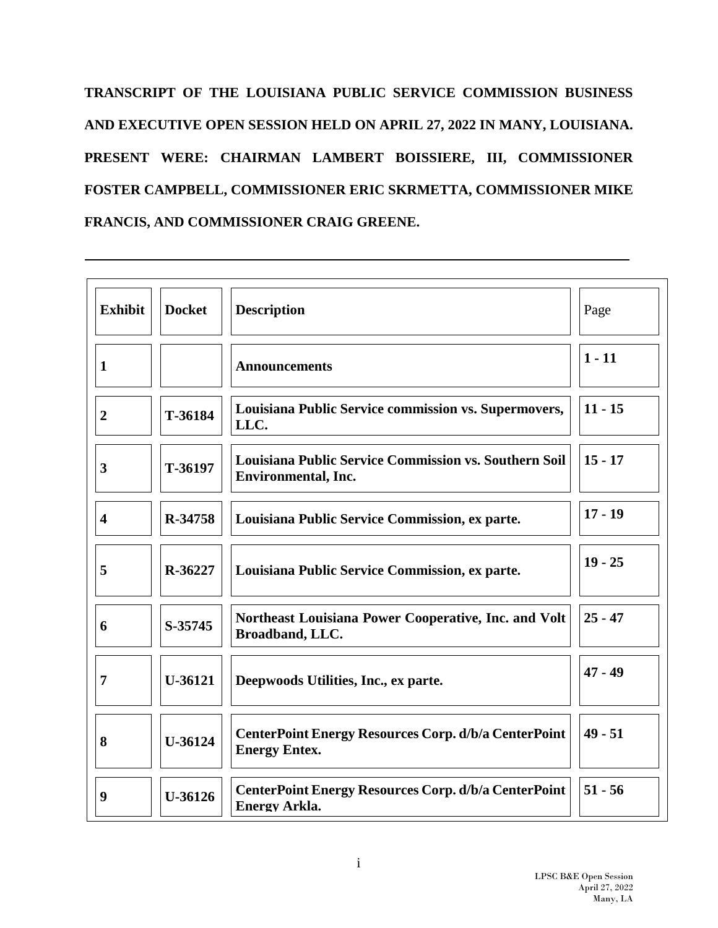**TRANSCRIPT OF THE LOUISIANA PUBLIC SERVICE COMMISSION BUSINESS AND EXECUTIVE OPEN SESSION HELD ON APRIL 27, 2022 IN MANY, LOUISIANA. PRESENT WERE: CHAIRMAN LAMBERT BOISSIERE, III, COMMISSIONER FOSTER CAMPBELL, COMMISSIONER ERIC SKRMETTA, COMMISSIONER MIKE FRANCIS, AND COMMISSIONER CRAIG GREENE.** 

| <b>Exhibit</b>          | <b>Docket</b> | <b>Description</b>                                                                         | Page      |
|-------------------------|---------------|--------------------------------------------------------------------------------------------|-----------|
| 1                       |               | <b>Announcements</b>                                                                       | $1 - 11$  |
| $\overline{2}$          | T-36184       | Louisiana Public Service commission vs. Supermovers,<br>LLC.                               | $11 - 15$ |
| 3                       | T-36197       | <b>Louisiana Public Service Commission vs. Southern Soil</b><br><b>Environmental, Inc.</b> | $15 - 17$ |
| $\overline{\mathbf{4}}$ | R-34758       | Louisiana Public Service Commission, ex parte.                                             | $17 - 19$ |
| 5                       | R-36227       | Louisiana Public Service Commission, ex parte.                                             | $19 - 25$ |
| 6                       | S-35745       | Northeast Louisiana Power Cooperative, Inc. and Volt<br>Broadband, LLC.                    | $25 - 47$ |
| 7                       | U-36121       | Deepwoods Utilities, Inc., ex parte.                                                       | $47 - 49$ |
| 8                       | U-36124       | <b>CenterPoint Energy Resources Corp. d/b/a CenterPoint</b><br><b>Energy Entex.</b>        | $49 - 51$ |
| 9                       | U-36126       | <b>CenterPoint Energy Resources Corp. d/b/a CenterPoint</b><br><b>Energy Arkla.</b>        | $51 - 56$ |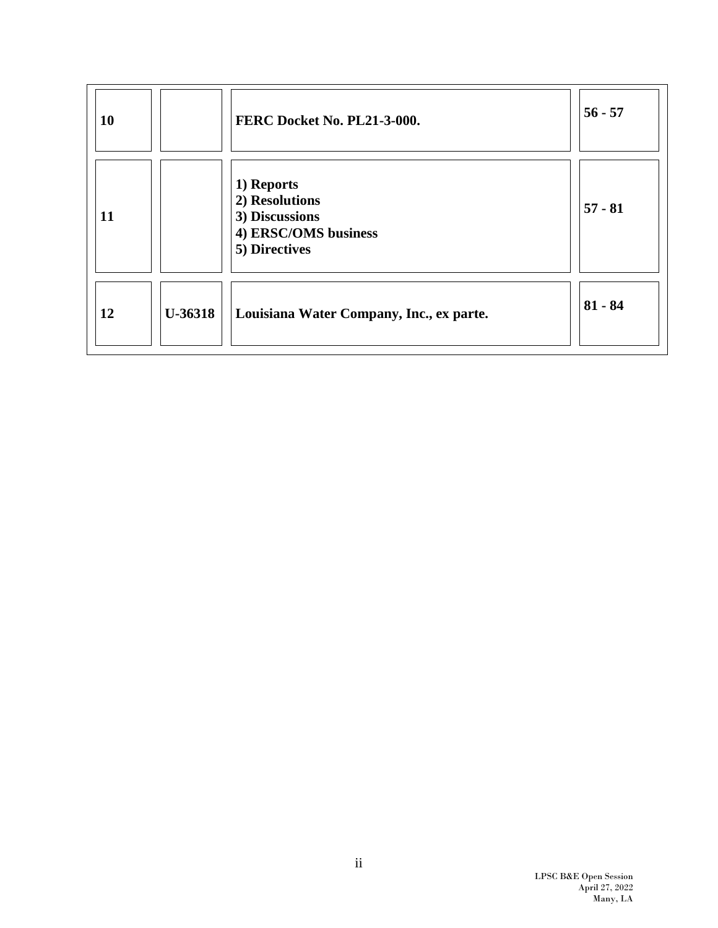| <b>10</b> |                | FERC Docket No. PL21-3-000.                                                             | $56 - 57$ |
|-----------|----------------|-----------------------------------------------------------------------------------------|-----------|
| <b>11</b> |                | 1) Reports<br>2) Resolutions<br>3) Discussions<br>4) ERSC/OMS business<br>5) Directives | $57 - 81$ |
| 12        | <b>U-36318</b> | Louisiana Water Company, Inc., ex parte.                                                | $81 - 84$ |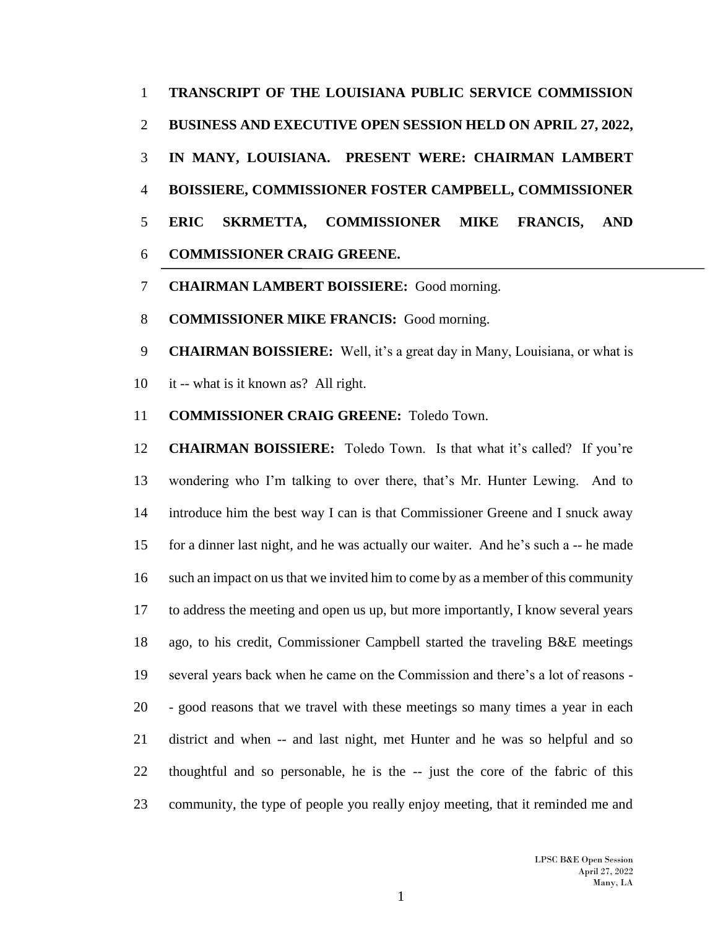**TRANSCRIPT OF THE LOUISIANA PUBLIC SERVICE COMMISSION BUSINESS AND EXECUTIVE OPEN SESSION HELD ON APRIL 27, 2022, IN MANY, LOUISIANA. PRESENT WERE: CHAIRMAN LAMBERT BOISSIERE, COMMISSIONER FOSTER CAMPBELL, COMMISSIONER ERIC SKRMETTA, COMMISSIONER MIKE FRANCIS, AND COMMISSIONER CRAIG GREENE.**

- **CHAIRMAN LAMBERT BOISSIERE:** Good morning.
- **COMMISSIONER MIKE FRANCIS:** Good morning.

**CHAIRMAN BOISSIERE:** Well, it's a great day in Many, Louisiana, or what is

- it -- what is it known as? All right.
- **COMMISSIONER CRAIG GREENE:** Toledo Town.

 **CHAIRMAN BOISSIERE:** Toledo Town. Is that what it's called? If you're wondering who I'm talking to over there, that's Mr. Hunter Lewing. And to introduce him the best way I can is that Commissioner Greene and I snuck away for a dinner last night, and he was actually our waiter. And he's such a -- he made such an impact on us that we invited him to come by as a member of this community to address the meeting and open us up, but more importantly, I know several years ago, to his credit, Commissioner Campbell started the traveling B&E meetings several years back when he came on the Commission and there's a lot of reasons - - good reasons that we travel with these meetings so many times a year in each district and when -- and last night, met Hunter and he was so helpful and so thoughtful and so personable, he is the -- just the core of the fabric of this community, the type of people you really enjoy meeting, that it reminded me and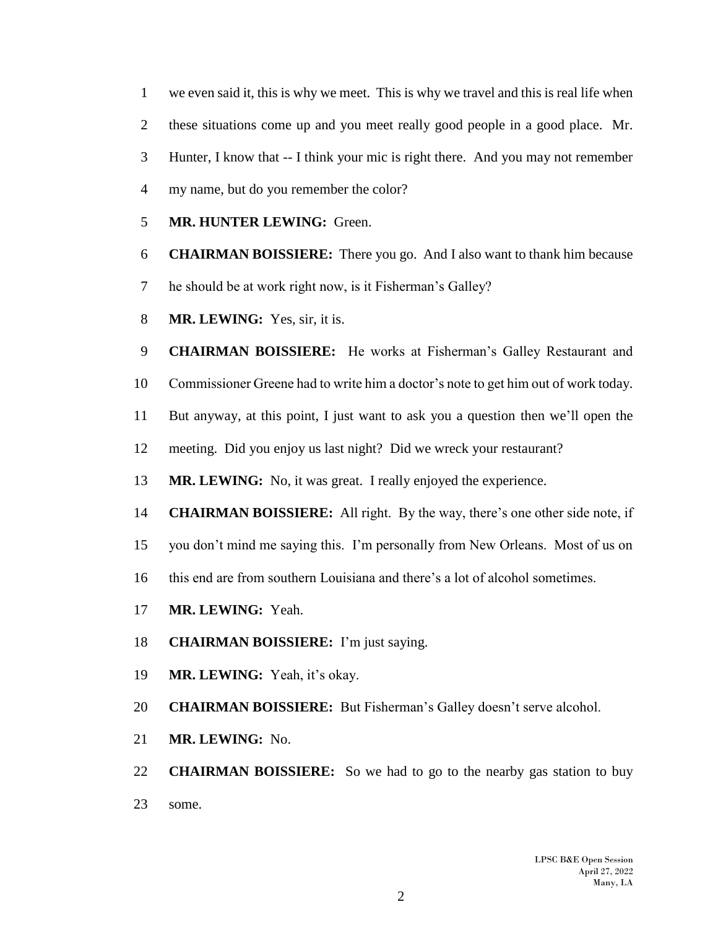we even said it, this is why we meet. This is why we travel and this is real life when these situations come up and you meet really good people in a good place. Mr. Hunter, I know that -- I think your mic is right there. And you may not remember my name, but do you remember the color?

- **MR. HUNTER LEWING:** Green.
- **CHAIRMAN BOISSIERE:** There you go. And I also want to thank him because
- he should be at work right now, is it Fisherman's Galley?
- **MR. LEWING:** Yes, sir, it is.
- **CHAIRMAN BOISSIERE:** He works at Fisherman's Galley Restaurant and
- Commissioner Greene had to write him a doctor's note to get him out of work today.
- But anyway, at this point, I just want to ask you a question then we'll open the
- meeting. Did you enjoy us last night? Did we wreck your restaurant?
- **MR. LEWING:** No, it was great. I really enjoyed the experience.
- **CHAIRMAN BOISSIERE:** All right. By the way, there's one other side note, if
- you don't mind me saying this. I'm personally from New Orleans. Most of us on
- this end are from southern Louisiana and there's a lot of alcohol sometimes.
- **MR. LEWING:** Yeah.
- **CHAIRMAN BOISSIERE:** I'm just saying.
- **MR. LEWING:** Yeah, it's okay.
- **CHAIRMAN BOISSIERE:** But Fisherman's Galley doesn't serve alcohol.
- **MR. LEWING:** No.

 **CHAIRMAN BOISSIERE:** So we had to go to the nearby gas station to buy some.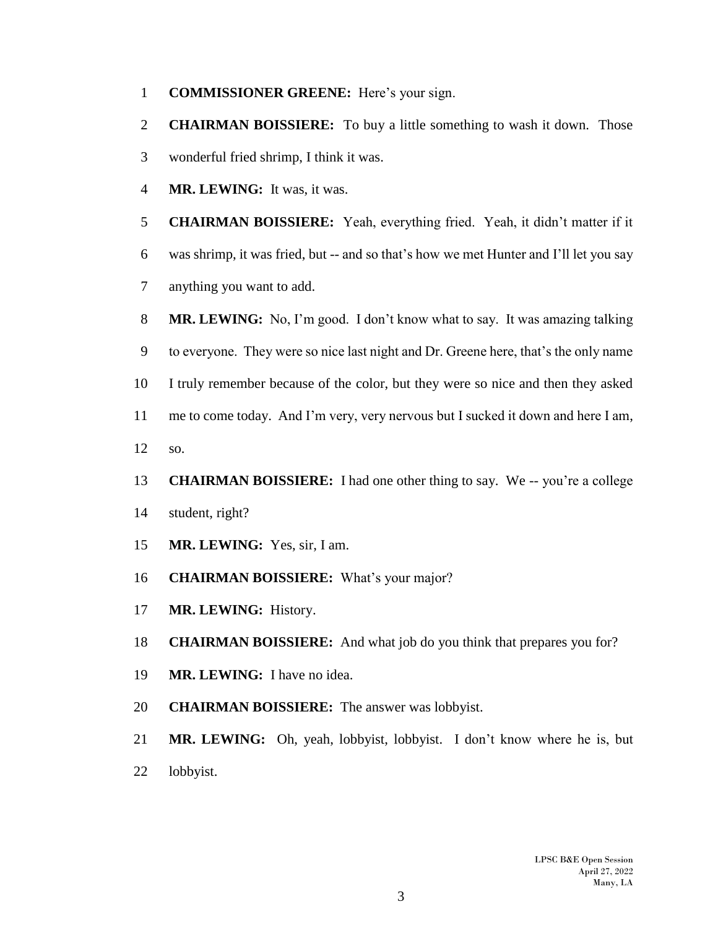- **COMMISSIONER GREENE:** Here's your sign.
- **CHAIRMAN BOISSIERE:** To buy a little something to wash it down. Those wonderful fried shrimp, I think it was.
- **MR. LEWING:** It was, it was.
- **CHAIRMAN BOISSIERE:** Yeah, everything fried. Yeah, it didn't matter if it
- was shrimp, it was fried, but -- and so that's how we met Hunter and I'll let you say
- anything you want to add.
- **MR. LEWING:** No, I'm good. I don't know what to say. It was amazing talking
- to everyone. They were so nice last night and Dr. Greene here, that's the only name
- I truly remember because of the color, but they were so nice and then they asked
- me to come today. And I'm very, very nervous but I sucked it down and here I am,
- so.
- **CHAIRMAN BOISSIERE:** I had one other thing to say. We -- you're a college
- student, right?
- **MR. LEWING:** Yes, sir, I am.
- **CHAIRMAN BOISSIERE:** What's your major?
- **MR. LEWING:** History.
- **CHAIRMAN BOISSIERE:** And what job do you think that prepares you for?
- **MR. LEWING:** I have no idea.
- **CHAIRMAN BOISSIERE:** The answer was lobbyist.
- **MR. LEWING:** Oh, yeah, lobbyist, lobbyist. I don't know where he is, but
- lobbyist.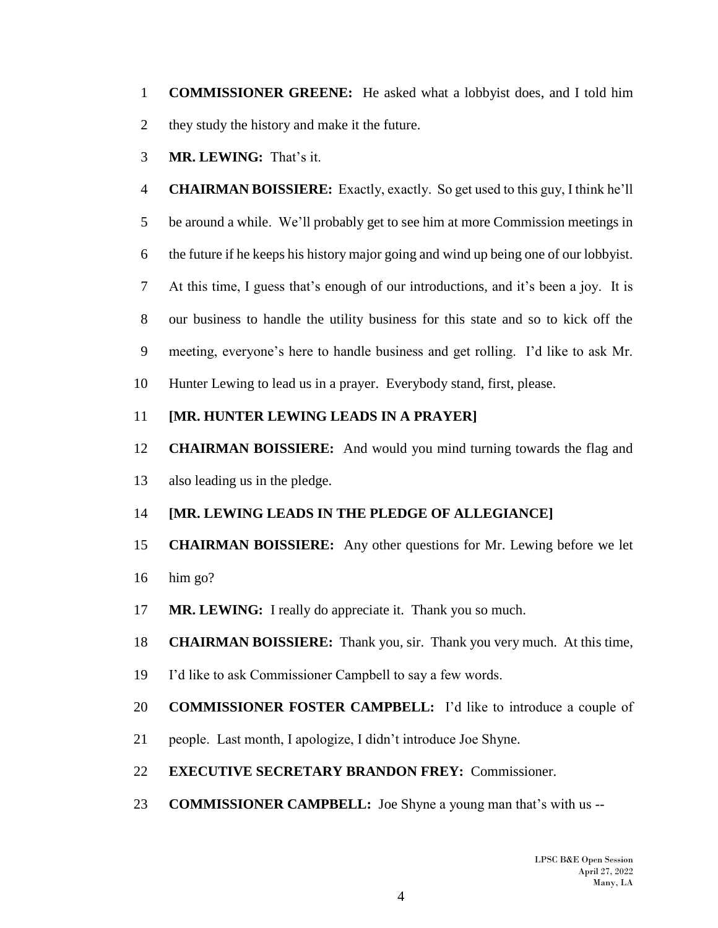**COMMISSIONER GREENE:** He asked what a lobbyist does, and I told him they study the history and make it the future.

**MR. LEWING:** That's it.

 **CHAIRMAN BOISSIERE:** Exactly, exactly. So get used to this guy, I think he'll be around a while. We'll probably get to see him at more Commission meetings in the future if he keeps his history major going and wind up being one of our lobbyist. At this time, I guess that's enough of our introductions, and it's been a joy. It is our business to handle the utility business for this state and so to kick off the meeting, everyone's here to handle business and get rolling. I'd like to ask Mr. Hunter Lewing to lead us in a prayer. Everybody stand, first, please.

## **[MR. HUNTER LEWING LEADS IN A PRAYER]**

 **CHAIRMAN BOISSIERE:** And would you mind turning towards the flag and also leading us in the pledge.

# **[MR. LEWING LEADS IN THE PLEDGE OF ALLEGIANCE]**

# **CHAIRMAN BOISSIERE:** Any other questions for Mr. Lewing before we let

- him go?
- **MR. LEWING:** I really do appreciate it. Thank you so much.
- **CHAIRMAN BOISSIERE:** Thank you, sir. Thank you very much. At this time,
- I'd like to ask Commissioner Campbell to say a few words.
- **COMMISSIONER FOSTER CAMPBELL:** I'd like to introduce a couple of
- people. Last month, I apologize, I didn't introduce Joe Shyne.
- **EXECUTIVE SECRETARY BRANDON FREY:** Commissioner.
- **COMMISSIONER CAMPBELL:** Joe Shyne a young man that's with us --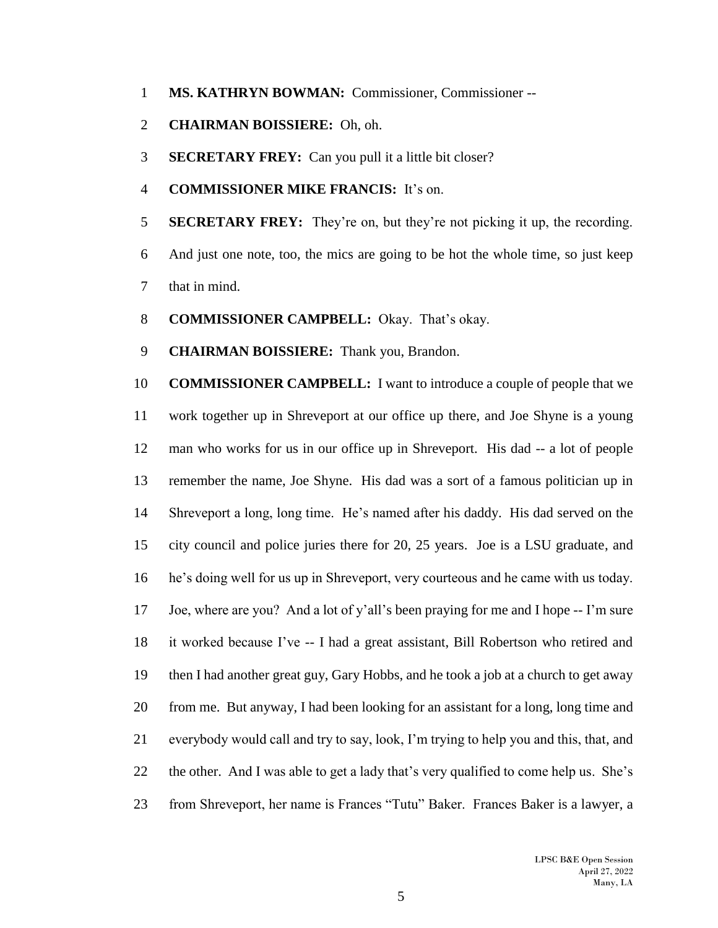- **MS. KATHRYN BOWMAN:** Commissioner, Commissioner --
- **CHAIRMAN BOISSIERE:** Oh, oh.
- **SECRETARY FREY:** Can you pull it a little bit closer?
- **COMMISSIONER MIKE FRANCIS:** It's on.
- **SECRETARY FREY:** They're on, but they're not picking it up, the recording.
- And just one note, too, the mics are going to be hot the whole time, so just keep that in mind.
- **COMMISSIONER CAMPBELL:** Okay. That's okay.
- **CHAIRMAN BOISSIERE:** Thank you, Brandon.

 **COMMISSIONER CAMPBELL:** I want to introduce a couple of people that we work together up in Shreveport at our office up there, and Joe Shyne is a young man who works for us in our office up in Shreveport. His dad -- a lot of people remember the name, Joe Shyne. His dad was a sort of a famous politician up in Shreveport a long, long time. He's named after his daddy. His dad served on the city council and police juries there for 20, 25 years. Joe is a LSU graduate, and he's doing well for us up in Shreveport, very courteous and he came with us today. Joe, where are you? And a lot of y'all's been praying for me and I hope -- I'm sure it worked because I've -- I had a great assistant, Bill Robertson who retired and then I had another great guy, Gary Hobbs, and he took a job at a church to get away from me. But anyway, I had been looking for an assistant for a long, long time and everybody would call and try to say, look, I'm trying to help you and this, that, and the other. And I was able to get a lady that's very qualified to come help us. She's from Shreveport, her name is Frances "Tutu" Baker. Frances Baker is a lawyer, a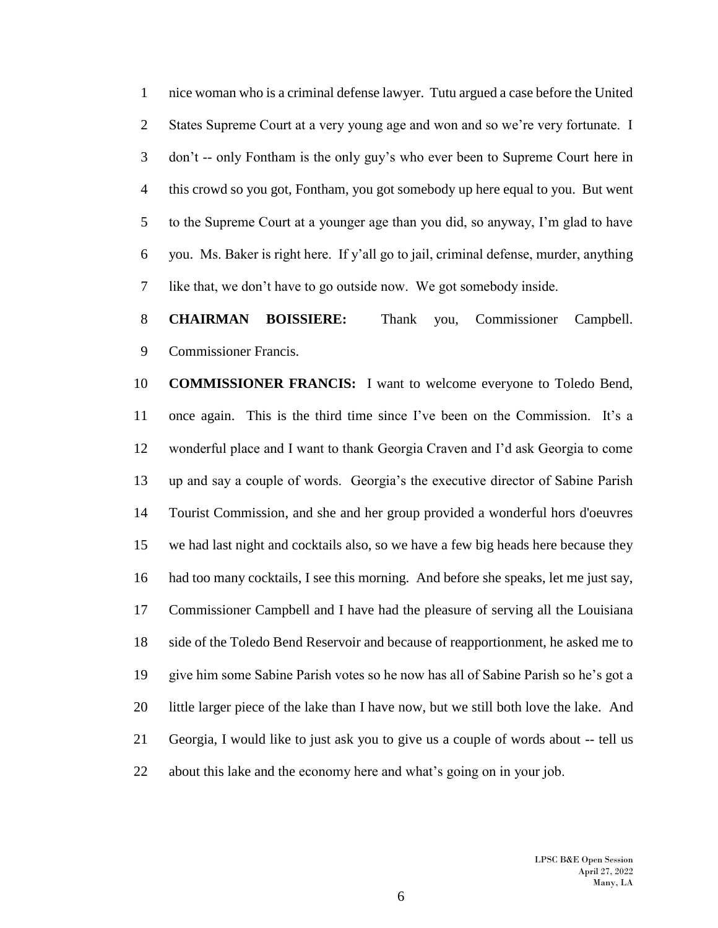nice woman who is a criminal defense lawyer. Tutu argued a case before the United 2 States Supreme Court at a very young age and won and so we're very fortunate. I don't -- only Fontham is the only guy's who ever been to Supreme Court here in this crowd so you got, Fontham, you got somebody up here equal to you. But went to the Supreme Court at a younger age than you did, so anyway, I'm glad to have you. Ms. Baker is right here. If y'all go to jail, criminal defense, murder, anything like that, we don't have to go outside now. We got somebody inside.

 **CHAIRMAN BOISSIERE:** Thank you, Commissioner Campbell. Commissioner Francis.

 **COMMISSIONER FRANCIS:** I want to welcome everyone to Toledo Bend, once again. This is the third time since I've been on the Commission. It's a wonderful place and I want to thank Georgia Craven and I'd ask Georgia to come up and say a couple of words. Georgia's the executive director of Sabine Parish Tourist Commission, and she and her group provided a wonderful hors d'oeuvres we had last night and cocktails also, so we have a few big heads here because they had too many cocktails, I see this morning. And before she speaks, let me just say, Commissioner Campbell and I have had the pleasure of serving all the Louisiana side of the Toledo Bend Reservoir and because of reapportionment, he asked me to give him some Sabine Parish votes so he now has all of Sabine Parish so he's got a 20 little larger piece of the lake than I have now, but we still both love the lake. And Georgia, I would like to just ask you to give us a couple of words about -- tell us about this lake and the economy here and what's going on in your job.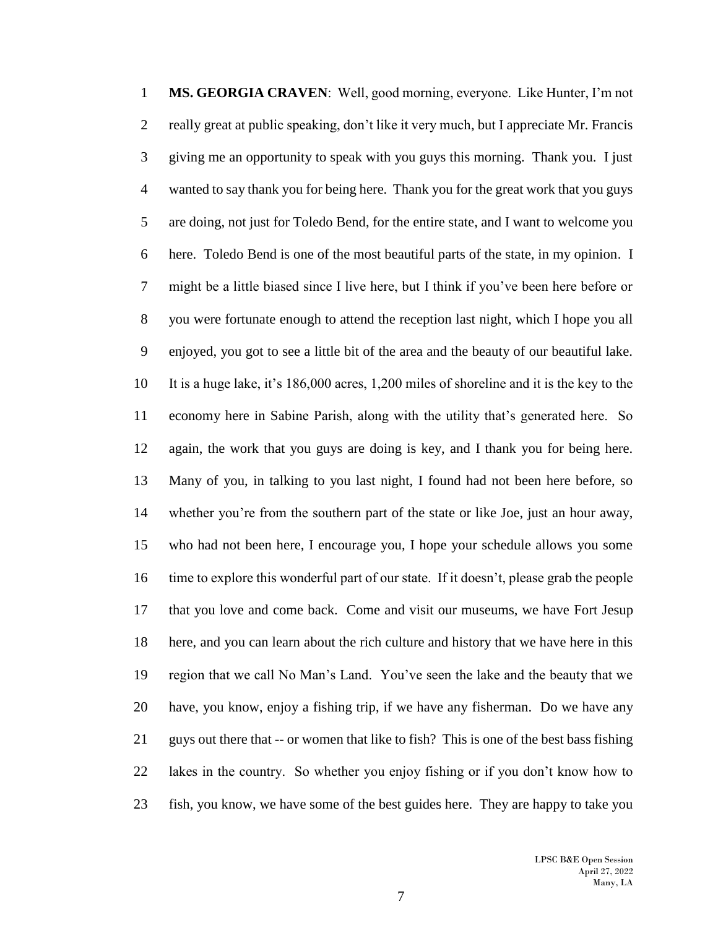**MS. GEORGIA CRAVEN**: Well, good morning, everyone. Like Hunter, I'm not really great at public speaking, don't like it very much, but I appreciate Mr. Francis giving me an opportunity to speak with you guys this morning. Thank you. I just wanted to say thank you for being here. Thank you for the great work that you guys are doing, not just for Toledo Bend, for the entire state, and I want to welcome you here. Toledo Bend is one of the most beautiful parts of the state, in my opinion. I might be a little biased since I live here, but I think if you've been here before or you were fortunate enough to attend the reception last night, which I hope you all enjoyed, you got to see a little bit of the area and the beauty of our beautiful lake. It is a huge lake, it's 186,000 acres, 1,200 miles of shoreline and it is the key to the economy here in Sabine Parish, along with the utility that's generated here. So again, the work that you guys are doing is key, and I thank you for being here. Many of you, in talking to you last night, I found had not been here before, so whether you're from the southern part of the state or like Joe, just an hour away, who had not been here, I encourage you, I hope your schedule allows you some time to explore this wonderful part of our state. If it doesn't, please grab the people that you love and come back. Come and visit our museums, we have Fort Jesup here, and you can learn about the rich culture and history that we have here in this region that we call No Man's Land. You've seen the lake and the beauty that we have, you know, enjoy a fishing trip, if we have any fisherman. Do we have any guys out there that -- or women that like to fish? This is one of the best bass fishing lakes in the country. So whether you enjoy fishing or if you don't know how to fish, you know, we have some of the best guides here. They are happy to take you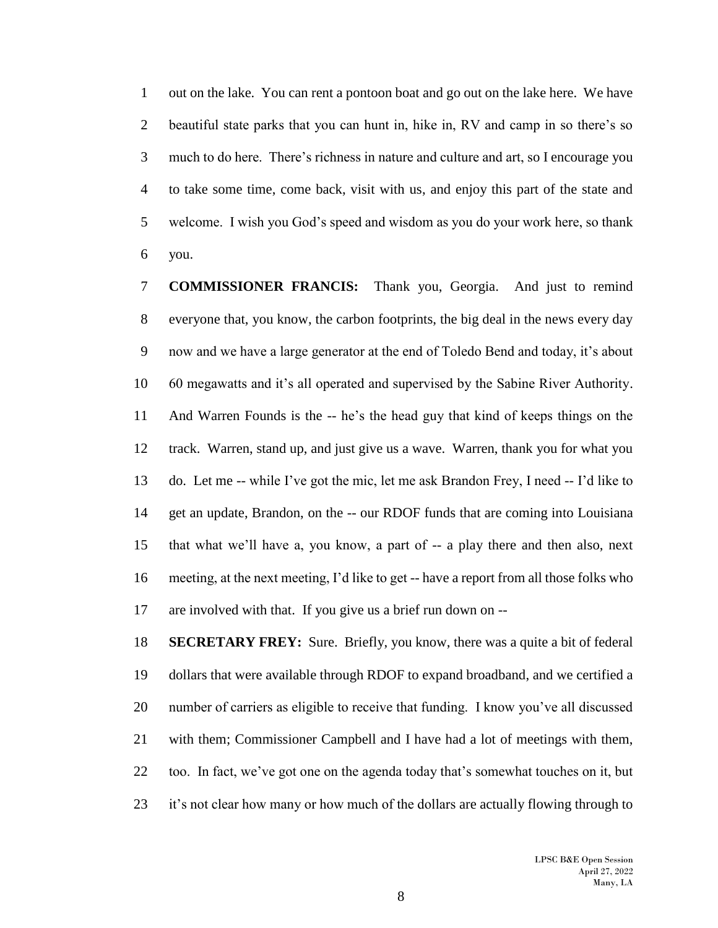out on the lake. You can rent a pontoon boat and go out on the lake here. We have beautiful state parks that you can hunt in, hike in, RV and camp in so there's so much to do here. There's richness in nature and culture and art, so I encourage you to take some time, come back, visit with us, and enjoy this part of the state and welcome. I wish you God's speed and wisdom as you do your work here, so thank you.

 **COMMISSIONER FRANCIS:** Thank you, Georgia. And just to remind everyone that, you know, the carbon footprints, the big deal in the news every day now and we have a large generator at the end of Toledo Bend and today, it's about 60 megawatts and it's all operated and supervised by the Sabine River Authority. And Warren Founds is the -- he's the head guy that kind of keeps things on the track. Warren, stand up, and just give us a wave. Warren, thank you for what you do. Let me -- while I've got the mic, let me ask Brandon Frey, I need -- I'd like to get an update, Brandon, on the -- our RDOF funds that are coming into Louisiana that what we'll have a, you know, a part of -- a play there and then also, next meeting, at the next meeting, I'd like to get -- have a report from all those folks who are involved with that. If you give us a brief run down on --

 **SECRETARY FREY:** Sure. Briefly, you know, there was a quite a bit of federal dollars that were available through RDOF to expand broadband, and we certified a number of carriers as eligible to receive that funding. I know you've all discussed with them; Commissioner Campbell and I have had a lot of meetings with them, too. In fact, we've got one on the agenda today that's somewhat touches on it, but it's not clear how many or how much of the dollars are actually flowing through to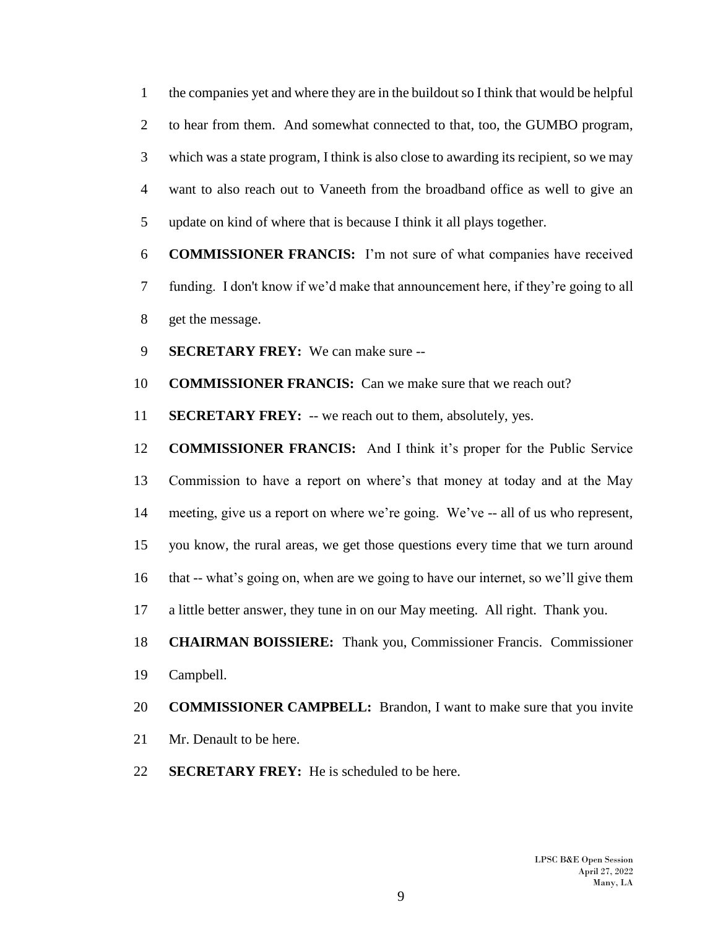the companies yet and where they are in the buildout so I think that would be helpful to hear from them. And somewhat connected to that, too, the GUMBO program, which was a state program, I think is also close to awarding its recipient, so we may want to also reach out to Vaneeth from the broadband office as well to give an update on kind of where that is because I think it all plays together.

 **COMMISSIONER FRANCIS:** I'm not sure of what companies have received funding. I don't know if we'd make that announcement here, if they're going to all get the message.

**SECRETARY FREY:** We can make sure --

**COMMISSIONER FRANCIS:** Can we make sure that we reach out?

**SECRETARY FREY:** -- we reach out to them, absolutely, yes.

 **COMMISSIONER FRANCIS:** And I think it's proper for the Public Service Commission to have a report on where's that money at today and at the May meeting, give us a report on where we're going. We've -- all of us who represent, you know, the rural areas, we get those questions every time that we turn around that -- what's going on, when are we going to have our internet, so we'll give them a little better answer, they tune in on our May meeting. All right. Thank you. **CHAIRMAN BOISSIERE:** Thank you, Commissioner Francis. Commissioner

Campbell.

### **COMMISSIONER CAMPBELL:** Brandon, I want to make sure that you invite

- Mr. Denault to be here.
- **SECRETARY FREY:** He is scheduled to be here.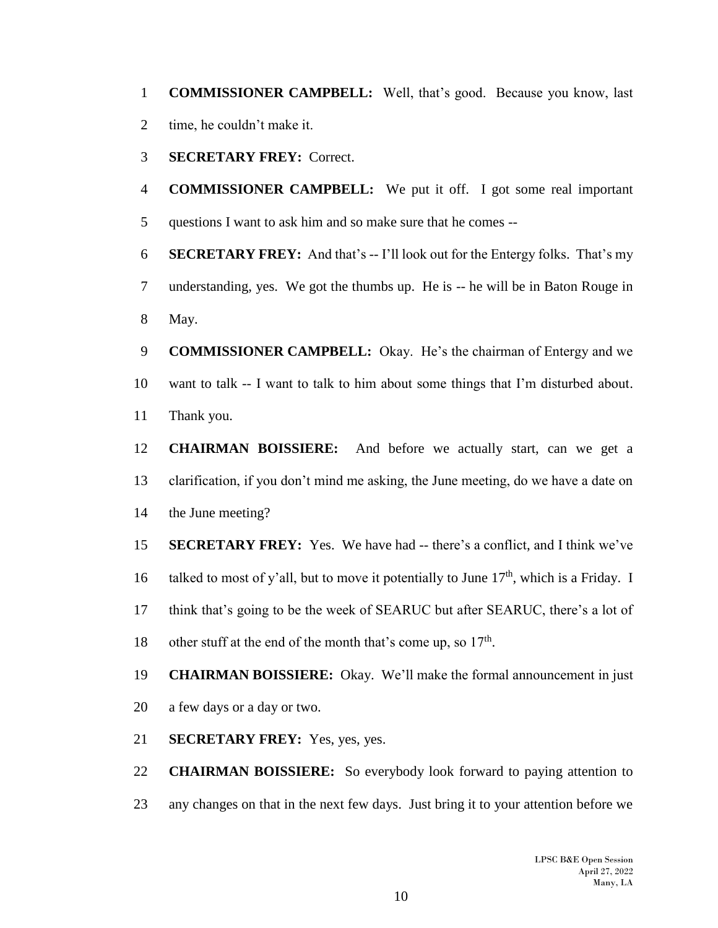**COMMISSIONER CAMPBELL:** Well, that's good. Because you know, last time, he couldn't make it.

**SECRETARY FREY:** Correct.

 **COMMISSIONER CAMPBELL:** We put it off. I got some real important questions I want to ask him and so make sure that he comes --

 **SECRETARY FREY:** And that's -- I'll look out for the Entergy folks. That's my understanding, yes. We got the thumbs up. He is -- he will be in Baton Rouge in May.

 **COMMISSIONER CAMPBELL:** Okay. He's the chairman of Entergy and we want to talk -- I want to talk to him about some things that I'm disturbed about. Thank you.

 **CHAIRMAN BOISSIERE:** And before we actually start, can we get a clarification, if you don't mind me asking, the June meeting, do we have a date on the June meeting?

 **SECRETARY FREY:** Yes. We have had -- there's a conflict, and I think we've 16 talked to most of y'all, but to move it potentially to June  $17<sup>th</sup>$ , which is a Friday. I think that's going to be the week of SEARUC but after SEARUC, there's a lot of 18 other stuff at the end of the month that's come up, so  $17<sup>th</sup>$ .

 **CHAIRMAN BOISSIERE:** Okay. We'll make the formal announcement in just a few days or a day or two.

**SECRETARY FREY:** Yes, yes, yes.

 **CHAIRMAN BOISSIERE:** So everybody look forward to paying attention to any changes on that in the next few days. Just bring it to your attention before we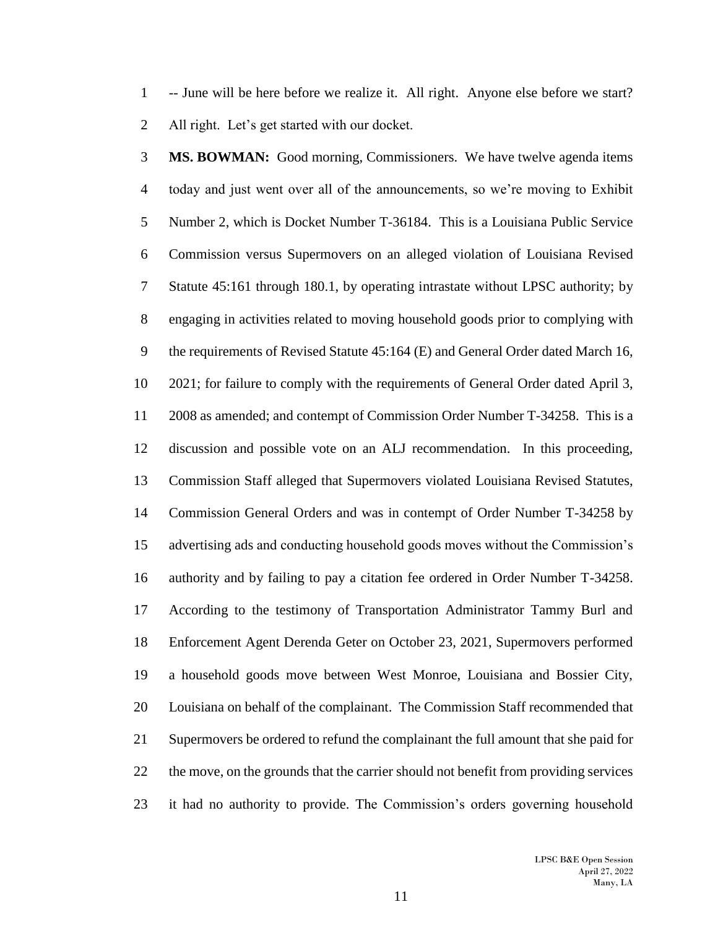-- June will be here before we realize it. All right. Anyone else before we start? All right. Let's get started with our docket.

 **MS. BOWMAN:** Good morning, Commissioners. We have twelve agenda items today and just went over all of the announcements, so we're moving to Exhibit Number 2, which is Docket Number T-36184. This is a Louisiana Public Service Commission versus Supermovers on an alleged violation of Louisiana Revised Statute 45:161 through 180.1, by operating intrastate without LPSC authority; by engaging in activities related to moving household goods prior to complying with the requirements of Revised Statute 45:164 (E) and General Order dated March 16, 2021; for failure to comply with the requirements of General Order dated April 3, 2008 as amended; and contempt of Commission Order Number T-34258. This is a discussion and possible vote on an ALJ recommendation. In this proceeding, Commission Staff alleged that Supermovers violated Louisiana Revised Statutes, Commission General Orders and was in contempt of Order Number T-34258 by advertising ads and conducting household goods moves without the Commission's authority and by failing to pay a citation fee ordered in Order Number T-34258. According to the testimony of Transportation Administrator Tammy Burl and Enforcement Agent Derenda Geter on October 23, 2021, Supermovers performed a household goods move between West Monroe, Louisiana and Bossier City, Louisiana on behalf of the complainant. The Commission Staff recommended that Supermovers be ordered to refund the complainant the full amount that she paid for the move, on the grounds that the carrier should not benefit from providing services it had no authority to provide. The Commission's orders governing household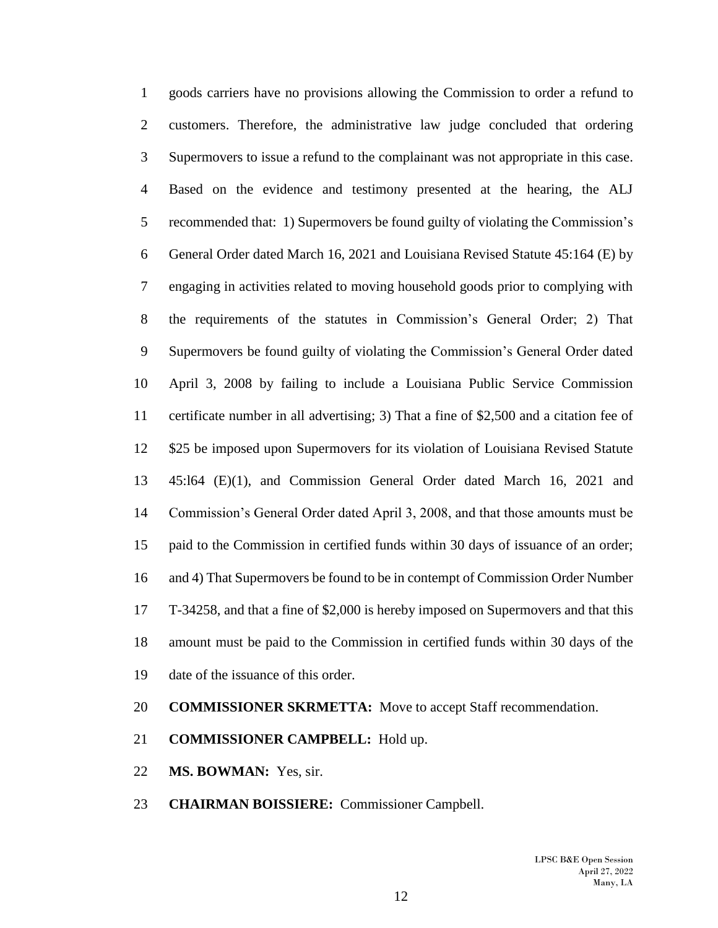goods carriers have no provisions allowing the Commission to order a refund to customers. Therefore, the administrative law judge concluded that ordering Supermovers to issue a refund to the complainant was not appropriate in this case. Based on the evidence and testimony presented at the hearing, the ALJ recommended that: 1) Supermovers be found guilty of violating the Commission's General Order dated March 16, 2021 and Louisiana Revised Statute 45:164 (E) by engaging in activities related to moving household goods prior to complying with the requirements of the statutes in Commission's General Order; 2) That Supermovers be found guilty of violating the Commission's General Order dated April 3, 2008 by failing to include a Louisiana Public Service Commission certificate number in all advertising; 3) That a fine of \$2,500 and a citation fee of \$25 be imposed upon Supermovers for its violation of Louisiana Revised Statute 45:l64 (E)(1), and Commission General Order dated March 16, 2021 and Commission's General Order dated April 3, 2008, and that those amounts must be paid to the Commission in certified funds within 30 days of issuance of an order; and 4) That Supermovers be found to be in contempt of Commission Order Number T-34258, and that a fine of \$2,000 is hereby imposed on Supermovers and that this amount must be paid to the Commission in certified funds within 30 days of the date of the issuance of this order.

### **COMMISSIONER SKRMETTA:** Move to accept Staff recommendation.

- **COMMISSIONER CAMPBELL:** Hold up.
- **MS. BOWMAN:** Yes, sir.
- **CHAIRMAN BOISSIERE:** Commissioner Campbell.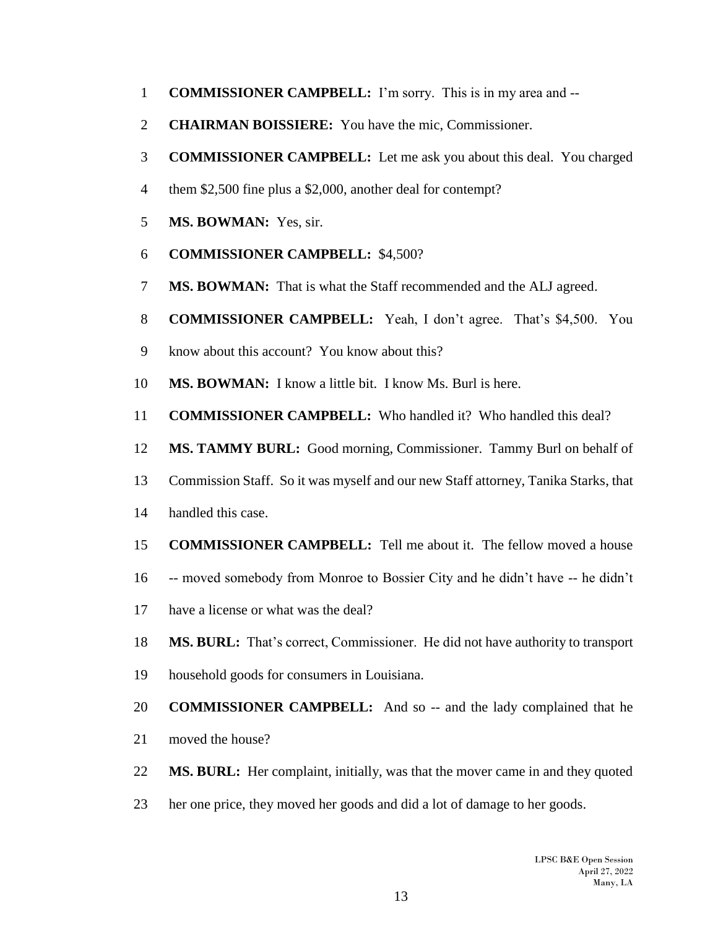- **COMMISSIONER CAMPBELL:** I'm sorry. This is in my area and --
- **CHAIRMAN BOISSIERE:** You have the mic, Commissioner.
- **COMMISSIONER CAMPBELL:** Let me ask you about this deal. You charged
- them \$2,500 fine plus a \$2,000, another deal for contempt?
- **MS. BOWMAN:** Yes, sir.
- **COMMISSIONER CAMPBELL:** \$4,500?
- **MS. BOWMAN:** That is what the Staff recommended and the ALJ agreed.
- **COMMISSIONER CAMPBELL:** Yeah, I don't agree. That's \$4,500. You
- know about this account? You know about this?
- **MS. BOWMAN:** I know a little bit. I know Ms. Burl is here.
- **COMMISSIONER CAMPBELL:** Who handled it? Who handled this deal?
- **MS. TAMMY BURL:** Good morning, Commissioner. Tammy Burl on behalf of
- Commission Staff. So it was myself and our new Staff attorney, Tanika Starks, that
- handled this case.
- **COMMISSIONER CAMPBELL:** Tell me about it. The fellow moved a house
- -- moved somebody from Monroe to Bossier City and he didn't have -- he didn't
- have a license or what was the deal?
- **MS. BURL:** That's correct, Commissioner. He did not have authority to transport
- household goods for consumers in Louisiana.
- **COMMISSIONER CAMPBELL:** And so -- and the lady complained that he
- moved the house?
- **MS. BURL:** Her complaint, initially, was that the mover came in and they quoted
- her one price, they moved her goods and did a lot of damage to her goods.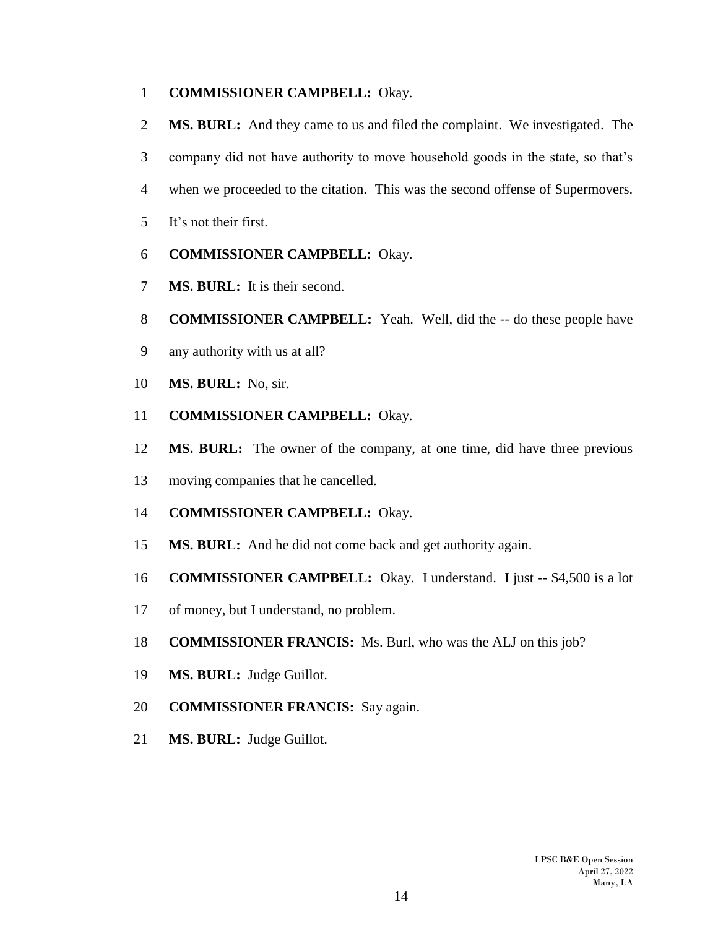## **COMMISSIONER CAMPBELL:** Okay.

- **MS. BURL:** And they came to us and filed the complaint. We investigated. The
- company did not have authority to move household goods in the state, so that's
- when we proceeded to the citation. This was the second offense of Supermovers.
- It's not their first.
- **COMMISSIONER CAMPBELL:** Okay.
- **MS. BURL:** It is their second.
- **COMMISSIONER CAMPBELL:** Yeah. Well, did the -- do these people have
- any authority with us at all?
- **MS. BURL:** No, sir.
- **COMMISSIONER CAMPBELL:** Okay.
- **MS. BURL:** The owner of the company, at one time, did have three previous
- moving companies that he cancelled.
- **COMMISSIONER CAMPBELL:** Okay.
- **MS. BURL:** And he did not come back and get authority again.
- **COMMISSIONER CAMPBELL:** Okay. I understand. I just -- \$4,500 is a lot
- of money, but I understand, no problem.
- **COMMISSIONER FRANCIS:** Ms. Burl, who was the ALJ on this job?
- **MS. BURL:** Judge Guillot.
- **COMMISSIONER FRANCIS:** Say again.
- **MS. BURL:** Judge Guillot.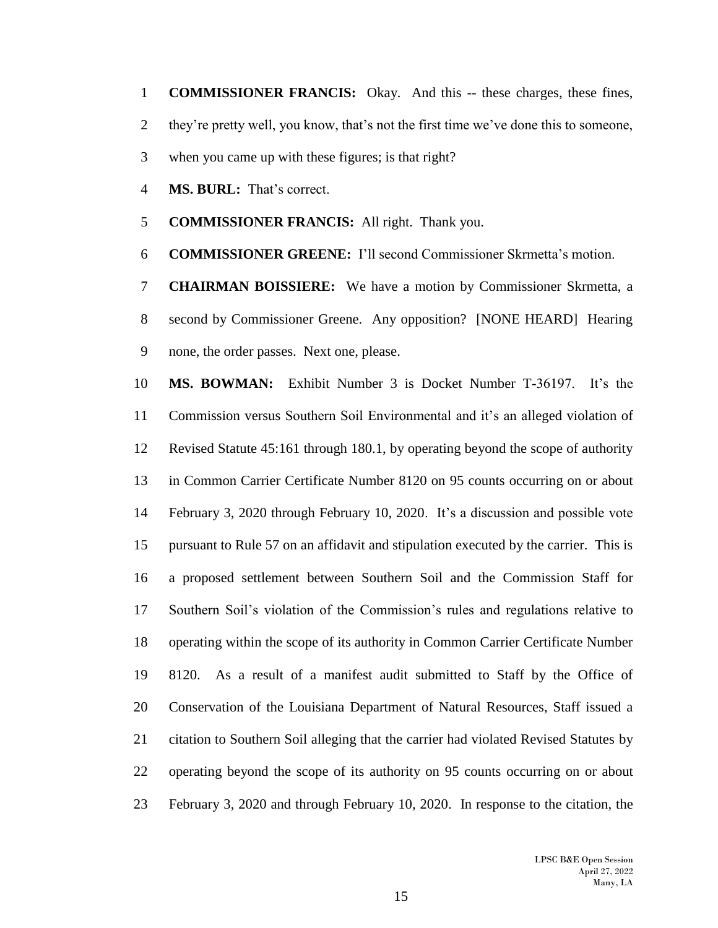**COMMISSIONER FRANCIS:** Okay. And this -- these charges, these fines, they're pretty well, you know, that's not the first time we've done this to someone,

- when you came up with these figures; is that right?
- **MS. BURL:** That's correct.
- **COMMISSIONER FRANCIS:** All right. Thank you.
- **COMMISSIONER GREENE:** I'll second Commissioner Skrmetta's motion.

 **CHAIRMAN BOISSIERE:** We have a motion by Commissioner Skrmetta, a second by Commissioner Greene. Any opposition? [NONE HEARD] Hearing none, the order passes. Next one, please.

 **MS. BOWMAN:** Exhibit Number 3 is Docket Number T-36197. It's the Commission versus Southern Soil Environmental and it's an alleged violation of Revised Statute 45:161 through 180.1, by operating beyond the scope of authority in Common Carrier Certificate Number 8120 on 95 counts occurring on or about February 3, 2020 through February 10, 2020. It's a discussion and possible vote pursuant to Rule 57 on an affidavit and stipulation executed by the carrier. This is a proposed settlement between Southern Soil and the Commission Staff for Southern Soil's violation of the Commission's rules and regulations relative to operating within the scope of its authority in Common Carrier Certificate Number 8120. As a result of a manifest audit submitted to Staff by the Office of Conservation of the Louisiana Department of Natural Resources, Staff issued a citation to Southern Soil alleging that the carrier had violated Revised Statutes by operating beyond the scope of its authority on 95 counts occurring on or about February 3, 2020 and through February 10, 2020. In response to the citation, the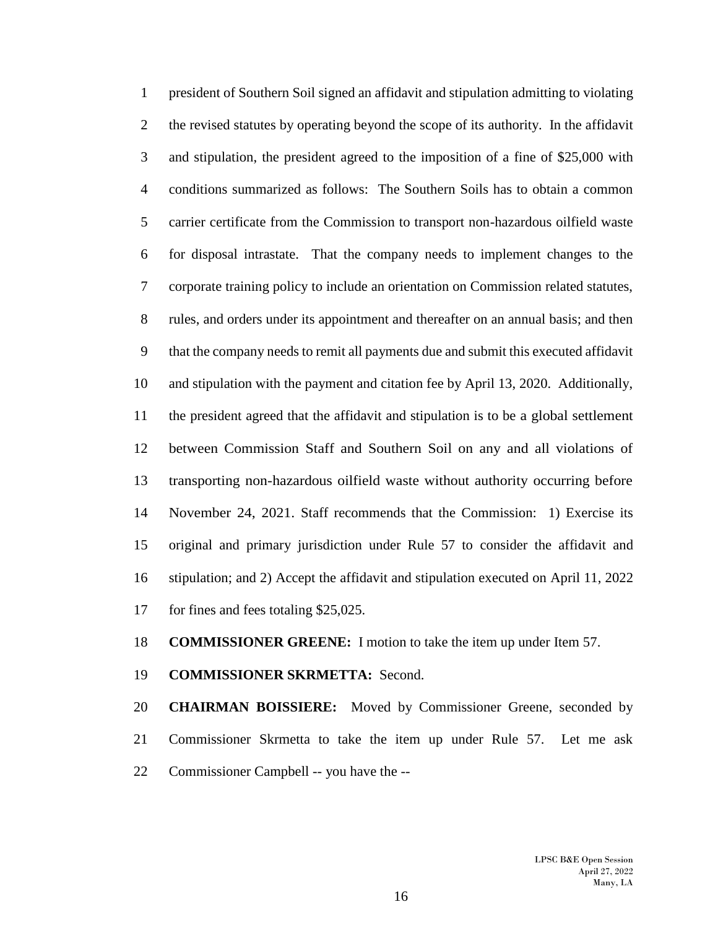president of Southern Soil signed an affidavit and stipulation admitting to violating the revised statutes by operating beyond the scope of its authority. In the affidavit and stipulation, the president agreed to the imposition of a fine of \$25,000 with conditions summarized as follows: The Southern Soils has to obtain a common carrier certificate from the Commission to transport non-hazardous oilfield waste for disposal intrastate. That the company needs to implement changes to the corporate training policy to include an orientation on Commission related statutes, rules, and orders under its appointment and thereafter on an annual basis; and then that the company needs to remit all payments due and submit this executed affidavit and stipulation with the payment and citation fee by April 13, 2020. Additionally, the president agreed that the affidavit and stipulation is to be a global settlement between Commission Staff and Southern Soil on any and all violations of transporting non-hazardous oilfield waste without authority occurring before November 24, 2021. Staff recommends that the Commission: 1) Exercise its original and primary jurisdiction under Rule 57 to consider the affidavit and stipulation; and 2) Accept the affidavit and stipulation executed on April 11, 2022 for fines and fees totaling \$25,025.

**COMMISSIONER GREENE:** I motion to take the item up under Item 57.

**COMMISSIONER SKRMETTA:** Second.

 **CHAIRMAN BOISSIERE:** Moved by Commissioner Greene, seconded by Commissioner Skrmetta to take the item up under Rule 57. Let me ask Commissioner Campbell -- you have the --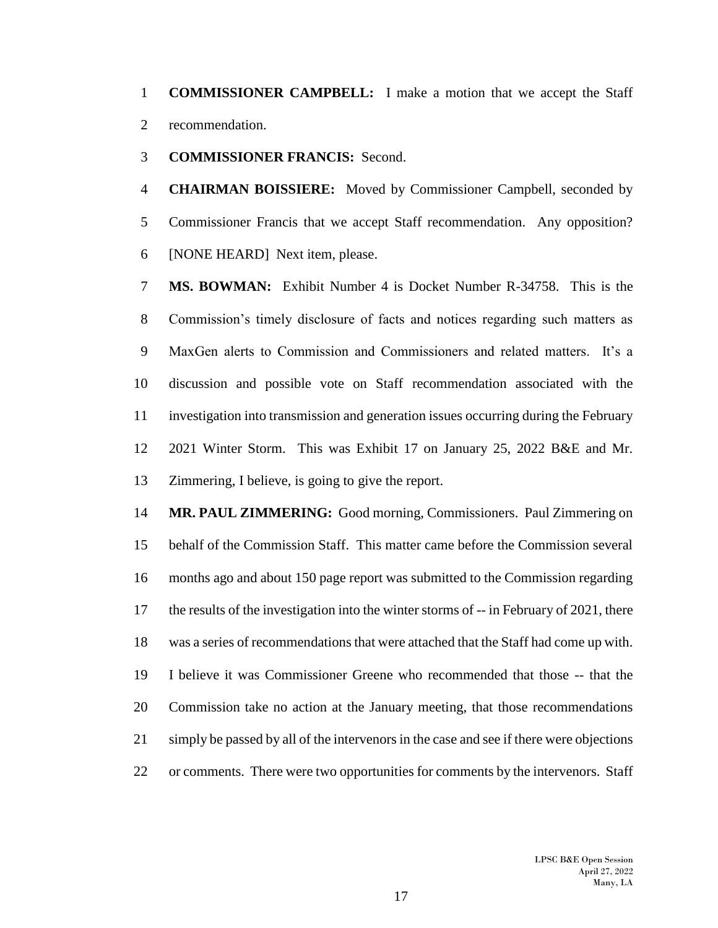**COMMISSIONER CAMPBELL:** I make a motion that we accept the Staff recommendation.

**COMMISSIONER FRANCIS:** Second.

 **CHAIRMAN BOISSIERE:** Moved by Commissioner Campbell, seconded by Commissioner Francis that we accept Staff recommendation. Any opposition? [NONE HEARD] Next item, please.

 **MS. BOWMAN:** Exhibit Number 4 is Docket Number R-34758. This is the Commission's timely disclosure of facts and notices regarding such matters as MaxGen alerts to Commission and Commissioners and related matters. It's a discussion and possible vote on Staff recommendation associated with the investigation into transmission and generation issues occurring during the February 2021 Winter Storm. This was Exhibit 17 on January 25, 2022 B&E and Mr. Zimmering, I believe, is going to give the report.

 **MR. PAUL ZIMMERING:** Good morning, Commissioners. Paul Zimmering on behalf of the Commission Staff. This matter came before the Commission several months ago and about 150 page report was submitted to the Commission regarding the results of the investigation into the winter storms of -- in February of 2021, there was a series of recommendations that were attached that the Staff had come up with. I believe it was Commissioner Greene who recommended that those -- that the Commission take no action at the January meeting, that those recommendations simply be passed by all of the intervenors in the case and see if there were objections or comments. There were two opportunities for comments by the intervenors. Staff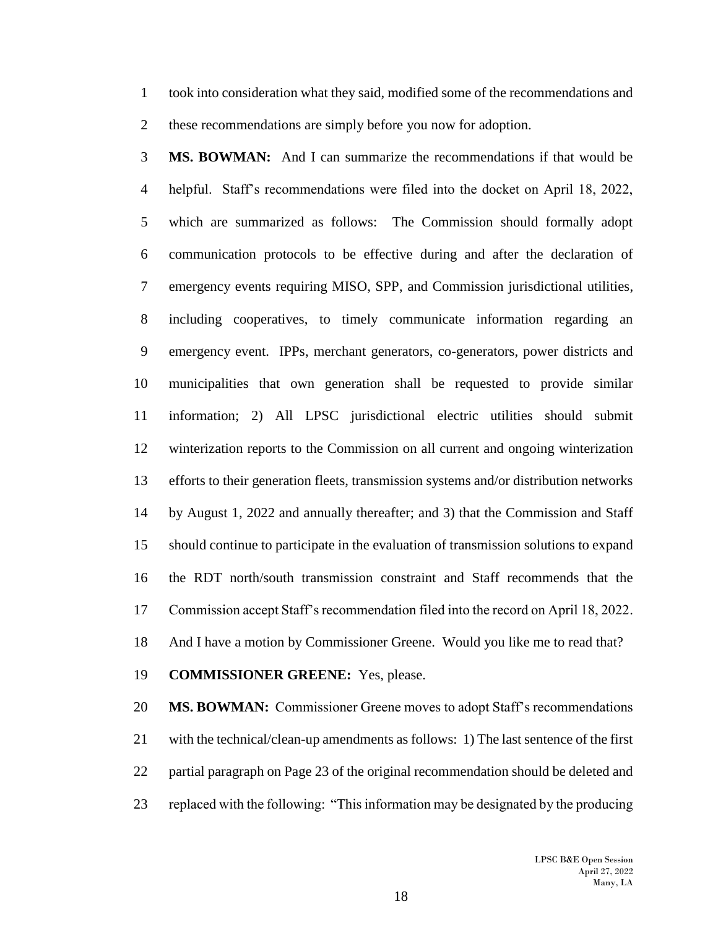took into consideration what they said, modified some of the recommendations and these recommendations are simply before you now for adoption.

 **MS. BOWMAN:** And I can summarize the recommendations if that would be helpful. Staff's recommendations were filed into the docket on April 18, 2022, which are summarized as follows: The Commission should formally adopt communication protocols to be effective during and after the declaration of emergency events requiring MISO, SPP, and Commission jurisdictional utilities, including cooperatives, to timely communicate information regarding an emergency event. IPPs, merchant generators, co-generators, power districts and municipalities that own generation shall be requested to provide similar information; 2) All LPSC jurisdictional electric utilities should submit winterization reports to the Commission on all current and ongoing winterization efforts to their generation fleets, transmission systems and/or distribution networks by August 1, 2022 and annually thereafter; and 3) that the Commission and Staff should continue to participate in the evaluation of transmission solutions to expand the RDT north/south transmission constraint and Staff recommends that the Commission accept Staff's recommendation filed into the record on April 18, 2022. And I have a motion by Commissioner Greene. Would you like me to read that?

## **COMMISSIONER GREENE:** Yes, please.

 **MS. BOWMAN:** Commissioner Greene moves to adopt Staff's recommendations with the technical/clean-up amendments as follows: 1) The last sentence of the first partial paragraph on Page 23 of the original recommendation should be deleted and replaced with the following: "This information may be designated by the producing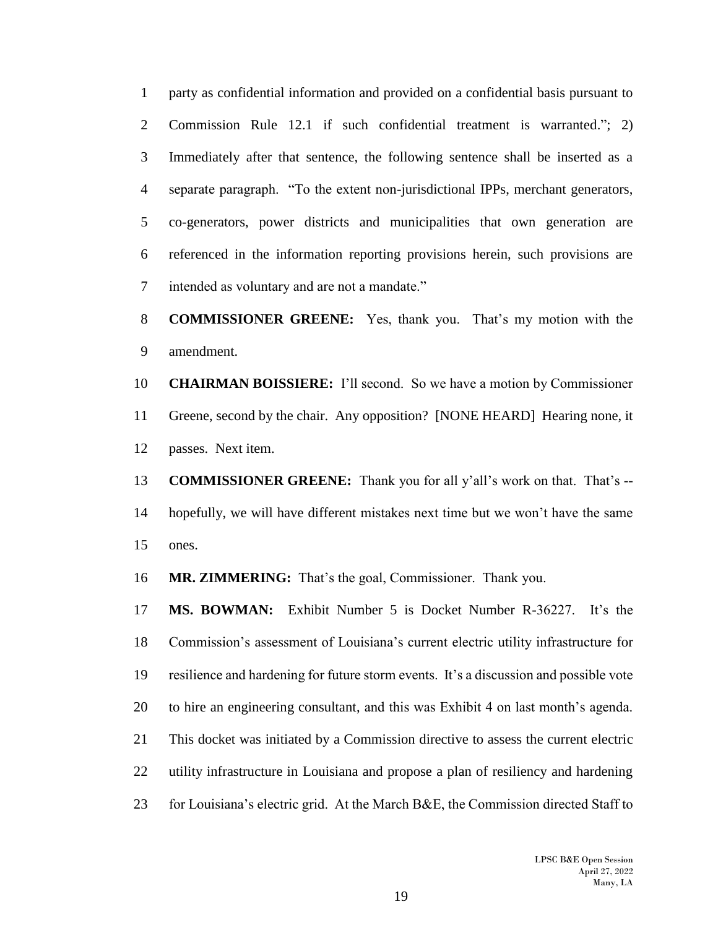party as confidential information and provided on a confidential basis pursuant to Commission Rule 12.1 if such confidential treatment is warranted."; 2) Immediately after that sentence, the following sentence shall be inserted as a separate paragraph. "To the extent non-jurisdictional IPPs, merchant generators, co-generators, power districts and municipalities that own generation are referenced in the information reporting provisions herein, such provisions are intended as voluntary and are not a mandate."

# **COMMISSIONER GREENE:** Yes, thank you. That's my motion with the amendment.

 **CHAIRMAN BOISSIERE:** I'll second. So we have a motion by Commissioner Greene, second by the chair. Any opposition? [NONE HEARD] Hearing none, it passes. Next item.

 **COMMISSIONER GREENE:** Thank you for all y'all's work on that. That's -- hopefully, we will have different mistakes next time but we won't have the same ones.

**MR. ZIMMERING:** That's the goal, Commissioner. Thank you.

 **MS. BOWMAN:** Exhibit Number 5 is Docket Number R-36227. It's the Commission's assessment of Louisiana's current electric utility infrastructure for resilience and hardening for future storm events. It's a discussion and possible vote to hire an engineering consultant, and this was Exhibit 4 on last month's agenda. This docket was initiated by a Commission directive to assess the current electric utility infrastructure in Louisiana and propose a plan of resiliency and hardening for Louisiana's electric grid. At the March B&E, the Commission directed Staff to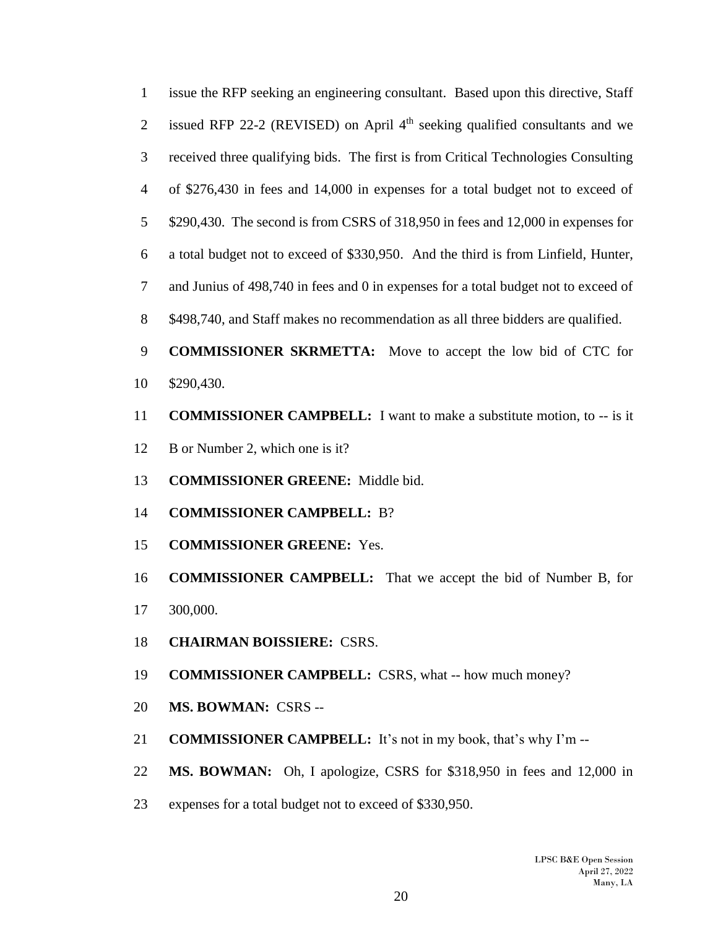issue the RFP seeking an engineering consultant. Based upon this directive, Staff 2 issued RFP 22-2 (REVISED) on April  $4<sup>th</sup>$  seeking qualified consultants and we received three qualifying bids. The first is from Critical Technologies Consulting of \$276,430 in fees and 14,000 in expenses for a total budget not to exceed of \$290,430. The second is from CSRS of 318,950 in fees and 12,000 in expenses for a total budget not to exceed of \$330,950. And the third is from Linfield, Hunter, and Junius of 498,740 in fees and 0 in expenses for a total budget not to exceed of 8 \$498,740, and Staff makes no recommendation as all three bidders are qualified.

 **COMMISSIONER SKRMETTA:** Move to accept the low bid of CTC for \$290,430.

- **COMMISSIONER CAMPBELL:** I want to make a substitute motion, to -- is it
- 12 B or Number 2, which one is it?
- **COMMISSIONER GREENE:** Middle bid.
- **COMMISSIONER CAMPBELL:** B?
- **COMMISSIONER GREENE:** Yes.
- **COMMISSIONER CAMPBELL:** That we accept the bid of Number B, for 300,000.
- **CHAIRMAN BOISSIERE:** CSRS.
- **COMMISSIONER CAMPBELL:** CSRS, what -- how much money?
- **MS. BOWMAN:** CSRS --
- **COMMISSIONER CAMPBELL:** It's not in my book, that's why I'm --
- **MS. BOWMAN:** Oh, I apologize, CSRS for \$318,950 in fees and 12,000 in
- expenses for a total budget not to exceed of \$330,950.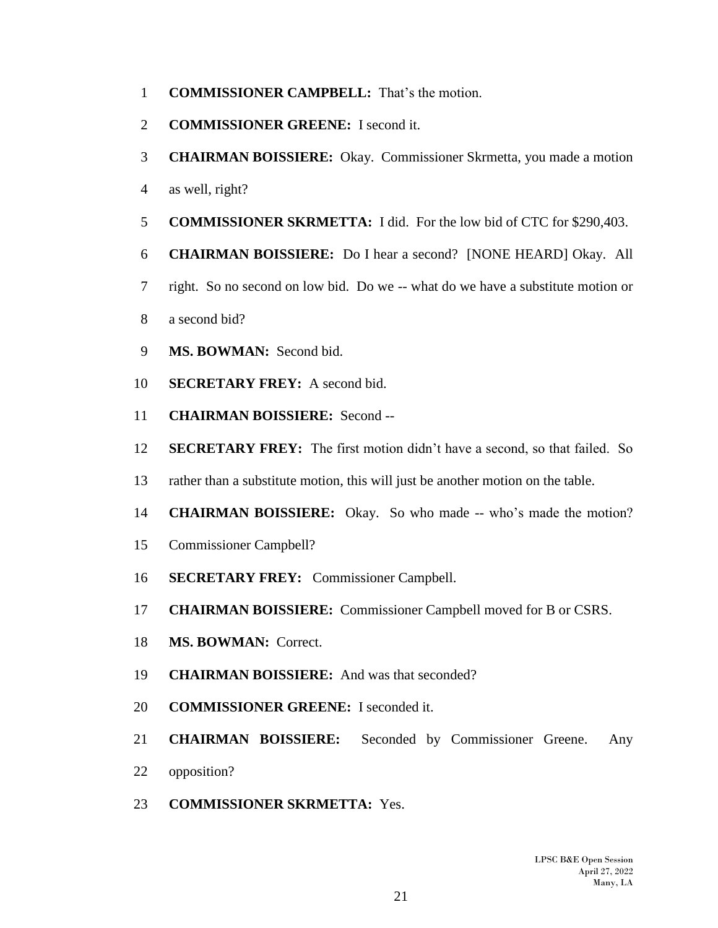- **COMMISSIONER CAMPBELL:** That's the motion.
- **COMMISSIONER GREENE:** I second it.
- **CHAIRMAN BOISSIERE:** Okay. Commissioner Skrmetta, you made a motion
- as well, right?
- **COMMISSIONER SKRMETTA:** I did. For the low bid of CTC for \$290,403.
- **CHAIRMAN BOISSIERE:** Do I hear a second? [NONE HEARD] Okay. All
- right. So no second on low bid. Do we -- what do we have a substitute motion or
- a second bid?
- **MS. BOWMAN:** Second bid.
- **SECRETARY FREY:** A second bid.
- **CHAIRMAN BOISSIERE:** Second --
- **SECRETARY FREY:** The first motion didn't have a second, so that failed. So
- rather than a substitute motion, this will just be another motion on the table.
- **CHAIRMAN BOISSIERE:** Okay. So who made -- who's made the motion?
- Commissioner Campbell?
- **SECRETARY FREY:** Commissioner Campbell.
- **CHAIRMAN BOISSIERE:** Commissioner Campbell moved for B or CSRS.
- **MS. BOWMAN:** Correct.
- **CHAIRMAN BOISSIERE:** And was that seconded?
- **COMMISSIONER GREENE:** I seconded it.
- **CHAIRMAN BOISSIERE:** Seconded by Commissioner Greene. Any opposition?
- **COMMISSIONER SKRMETTA:** Yes.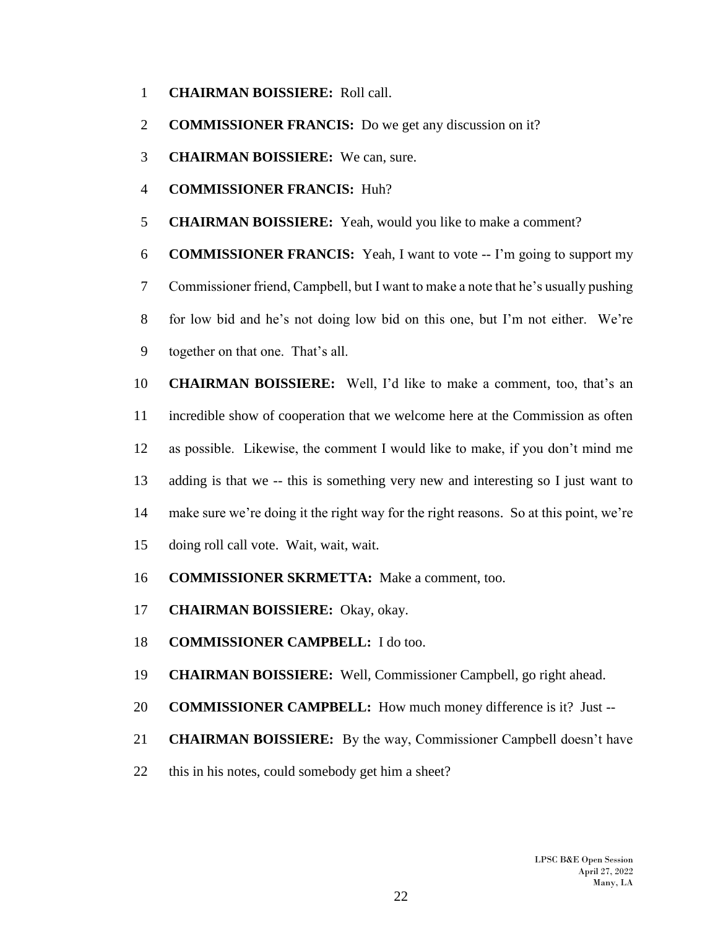- **CHAIRMAN BOISSIERE:** Roll call.
- **COMMISSIONER FRANCIS:** Do we get any discussion on it?
- **CHAIRMAN BOISSIERE:** We can, sure.
- **COMMISSIONER FRANCIS:** Huh?
- **CHAIRMAN BOISSIERE:** Yeah, would you like to make a comment?

**COMMISSIONER FRANCIS:** Yeah, I want to vote -- I'm going to support my

 Commissioner friend, Campbell, but I want to make a note that he's usually pushing for low bid and he's not doing low bid on this one, but I'm not either. We're together on that one. That's all.

 **CHAIRMAN BOISSIERE:** Well, I'd like to make a comment, too, that's an incredible show of cooperation that we welcome here at the Commission as often as possible. Likewise, the comment I would like to make, if you don't mind me adding is that we -- this is something very new and interesting so I just want to make sure we're doing it the right way for the right reasons. So at this point, we're doing roll call vote. Wait, wait, wait.

- **COMMISSIONER SKRMETTA:** Make a comment, too.
- **CHAIRMAN BOISSIERE:** Okay, okay.
- **COMMISSIONER CAMPBELL:** I do too.
- **CHAIRMAN BOISSIERE:** Well, Commissioner Campbell, go right ahead.
- **COMMISSIONER CAMPBELL:** How much money difference is it? Just --
- **CHAIRMAN BOISSIERE:** By the way, Commissioner Campbell doesn't have
- this in his notes, could somebody get him a sheet?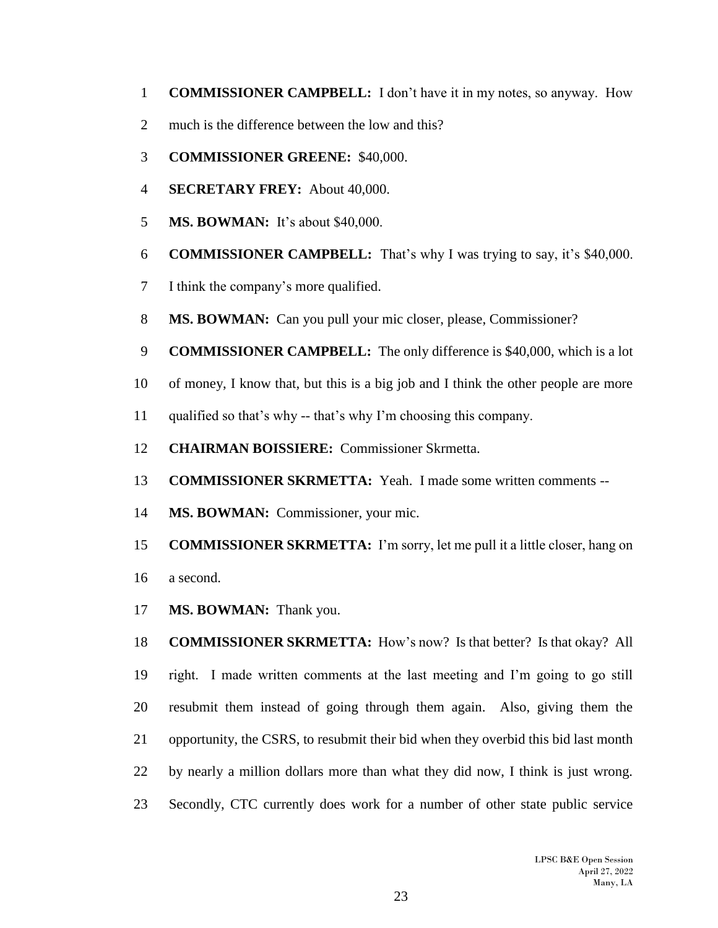- **COMMISSIONER CAMPBELL:** I don't have it in my notes, so anyway. How
- much is the difference between the low and this?
- **COMMISSIONER GREENE:** \$40,000.
- **SECRETARY FREY:** About 40,000.
- **MS. BOWMAN:** It's about \$40,000.
- **COMMISSIONER CAMPBELL:** That's why I was trying to say, it's \$40,000.
- I think the company's more qualified.
- **MS. BOWMAN:** Can you pull your mic closer, please, Commissioner?
- **COMMISSIONER CAMPBELL:** The only difference is \$40,000, which is a lot
- of money, I know that, but this is a big job and I think the other people are more
- qualified so that's why -- that's why I'm choosing this company.
- **CHAIRMAN BOISSIERE:** Commissioner Skrmetta.
- **COMMISSIONER SKRMETTA:** Yeah. I made some written comments --
- **MS. BOWMAN:** Commissioner, your mic.
- **COMMISSIONER SKRMETTA:** I'm sorry, let me pull it a little closer, hang on
- a second.
- **MS. BOWMAN:** Thank you.

 **COMMISSIONER SKRMETTA:** How's now? Is that better? Is that okay? All right. I made written comments at the last meeting and I'm going to go still resubmit them instead of going through them again. Also, giving them the opportunity, the CSRS, to resubmit their bid when they overbid this bid last month by nearly a million dollars more than what they did now, I think is just wrong. Secondly, CTC currently does work for a number of other state public service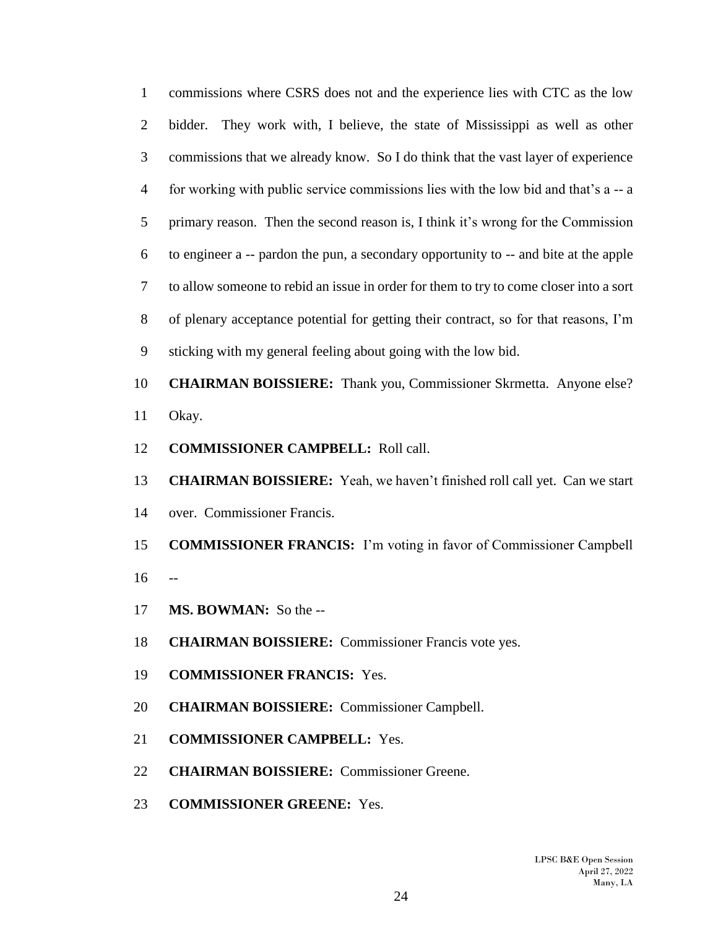commissions where CSRS does not and the experience lies with CTC as the low bidder. They work with, I believe, the state of Mississippi as well as other commissions that we already know. So I do think that the vast layer of experience for working with public service commissions lies with the low bid and that's a -- a primary reason. Then the second reason is, I think it's wrong for the Commission to engineer a -- pardon the pun, a secondary opportunity to -- and bite at the apple to allow someone to rebid an issue in order for them to try to come closer into a sort of plenary acceptance potential for getting their contract, so for that reasons, I'm sticking with my general feeling about going with the low bid.

 **CHAIRMAN BOISSIERE:** Thank you, Commissioner Skrmetta. Anyone else? Okay.

- **COMMISSIONER CAMPBELL:** Roll call.
- **CHAIRMAN BOISSIERE:** Yeah, we haven't finished roll call yet. Can we start over. Commissioner Francis.
- **COMMISSIONER FRANCIS:** I'm voting in favor of Commissioner Campbell --
- **MS. BOWMAN:** So the --
- **CHAIRMAN BOISSIERE:** Commissioner Francis vote yes.
- **COMMISSIONER FRANCIS:** Yes.
- **CHAIRMAN BOISSIERE:** Commissioner Campbell.
- **COMMISSIONER CAMPBELL:** Yes.
- **CHAIRMAN BOISSIERE:** Commissioner Greene.
- **COMMISSIONER GREENE:** Yes.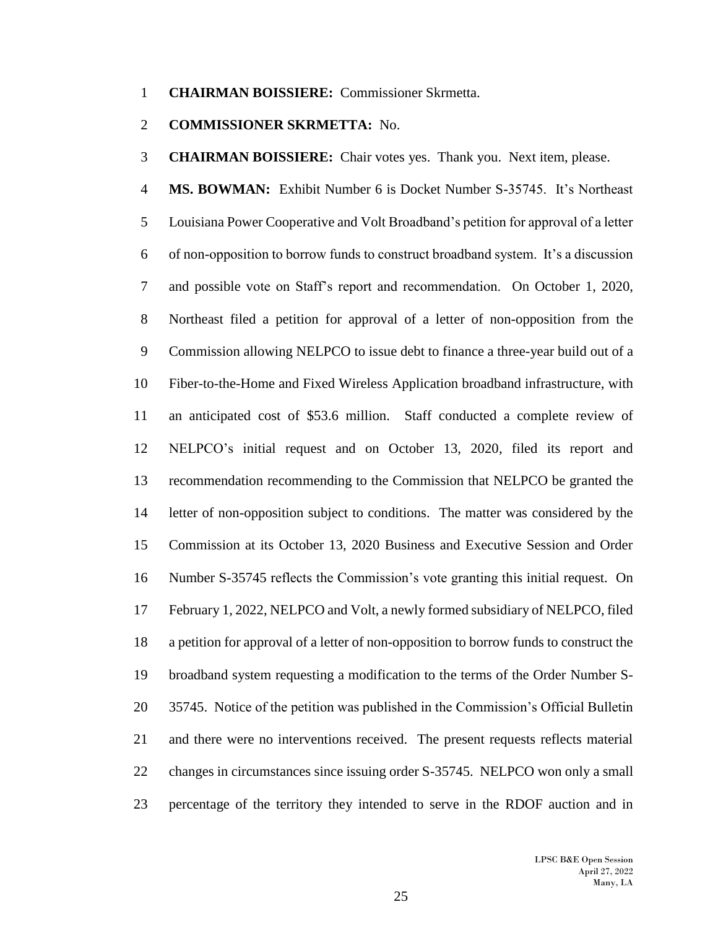#### **CHAIRMAN BOISSIERE:** Commissioner Skrmetta.

## **COMMISSIONER SKRMETTA:** No.

**CHAIRMAN BOISSIERE:** Chair votes yes. Thank you. Next item, please.

 **MS. BOWMAN:** Exhibit Number 6 is Docket Number S-35745. It's Northeast Louisiana Power Cooperative and Volt Broadband's petition for approval of a letter of non-opposition to borrow funds to construct broadband system. It's a discussion and possible vote on Staff's report and recommendation. On October 1, 2020, Northeast filed a petition for approval of a letter of non-opposition from the Commission allowing NELPCO to issue debt to finance a three-year build out of a Fiber-to-the-Home and Fixed Wireless Application broadband infrastructure, with an anticipated cost of \$53.6 million. Staff conducted a complete review of NELPCO's initial request and on October 13, 2020, filed its report and recommendation recommending to the Commission that NELPCO be granted the letter of non-opposition subject to conditions. The matter was considered by the Commission at its October 13, 2020 Business and Executive Session and Order Number S-35745 reflects the Commission's vote granting this initial request. On February 1, 2022, NELPCO and Volt, a newly formed subsidiary of NELPCO, filed a petition for approval of a letter of non-opposition to borrow funds to construct the broadband system requesting a modification to the terms of the Order Number S- 35745. Notice of the petition was published in the Commission's Official Bulletin and there were no interventions received. The present requests reflects material changes in circumstances since issuing order S-35745. NELPCO won only a small percentage of the territory they intended to serve in the RDOF auction and in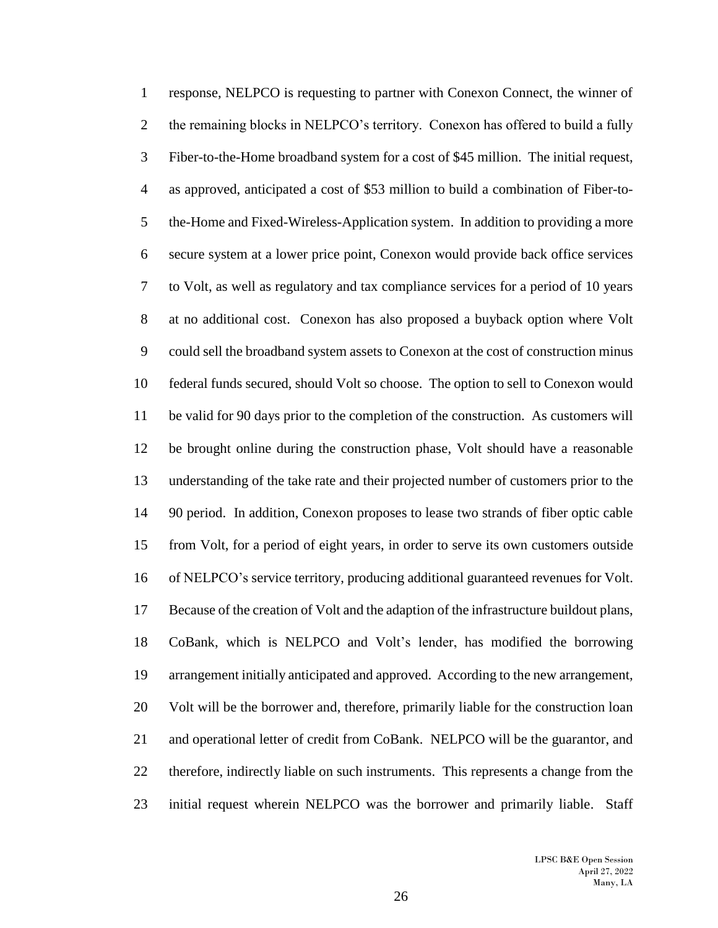response, NELPCO is requesting to partner with Conexon Connect, the winner of 2 the remaining blocks in NELPCO's territory. Conexon has offered to build a fully Fiber-to-the-Home broadband system for a cost of \$45 million. The initial request, as approved, anticipated a cost of \$53 million to build a combination of Fiber-to- the-Home and Fixed-Wireless-Application system. In addition to providing a more secure system at a lower price point, Conexon would provide back office services to Volt, as well as regulatory and tax compliance services for a period of 10 years at no additional cost. Conexon has also proposed a buyback option where Volt could sell the broadband system assets to Conexon at the cost of construction minus federal funds secured, should Volt so choose. The option to sell to Conexon would be valid for 90 days prior to the completion of the construction. As customers will be brought online during the construction phase, Volt should have a reasonable understanding of the take rate and their projected number of customers prior to the 90 period. In addition, Conexon proposes to lease two strands of fiber optic cable from Volt, for a period of eight years, in order to serve its own customers outside of NELPCO's service territory, producing additional guaranteed revenues for Volt. Because of the creation of Volt and the adaption of the infrastructure buildout plans, CoBank, which is NELPCO and Volt's lender, has modified the borrowing arrangement initially anticipated and approved. According to the new arrangement, Volt will be the borrower and, therefore, primarily liable for the construction loan and operational letter of credit from CoBank. NELPCO will be the guarantor, and therefore, indirectly liable on such instruments. This represents a change from the initial request wherein NELPCO was the borrower and primarily liable. Staff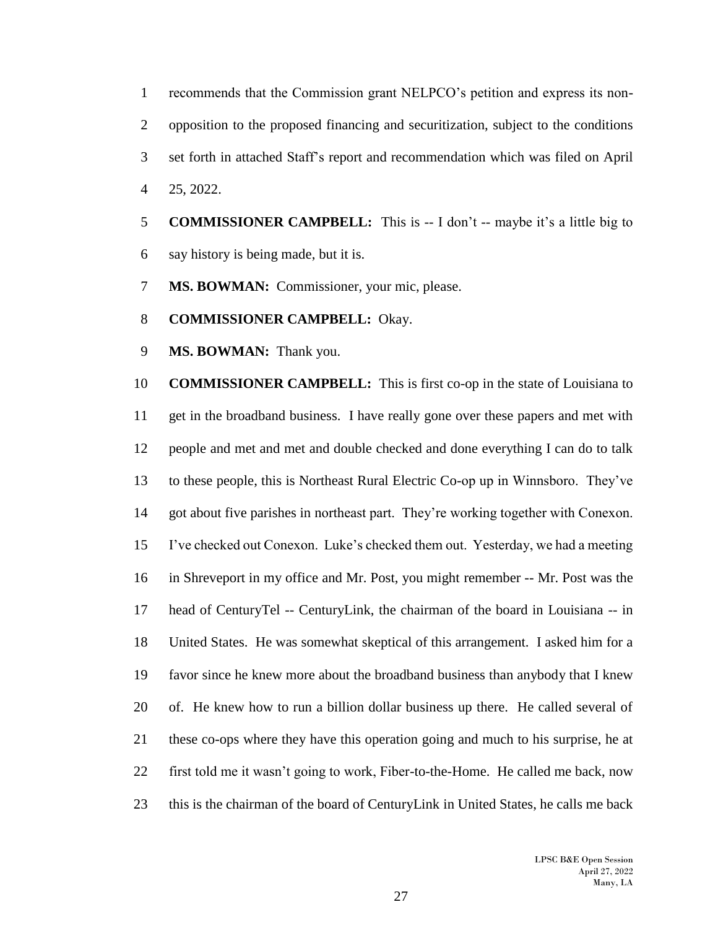recommends that the Commission grant NELPCO's petition and express its non- opposition to the proposed financing and securitization, subject to the conditions set forth in attached Staff's report and recommendation which was filed on April 25, 2022.

- **COMMISSIONER CAMPBELL:** This is -- I don't -- maybe it's a little big to say history is being made, but it is.
- **MS. BOWMAN:** Commissioner, your mic, please.
- **COMMISSIONER CAMPBELL:** Okay.
- **MS. BOWMAN:** Thank you.

 **COMMISSIONER CAMPBELL:** This is first co-op in the state of Louisiana to get in the broadband business. I have really gone over these papers and met with people and met and met and double checked and done everything I can do to talk to these people, this is Northeast Rural Electric Co-op up in Winnsboro. They've got about five parishes in northeast part. They're working together with Conexon. I've checked out Conexon. Luke's checked them out. Yesterday, we had a meeting in Shreveport in my office and Mr. Post, you might remember -- Mr. Post was the head of CenturyTel -- CenturyLink, the chairman of the board in Louisiana -- in United States. He was somewhat skeptical of this arrangement. I asked him for a favor since he knew more about the broadband business than anybody that I knew of. He knew how to run a billion dollar business up there. He called several of these co-ops where they have this operation going and much to his surprise, he at first told me it wasn't going to work, Fiber-to-the-Home. He called me back, now this is the chairman of the board of CenturyLink in United States, he calls me back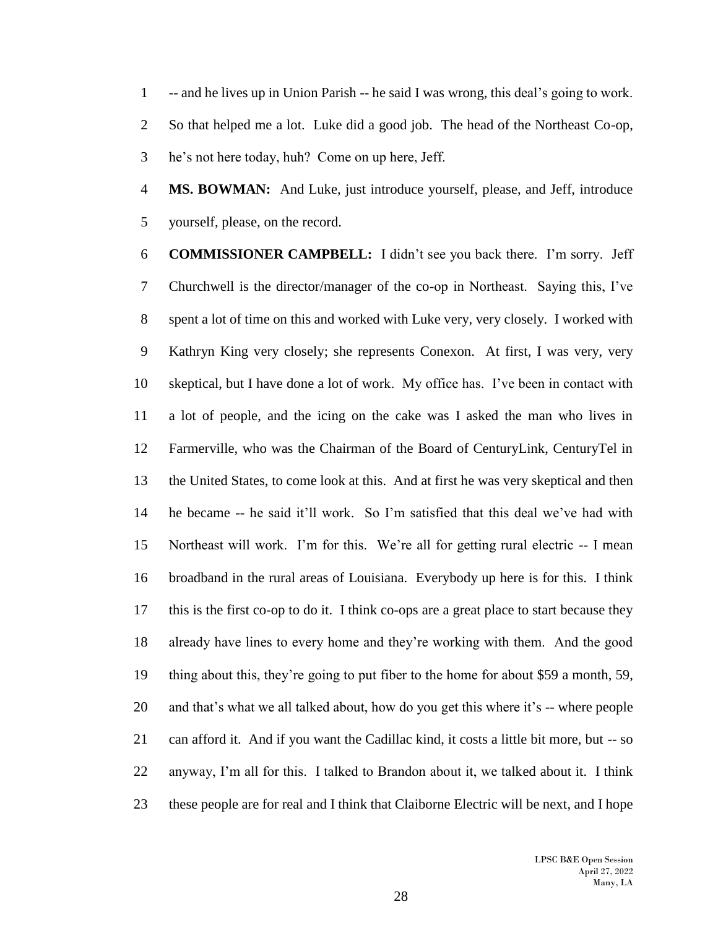-- and he lives up in Union Parish -- he said I was wrong, this deal's going to work. So that helped me a lot. Luke did a good job. The head of the Northeast Co-op, he's not here today, huh? Come on up here, Jeff.

 **MS. BOWMAN:** And Luke, just introduce yourself, please, and Jeff, introduce yourself, please, on the record.

 **COMMISSIONER CAMPBELL:** I didn't see you back there. I'm sorry. Jeff Churchwell is the director/manager of the co-op in Northeast. Saying this, I've spent a lot of time on this and worked with Luke very, very closely. I worked with Kathryn King very closely; she represents Conexon. At first, I was very, very skeptical, but I have done a lot of work. My office has. I've been in contact with a lot of people, and the icing on the cake was I asked the man who lives in Farmerville, who was the Chairman of the Board of CenturyLink, CenturyTel in the United States, to come look at this. And at first he was very skeptical and then he became -- he said it'll work. So I'm satisfied that this deal we've had with Northeast will work. I'm for this. We're all for getting rural electric -- I mean broadband in the rural areas of Louisiana. Everybody up here is for this. I think this is the first co-op to do it. I think co-ops are a great place to start because they already have lines to every home and they're working with them. And the good thing about this, they're going to put fiber to the home for about \$59 a month, 59, and that's what we all talked about, how do you get this where it's -- where people can afford it. And if you want the Cadillac kind, it costs a little bit more, but -- so anyway, I'm all for this. I talked to Brandon about it, we talked about it. I think these people are for real and I think that Claiborne Electric will be next, and I hope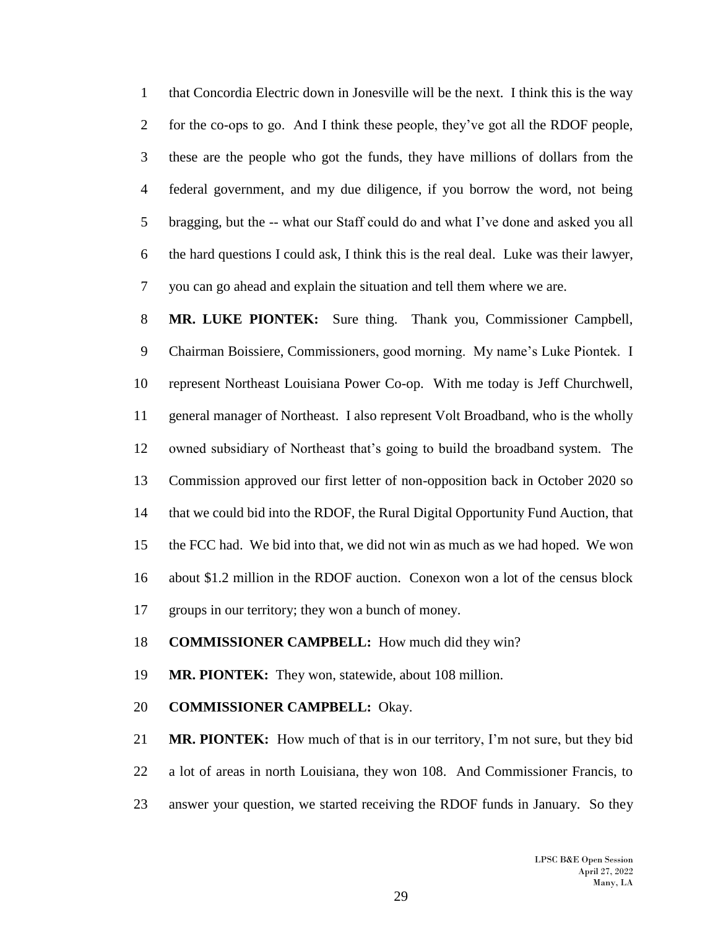that Concordia Electric down in Jonesville will be the next. I think this is the way for the co-ops to go. And I think these people, they've got all the RDOF people, these are the people who got the funds, they have millions of dollars from the federal government, and my due diligence, if you borrow the word, not being bragging, but the -- what our Staff could do and what I've done and asked you all the hard questions I could ask, I think this is the real deal. Luke was their lawyer, you can go ahead and explain the situation and tell them where we are.

 **MR. LUKE PIONTEK:** Sure thing. Thank you, Commissioner Campbell, Chairman Boissiere, Commissioners, good morning. My name's Luke Piontek. I represent Northeast Louisiana Power Co-op. With me today is Jeff Churchwell, general manager of Northeast. I also represent Volt Broadband, who is the wholly owned subsidiary of Northeast that's going to build the broadband system. The Commission approved our first letter of non-opposition back in October 2020 so that we could bid into the RDOF, the Rural Digital Opportunity Fund Auction, that the FCC had. We bid into that, we did not win as much as we had hoped. We won about \$1.2 million in the RDOF auction. Conexon won a lot of the census block groups in our territory; they won a bunch of money.

**COMMISSIONER CAMPBELL:** How much did they win?

**MR. PIONTEK:** They won, statewide, about 108 million.

**COMMISSIONER CAMPBELL:** Okay.

 **MR. PIONTEK:** How much of that is in our territory, I'm not sure, but they bid a lot of areas in north Louisiana, they won 108. And Commissioner Francis, to answer your question, we started receiving the RDOF funds in January. So they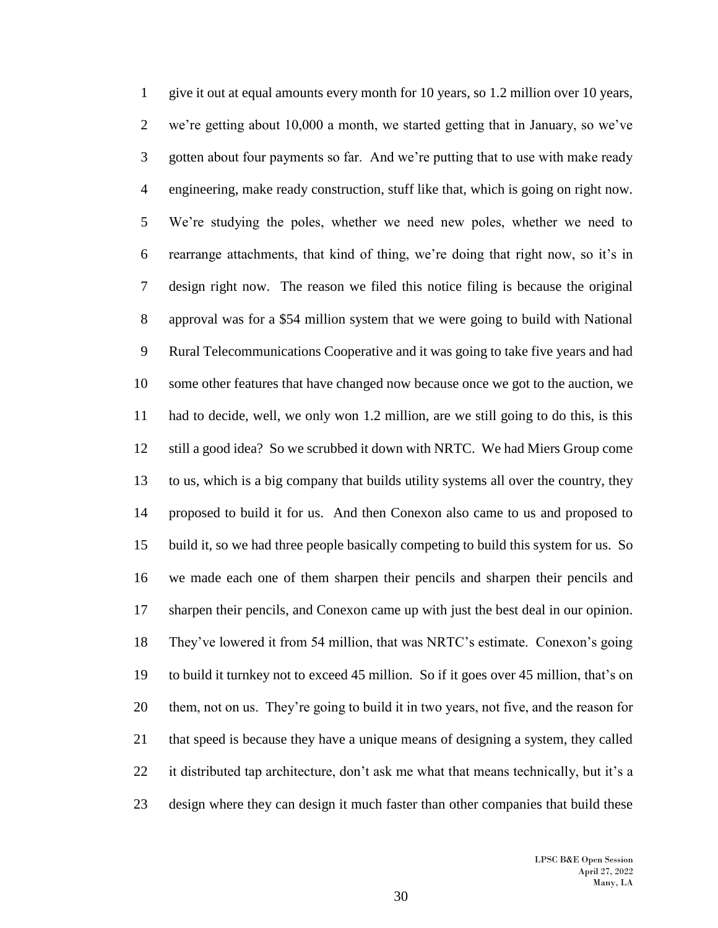give it out at equal amounts every month for 10 years, so 1.2 million over 10 years, we're getting about 10,000 a month, we started getting that in January, so we've gotten about four payments so far. And we're putting that to use with make ready engineering, make ready construction, stuff like that, which is going on right now. We're studying the poles, whether we need new poles, whether we need to rearrange attachments, that kind of thing, we're doing that right now, so it's in design right now. The reason we filed this notice filing is because the original approval was for a \$54 million system that we were going to build with National Rural Telecommunications Cooperative and it was going to take five years and had some other features that have changed now because once we got to the auction, we had to decide, well, we only won 1.2 million, are we still going to do this, is this still a good idea? So we scrubbed it down with NRTC. We had Miers Group come to us, which is a big company that builds utility systems all over the country, they proposed to build it for us. And then Conexon also came to us and proposed to build it, so we had three people basically competing to build this system for us. So we made each one of them sharpen their pencils and sharpen their pencils and sharpen their pencils, and Conexon came up with just the best deal in our opinion. They've lowered it from 54 million, that was NRTC's estimate. Conexon's going to build it turnkey not to exceed 45 million. So if it goes over 45 million, that's on them, not on us. They're going to build it in two years, not five, and the reason for that speed is because they have a unique means of designing a system, they called it distributed tap architecture, don't ask me what that means technically, but it's a design where they can design it much faster than other companies that build these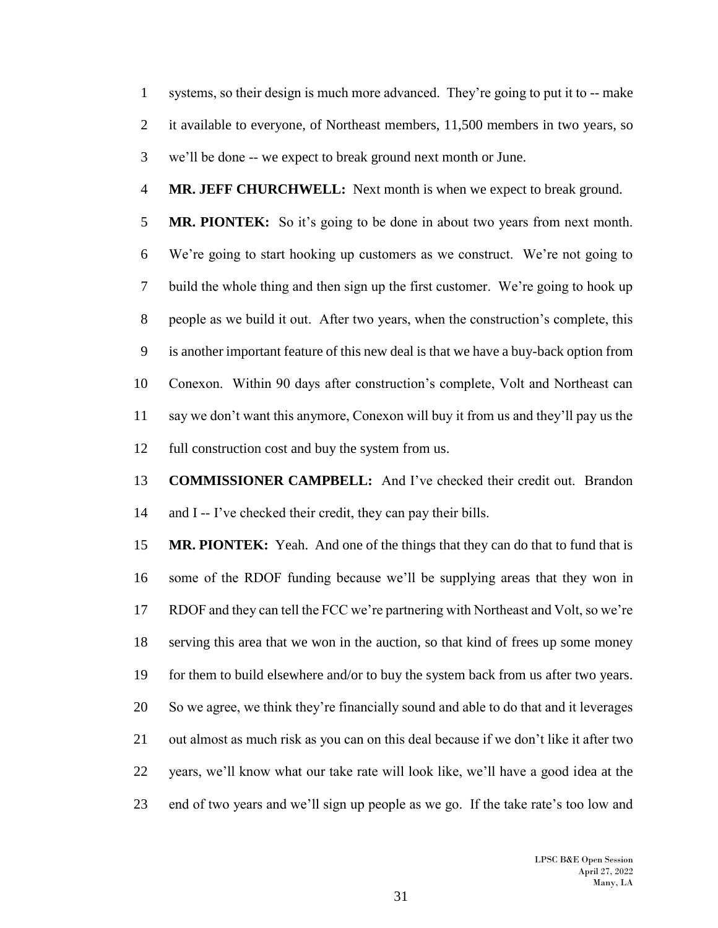systems, so their design is much more advanced. They're going to put it to -- make it available to everyone, of Northeast members, 11,500 members in two years, so we'll be done -- we expect to break ground next month or June.

**MR. JEFF CHURCHWELL:** Next month is when we expect to break ground.

 **MR. PIONTEK:** So it's going to be done in about two years from next month. We're going to start hooking up customers as we construct. We're not going to build the whole thing and then sign up the first customer. We're going to hook up people as we build it out. After two years, when the construction's complete, this is another important feature of this new deal is that we have a buy-back option from Conexon. Within 90 days after construction's complete, Volt and Northeast can say we don't want this anymore, Conexon will buy it from us and they'll pay us the full construction cost and buy the system from us.

 **COMMISSIONER CAMPBELL:** And I've checked their credit out. Brandon and I -- I've checked their credit, they can pay their bills.

 **MR. PIONTEK:** Yeah. And one of the things that they can do that to fund that is some of the RDOF funding because we'll be supplying areas that they won in RDOF and they can tell the FCC we're partnering with Northeast and Volt, so we're serving this area that we won in the auction, so that kind of frees up some money for them to build elsewhere and/or to buy the system back from us after two years. So we agree, we think they're financially sound and able to do that and it leverages out almost as much risk as you can on this deal because if we don't like it after two years, we'll know what our take rate will look like, we'll have a good idea at the end of two years and we'll sign up people as we go. If the take rate's too low and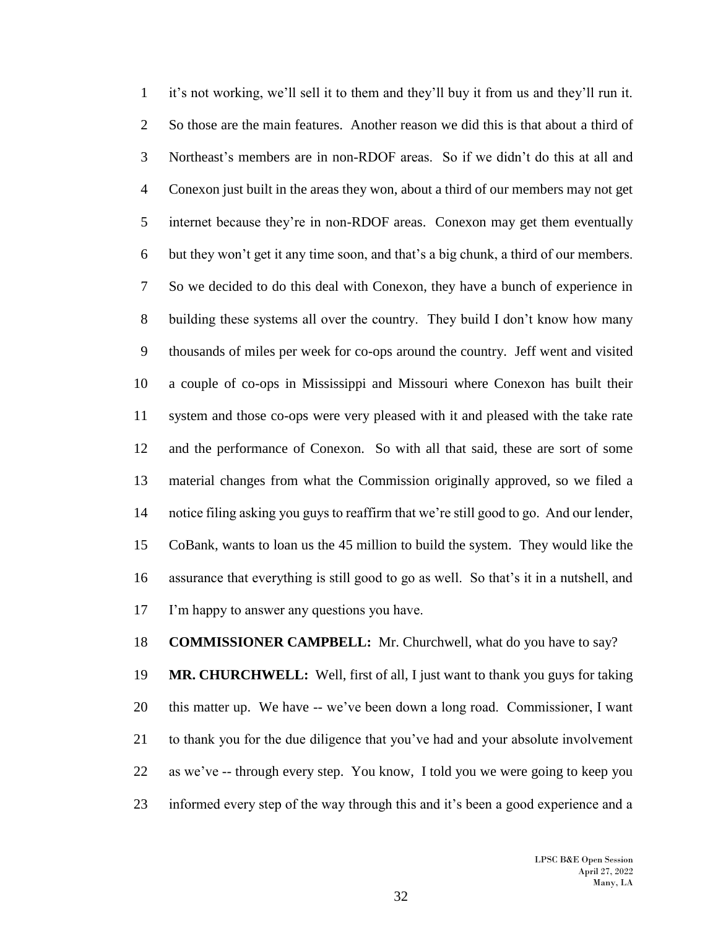it's not working, we'll sell it to them and they'll buy it from us and they'll run it. So those are the main features. Another reason we did this is that about a third of Northeast's members are in non-RDOF areas. So if we didn't do this at all and Conexon just built in the areas they won, about a third of our members may not get internet because they're in non-RDOF areas. Conexon may get them eventually but they won't get it any time soon, and that's a big chunk, a third of our members. So we decided to do this deal with Conexon, they have a bunch of experience in building these systems all over the country. They build I don't know how many thousands of miles per week for co-ops around the country. Jeff went and visited a couple of co-ops in Mississippi and Missouri where Conexon has built their system and those co-ops were very pleased with it and pleased with the take rate and the performance of Conexon. So with all that said, these are sort of some material changes from what the Commission originally approved, so we filed a notice filing asking you guys to reaffirm that we're still good to go. And our lender, CoBank, wants to loan us the 45 million to build the system. They would like the assurance that everything is still good to go as well. So that's it in a nutshell, and I'm happy to answer any questions you have.

**COMMISSIONER CAMPBELL:** Mr. Churchwell, what do you have to say?

 **MR. CHURCHWELL:** Well, first of all, I just want to thank you guys for taking this matter up. We have -- we've been down a long road. Commissioner, I want to thank you for the due diligence that you've had and your absolute involvement as we've -- through every step. You know, I told you we were going to keep you informed every step of the way through this and it's been a good experience and a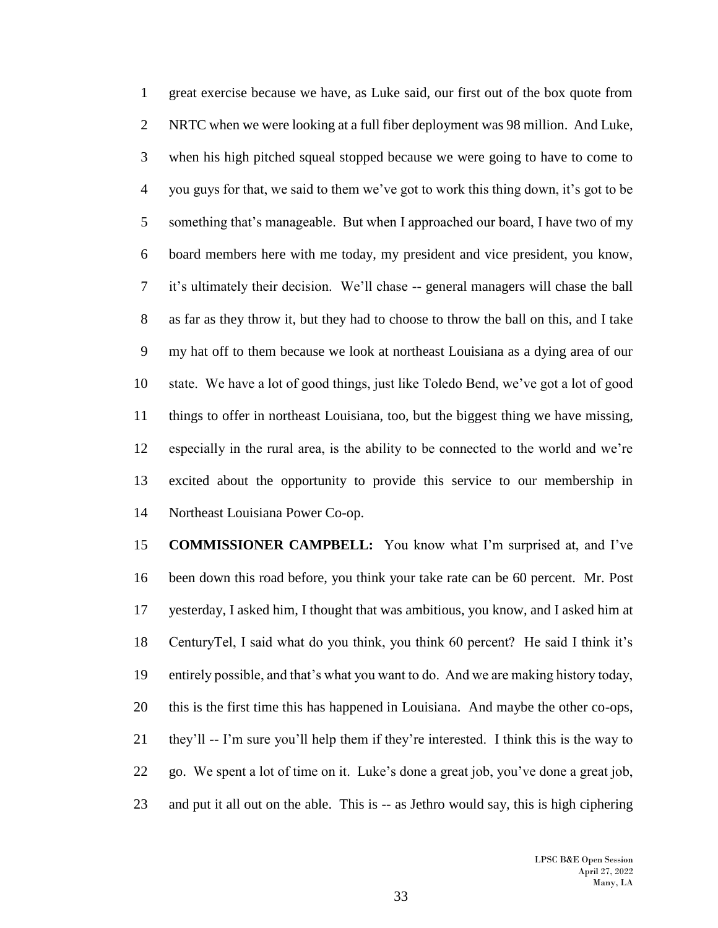great exercise because we have, as Luke said, our first out of the box quote from NRTC when we were looking at a full fiber deployment was 98 million. And Luke, when his high pitched squeal stopped because we were going to have to come to you guys for that, we said to them we've got to work this thing down, it's got to be something that's manageable. But when I approached our board, I have two of my board members here with me today, my president and vice president, you know, it's ultimately their decision. We'll chase -- general managers will chase the ball as far as they throw it, but they had to choose to throw the ball on this, and I take my hat off to them because we look at northeast Louisiana as a dying area of our state. We have a lot of good things, just like Toledo Bend, we've got a lot of good things to offer in northeast Louisiana, too, but the biggest thing we have missing, especially in the rural area, is the ability to be connected to the world and we're excited about the opportunity to provide this service to our membership in Northeast Louisiana Power Co-op.

 **COMMISSIONER CAMPBELL:** You know what I'm surprised at, and I've been down this road before, you think your take rate can be 60 percent. Mr. Post yesterday, I asked him, I thought that was ambitious, you know, and I asked him at CenturyTel, I said what do you think, you think 60 percent? He said I think it's entirely possible, and that's what you want to do. And we are making history today, this is the first time this has happened in Louisiana. And maybe the other co-ops, they'll -- I'm sure you'll help them if they're interested. I think this is the way to go. We spent a lot of time on it. Luke's done a great job, you've done a great job, and put it all out on the able. This is -- as Jethro would say, this is high ciphering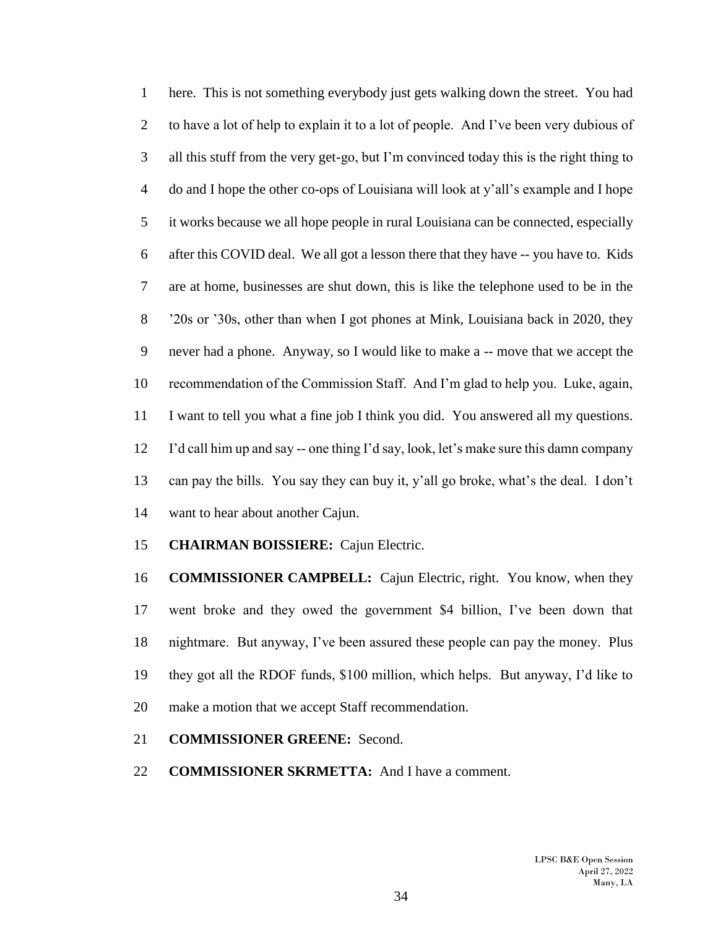here. This is not something everybody just gets walking down the street. You had 2 to have a lot of help to explain it to a lot of people. And I've been very dubious of all this stuff from the very get-go, but I'm convinced today this is the right thing to do and I hope the other co-ops of Louisiana will look at y'all's example and I hope it works because we all hope people in rural Louisiana can be connected, especially after this COVID deal. We all got a lesson there that they have -- you have to. Kids are at home, businesses are shut down, this is like the telephone used to be in the '20s or '30s, other than when I got phones at Mink, Louisiana back in 2020, they never had a phone. Anyway, so I would like to make a -- move that we accept the recommendation of the Commission Staff. And I'm glad to help you. Luke, again, I want to tell you what a fine job I think you did. You answered all my questions. I'd call him up and say -- one thing I'd say, look, let's make sure this damn company can pay the bills. You say they can buy it, y'all go broke, what's the deal. I don't want to hear about another Cajun.

### **CHAIRMAN BOISSIERE:** Cajun Electric.

 **COMMISSIONER CAMPBELL:** Cajun Electric, right. You know, when they went broke and they owed the government \$4 billion, I've been down that nightmare. But anyway, I've been assured these people can pay the money. Plus they got all the RDOF funds, \$100 million, which helps. But anyway, I'd like to make a motion that we accept Staff recommendation.

### **COMMISSIONER GREENE:** Second.

**COMMISSIONER SKRMETTA:** And I have a comment.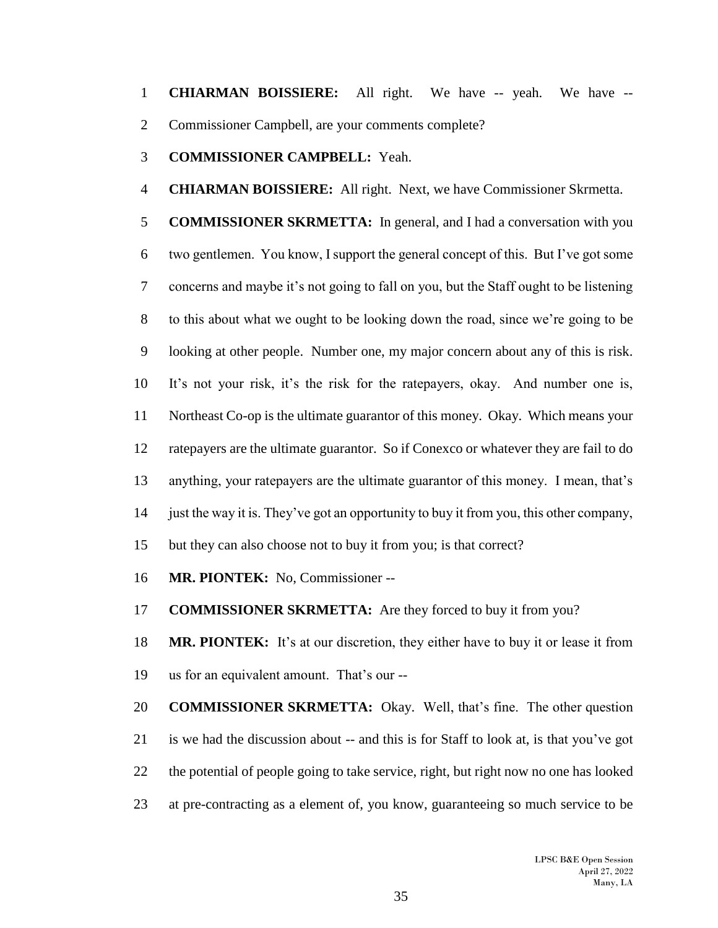**CHIARMAN BOISSIERE:** All right. We have -- yeah. We have -- Commissioner Campbell, are your comments complete?

**COMMISSIONER CAMPBELL:** Yeah.

**CHIARMAN BOISSIERE:** All right. Next, we have Commissioner Skrmetta.

 **COMMISSIONER SKRMETTA:** In general, and I had a conversation with you two gentlemen. You know, I support the general concept of this. But I've got some concerns and maybe it's not going to fall on you, but the Staff ought to be listening to this about what we ought to be looking down the road, since we're going to be looking at other people. Number one, my major concern about any of this is risk. It's not your risk, it's the risk for the ratepayers, okay. And number one is, Northeast Co-op is the ultimate guarantor of this money. Okay. Which means your ratepayers are the ultimate guarantor. So if Conexco or whatever they are fail to do anything, your ratepayers are the ultimate guarantor of this money. I mean, that's just the way it is. They've got an opportunity to buy it from you, this other company, but they can also choose not to buy it from you; is that correct?

**MR. PIONTEK:** No, Commissioner --

**COMMISSIONER SKRMETTA:** Are they forced to buy it from you?

 **MR. PIONTEK:** It's at our discretion, they either have to buy it or lease it from us for an equivalent amount. That's our --

 **COMMISSIONER SKRMETTA:** Okay. Well, that's fine. The other question is we had the discussion about -- and this is for Staff to look at, is that you've got the potential of people going to take service, right, but right now no one has looked at pre-contracting as a element of, you know, guaranteeing so much service to be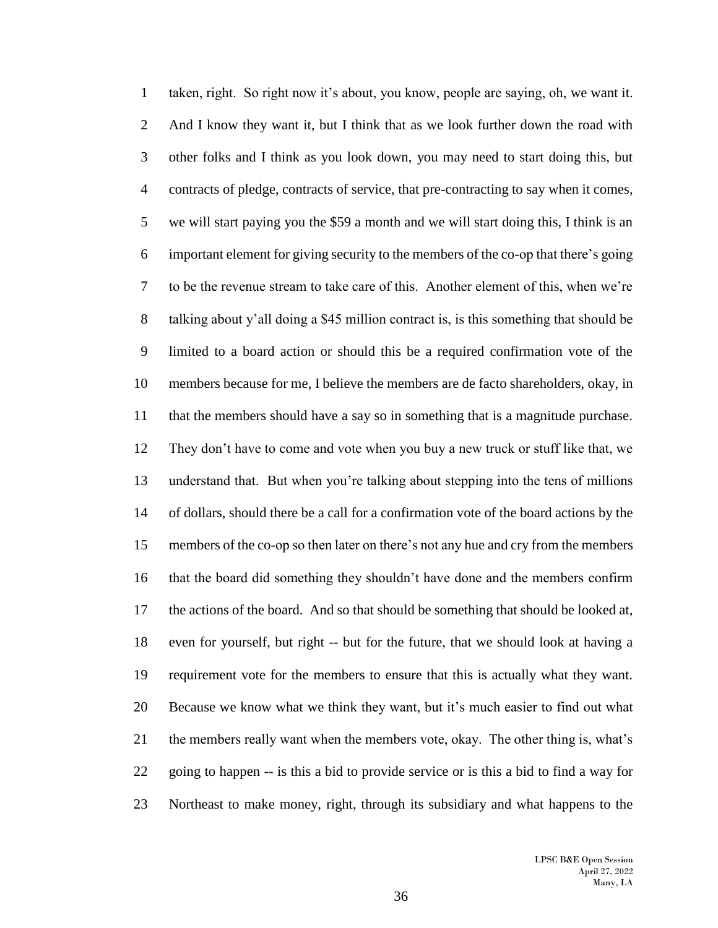taken, right. So right now it's about, you know, people are saying, oh, we want it. And I know they want it, but I think that as we look further down the road with other folks and I think as you look down, you may need to start doing this, but contracts of pledge, contracts of service, that pre-contracting to say when it comes, we will start paying you the \$59 a month and we will start doing this, I think is an important element for giving security to the members of the co-op that there's going to be the revenue stream to take care of this. Another element of this, when we're talking about y'all doing a \$45 million contract is, is this something that should be limited to a board action or should this be a required confirmation vote of the members because for me, I believe the members are de facto shareholders, okay, in that the members should have a say so in something that is a magnitude purchase. They don't have to come and vote when you buy a new truck or stuff like that, we understand that. But when you're talking about stepping into the tens of millions of dollars, should there be a call for a confirmation vote of the board actions by the members of the co-op so then later on there's not any hue and cry from the members that the board did something they shouldn't have done and the members confirm the actions of the board. And so that should be something that should be looked at, even for yourself, but right -- but for the future, that we should look at having a requirement vote for the members to ensure that this is actually what they want. Because we know what we think they want, but it's much easier to find out what the members really want when the members vote, okay. The other thing is, what's going to happen -- is this a bid to provide service or is this a bid to find a way for Northeast to make money, right, through its subsidiary and what happens to the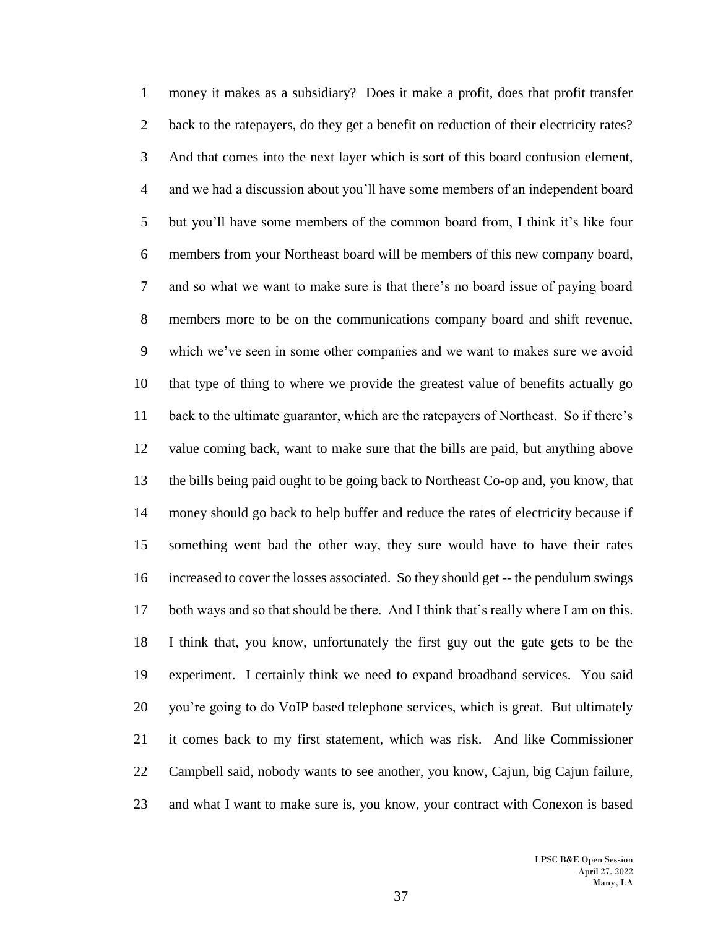money it makes as a subsidiary? Does it make a profit, does that profit transfer 2 back to the ratepayers, do they get a benefit on reduction of their electricity rates? And that comes into the next layer which is sort of this board confusion element, and we had a discussion about you'll have some members of an independent board but you'll have some members of the common board from, I think it's like four members from your Northeast board will be members of this new company board, and so what we want to make sure is that there's no board issue of paying board members more to be on the communications company board and shift revenue, which we've seen in some other companies and we want to makes sure we avoid that type of thing to where we provide the greatest value of benefits actually go back to the ultimate guarantor, which are the ratepayers of Northeast. So if there's value coming back, want to make sure that the bills are paid, but anything above the bills being paid ought to be going back to Northeast Co-op and, you know, that money should go back to help buffer and reduce the rates of electricity because if something went bad the other way, they sure would have to have their rates increased to cover the losses associated. So they should get -- the pendulum swings both ways and so that should be there. And I think that's really where I am on this. I think that, you know, unfortunately the first guy out the gate gets to be the experiment. I certainly think we need to expand broadband services. You said you're going to do VoIP based telephone services, which is great. But ultimately it comes back to my first statement, which was risk. And like Commissioner Campbell said, nobody wants to see another, you know, Cajun, big Cajun failure, and what I want to make sure is, you know, your contract with Conexon is based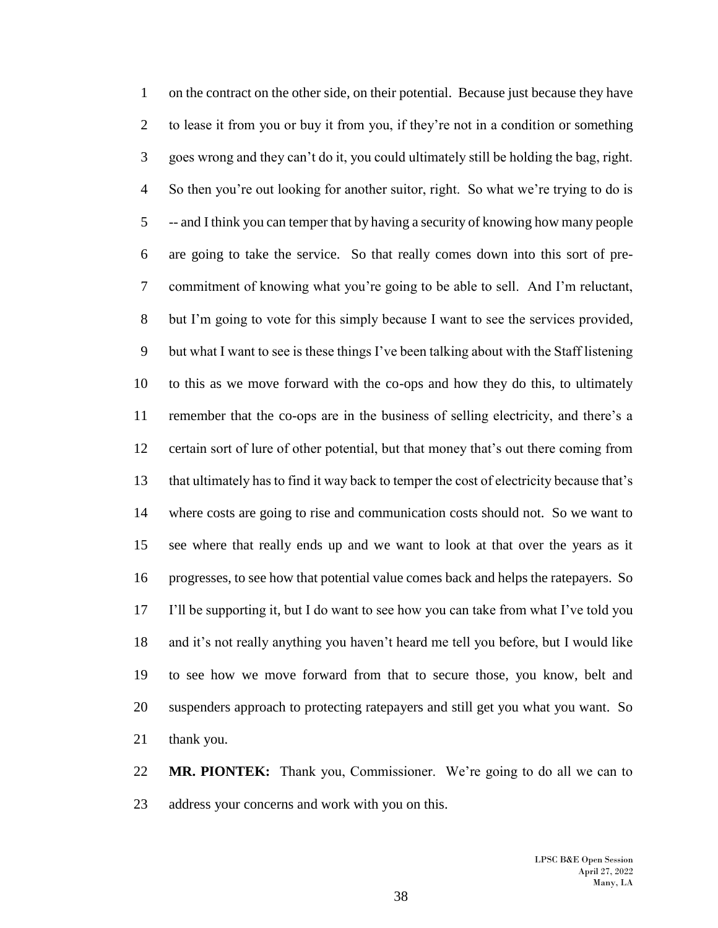on the contract on the other side, on their potential. Because just because they have to lease it from you or buy it from you, if they're not in a condition or something goes wrong and they can't do it, you could ultimately still be holding the bag, right. So then you're out looking for another suitor, right. So what we're trying to do is -- and I think you can temper that by having a security of knowing how many people are going to take the service. So that really comes down into this sort of pre- commitment of knowing what you're going to be able to sell. And I'm reluctant, but I'm going to vote for this simply because I want to see the services provided, but what I want to see is these things I've been talking about with the Staff listening to this as we move forward with the co-ops and how they do this, to ultimately remember that the co-ops are in the business of selling electricity, and there's a certain sort of lure of other potential, but that money that's out there coming from that ultimately has to find it way back to temper the cost of electricity because that's where costs are going to rise and communication costs should not. So we want to see where that really ends up and we want to look at that over the years as it progresses, to see how that potential value comes back and helps the ratepayers. So I'll be supporting it, but I do want to see how you can take from what I've told you and it's not really anything you haven't heard me tell you before, but I would like to see how we move forward from that to secure those, you know, belt and suspenders approach to protecting ratepayers and still get you what you want. So thank you.

 **MR. PIONTEK:** Thank you, Commissioner. We're going to do all we can to address your concerns and work with you on this.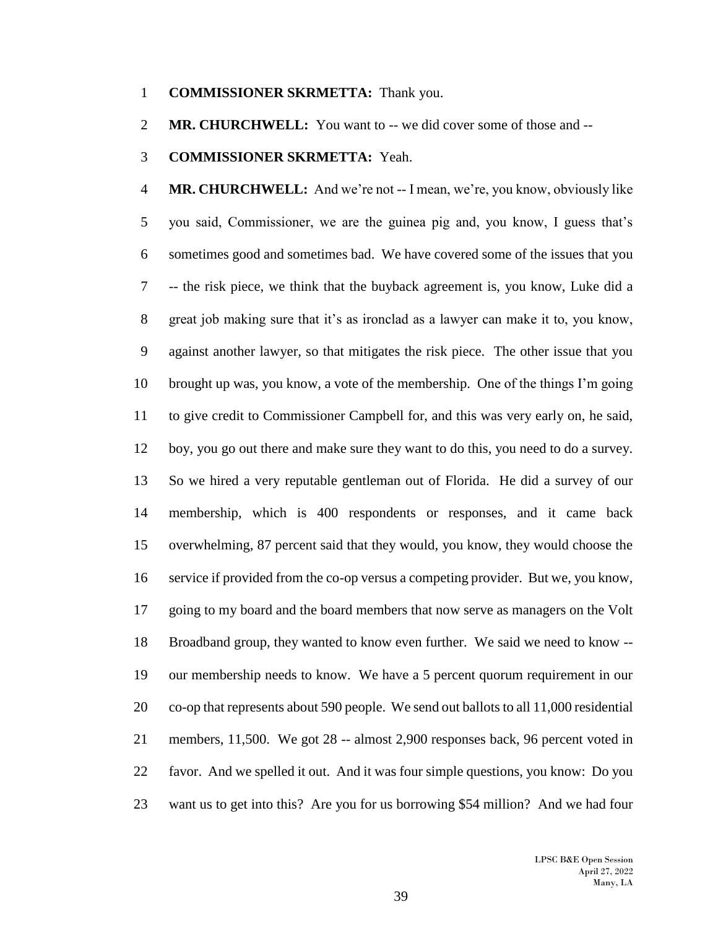#### **COMMISSIONER SKRMETTA:** Thank you.

**MR. CHURCHWELL:** You want to -- we did cover some of those and --

#### **COMMISSIONER SKRMETTA:** Yeah.

 **MR. CHURCHWELL:** And we're not -- I mean, we're, you know, obviously like you said, Commissioner, we are the guinea pig and, you know, I guess that's sometimes good and sometimes bad. We have covered some of the issues that you -- the risk piece, we think that the buyback agreement is, you know, Luke did a great job making sure that it's as ironclad as a lawyer can make it to, you know, against another lawyer, so that mitigates the risk piece. The other issue that you brought up was, you know, a vote of the membership. One of the things I'm going to give credit to Commissioner Campbell for, and this was very early on, he said, boy, you go out there and make sure they want to do this, you need to do a survey. So we hired a very reputable gentleman out of Florida. He did a survey of our membership, which is 400 respondents or responses, and it came back overwhelming, 87 percent said that they would, you know, they would choose the service if provided from the co-op versus a competing provider. But we, you know, going to my board and the board members that now serve as managers on the Volt Broadband group, they wanted to know even further. We said we need to know -- our membership needs to know. We have a 5 percent quorum requirement in our co-op that represents about 590 people. We send out ballots to all 11,000 residential members, 11,500. We got 28 -- almost 2,900 responses back, 96 percent voted in favor. And we spelled it out. And it was four simple questions, you know: Do you want us to get into this? Are you for us borrowing \$54 million? And we had four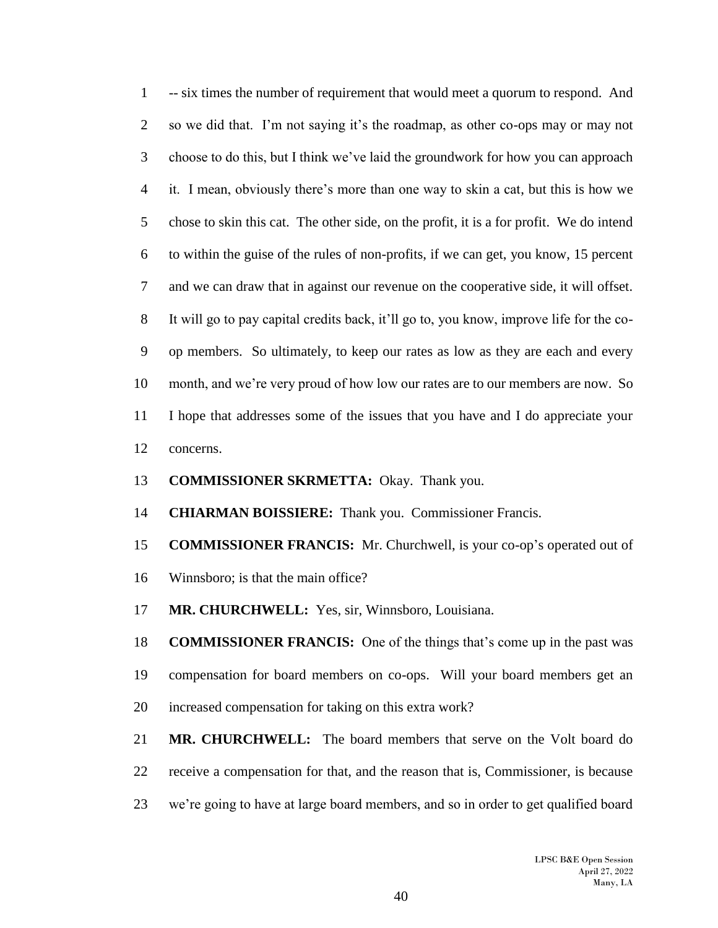-- six times the number of requirement that would meet a quorum to respond. And so we did that. I'm not saying it's the roadmap, as other co-ops may or may not choose to do this, but I think we've laid the groundwork for how you can approach it. I mean, obviously there's more than one way to skin a cat, but this is how we chose to skin this cat. The other side, on the profit, it is a for profit. We do intend to within the guise of the rules of non-profits, if we can get, you know, 15 percent and we can draw that in against our revenue on the cooperative side, it will offset. It will go to pay capital credits back, it'll go to, you know, improve life for the co- op members. So ultimately, to keep our rates as low as they are each and every month, and we're very proud of how low our rates are to our members are now. So I hope that addresses some of the issues that you have and I do appreciate your concerns.

- **COMMISSIONER SKRMETTA:** Okay. Thank you.
- **CHIARMAN BOISSIERE:** Thank you. Commissioner Francis.
- **COMMISSIONER FRANCIS:** Mr. Churchwell, is your co-op's operated out of
- Winnsboro; is that the main office?
- **MR. CHURCHWELL:** Yes, sir, Winnsboro, Louisiana.

 **COMMISSIONER FRANCIS:** One of the things that's come up in the past was compensation for board members on co-ops. Will your board members get an increased compensation for taking on this extra work?

 **MR. CHURCHWELL:** The board members that serve on the Volt board do receive a compensation for that, and the reason that is, Commissioner, is because we're going to have at large board members, and so in order to get qualified board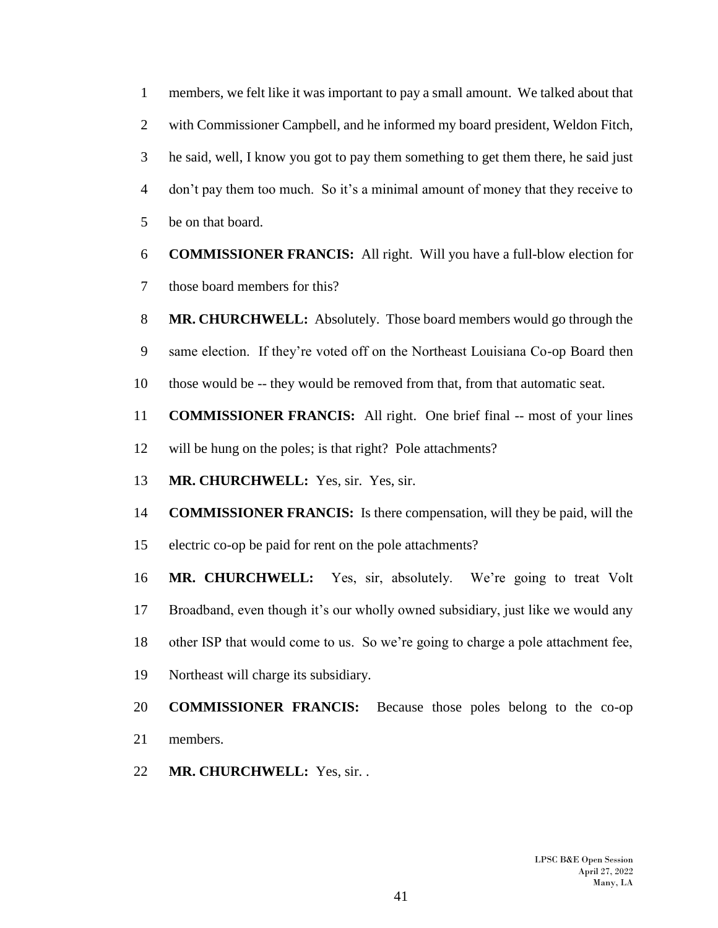members, we felt like it was important to pay a small amount. We talked about that with Commissioner Campbell, and he informed my board president, Weldon Fitch, he said, well, I know you got to pay them something to get them there, he said just don't pay them too much. So it's a minimal amount of money that they receive to be on that board.

- **COMMISSIONER FRANCIS:** All right. Will you have a full-blow election for those board members for this?
- **MR. CHURCHWELL:** Absolutely. Those board members would go through the same election. If they're voted off on the Northeast Louisiana Co-op Board then those would be -- they would be removed from that, from that automatic seat.
- **COMMISSIONER FRANCIS:** All right. One brief final -- most of your lines will be hung on the poles; is that right? Pole attachments?
- **MR. CHURCHWELL:** Yes, sir. Yes, sir.
- **COMMISSIONER FRANCIS:** Is there compensation, will they be paid, will the
- electric co-op be paid for rent on the pole attachments?

 **MR. CHURCHWELL:** Yes, sir, absolutely. We're going to treat Volt Broadband, even though it's our wholly owned subsidiary, just like we would any other ISP that would come to us. So we're going to charge a pole attachment fee, Northeast will charge its subsidiary.

- **COMMISSIONER FRANCIS:** Because those poles belong to the co-op members.
- **MR. CHURCHWELL:** Yes, sir. .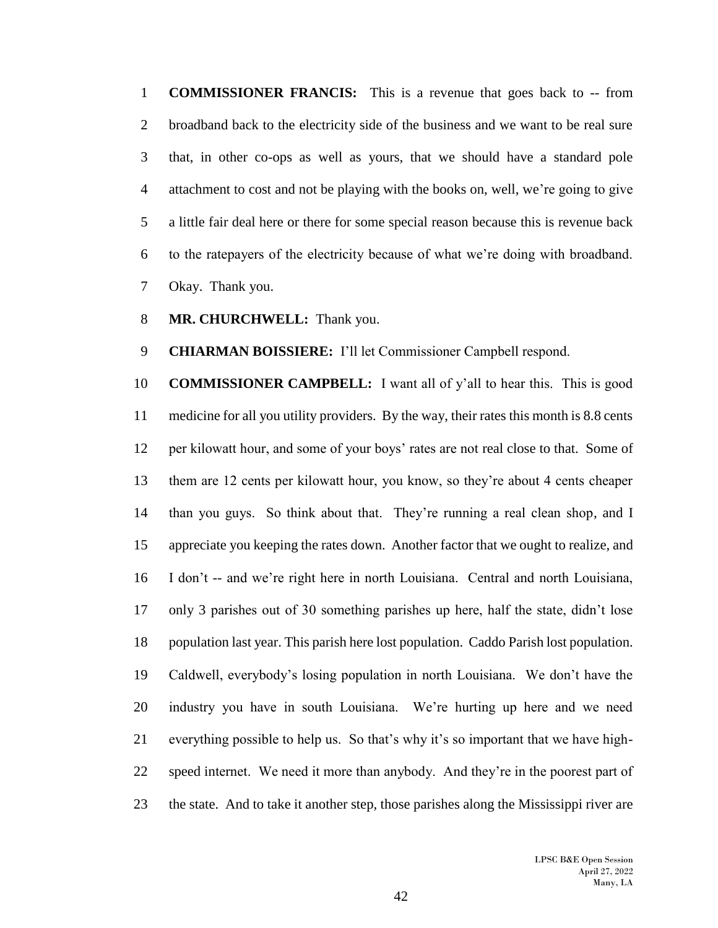**COMMISSIONER FRANCIS:** This is a revenue that goes back to -- from broadband back to the electricity side of the business and we want to be real sure that, in other co-ops as well as yours, that we should have a standard pole attachment to cost and not be playing with the books on, well, we're going to give a little fair deal here or there for some special reason because this is revenue back to the ratepayers of the electricity because of what we're doing with broadband. Okay. Thank you.

**MR. CHURCHWELL:** Thank you.

**CHIARMAN BOISSIERE:** I'll let Commissioner Campbell respond.

 **COMMISSIONER CAMPBELL:** I want all of y'all to hear this. This is good medicine for all you utility providers. By the way, their rates this month is 8.8 cents per kilowatt hour, and some of your boys' rates are not real close to that. Some of them are 12 cents per kilowatt hour, you know, so they're about 4 cents cheaper than you guys. So think about that. They're running a real clean shop, and I appreciate you keeping the rates down. Another factor that we ought to realize, and I don't -- and we're right here in north Louisiana. Central and north Louisiana, only 3 parishes out of 30 something parishes up here, half the state, didn't lose population last year. This parish here lost population. Caddo Parish lost population. Caldwell, everybody's losing population in north Louisiana. We don't have the industry you have in south Louisiana. We're hurting up here and we need everything possible to help us. So that's why it's so important that we have high- speed internet. We need it more than anybody. And they're in the poorest part of the state. And to take it another step, those parishes along the Mississippi river are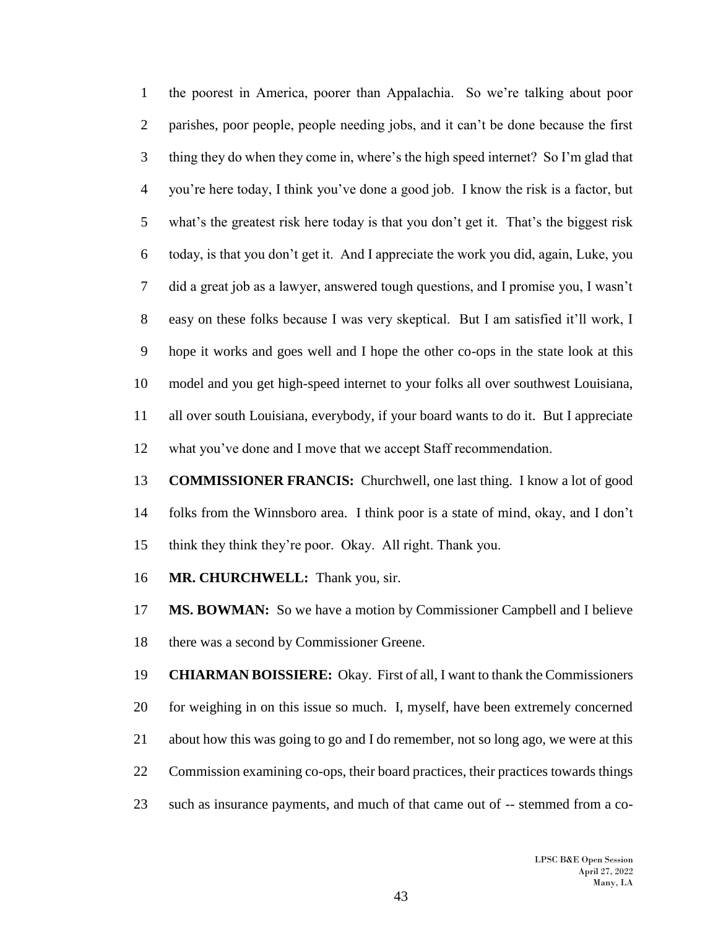the poorest in America, poorer than Appalachia. So we're talking about poor parishes, poor people, people needing jobs, and it can't be done because the first thing they do when they come in, where's the high speed internet? So I'm glad that you're here today, I think you've done a good job. I know the risk is a factor, but what's the greatest risk here today is that you don't get it. That's the biggest risk today, is that you don't get it. And I appreciate the work you did, again, Luke, you did a great job as a lawyer, answered tough questions, and I promise you, I wasn't easy on these folks because I was very skeptical. But I am satisfied it'll work, I hope it works and goes well and I hope the other co-ops in the state look at this model and you get high-speed internet to your folks all over southwest Louisiana, all over south Louisiana, everybody, if your board wants to do it. But I appreciate what you've done and I move that we accept Staff recommendation.

 **COMMISSIONER FRANCIS:** Churchwell, one last thing. I know a lot of good folks from the Winnsboro area. I think poor is a state of mind, okay, and I don't think they think they're poor. Okay. All right. Thank you.

**MR. CHURCHWELL:** Thank you, sir.

**MS. BOWMAN:** So we have a motion by Commissioner Campbell and I believe there was a second by Commissioner Greene.

 **CHIARMAN BOISSIERE:** Okay. First of all, I want to thank the Commissioners for weighing in on this issue so much. I, myself, have been extremely concerned about how this was going to go and I do remember, not so long ago, we were at this Commission examining co-ops, their board practices, their practices towards things such as insurance payments, and much of that came out of -- stemmed from a co-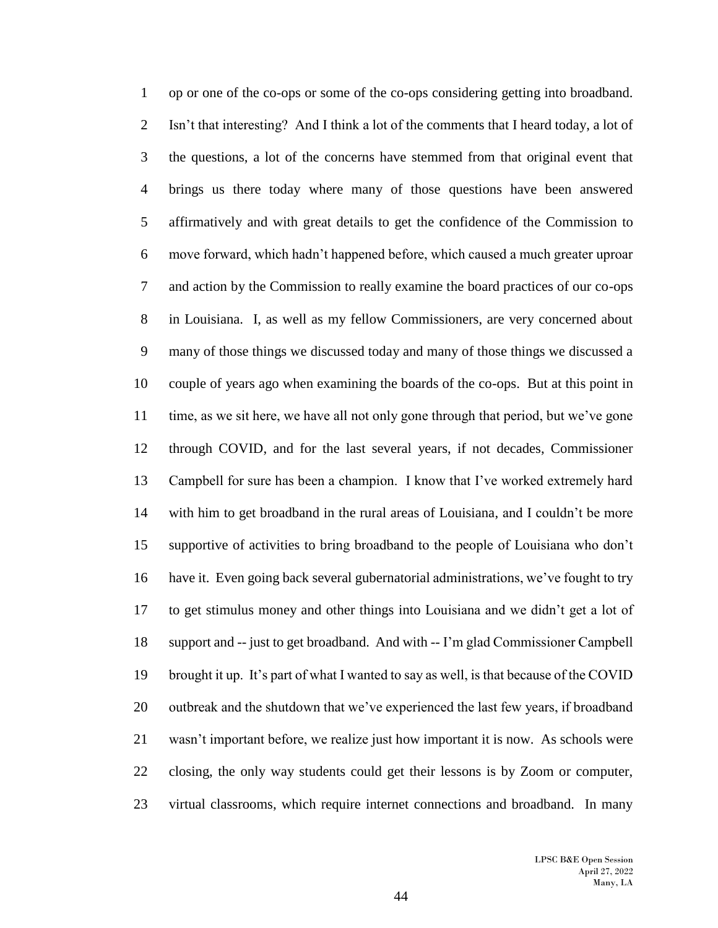op or one of the co-ops or some of the co-ops considering getting into broadband. Isn't that interesting? And I think a lot of the comments that I heard today, a lot of the questions, a lot of the concerns have stemmed from that original event that brings us there today where many of those questions have been answered affirmatively and with great details to get the confidence of the Commission to move forward, which hadn't happened before, which caused a much greater uproar and action by the Commission to really examine the board practices of our co-ops in Louisiana. I, as well as my fellow Commissioners, are very concerned about many of those things we discussed today and many of those things we discussed a couple of years ago when examining the boards of the co-ops. But at this point in time, as we sit here, we have all not only gone through that period, but we've gone through COVID, and for the last several years, if not decades, Commissioner Campbell for sure has been a champion. I know that I've worked extremely hard with him to get broadband in the rural areas of Louisiana, and I couldn't be more supportive of activities to bring broadband to the people of Louisiana who don't have it. Even going back several gubernatorial administrations, we've fought to try to get stimulus money and other things into Louisiana and we didn't get a lot of support and -- just to get broadband. And with -- I'm glad Commissioner Campbell brought it up. It's part of what I wanted to say as well, is that because of the COVID outbreak and the shutdown that we've experienced the last few years, if broadband wasn't important before, we realize just how important it is now. As schools were closing, the only way students could get their lessons is by Zoom or computer, virtual classrooms, which require internet connections and broadband. In many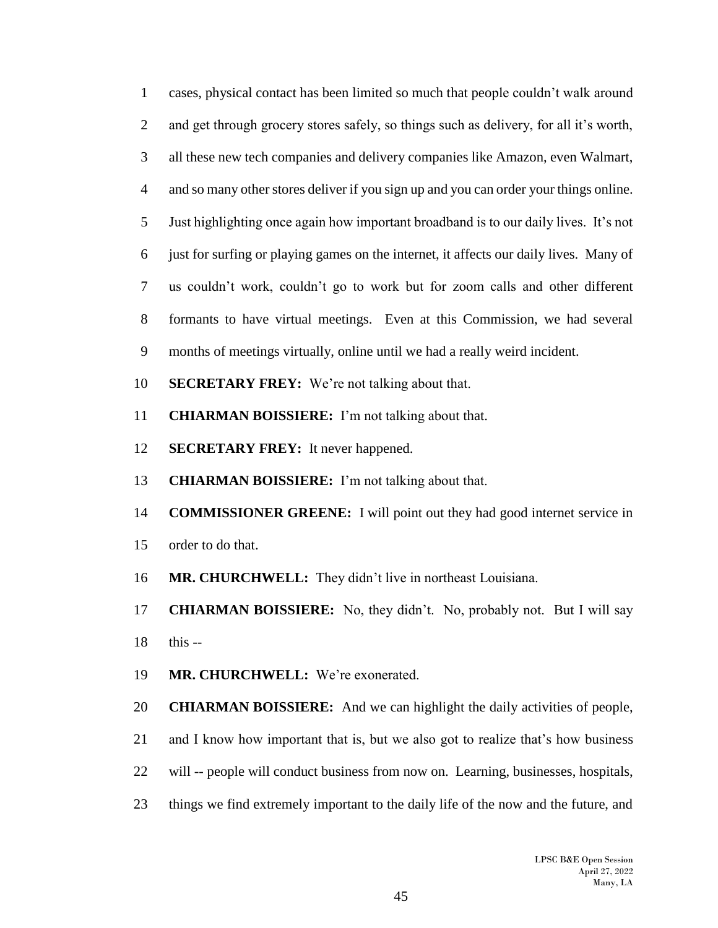cases, physical contact has been limited so much that people couldn't walk around and get through grocery stores safely, so things such as delivery, for all it's worth, all these new tech companies and delivery companies like Amazon, even Walmart, and so many other stores deliver if you sign up and you can order your things online. Just highlighting once again how important broadband is to our daily lives. It's not just for surfing or playing games on the internet, it affects our daily lives. Many of us couldn't work, couldn't go to work but for zoom calls and other different formants to have virtual meetings. Even at this Commission, we had several months of meetings virtually, online until we had a really weird incident.

- **SECRETARY FREY:** We're not talking about that.
- **CHIARMAN BOISSIERE:** I'm not talking about that.
- **SECRETARY FREY:** It never happened.
- **CHIARMAN BOISSIERE:** I'm not talking about that.
- **COMMISSIONER GREENE:** I will point out they had good internet service in
- order to do that.
- **MR. CHURCHWELL:** They didn't live in northeast Louisiana.
- **CHIARMAN BOISSIERE:** No, they didn't. No, probably not. But I will say this --
- **MR. CHURCHWELL:** We're exonerated.
- **CHIARMAN BOISSIERE:** And we can highlight the daily activities of people,
- and I know how important that is, but we also got to realize that's how business
- will -- people will conduct business from now on. Learning, businesses, hospitals,
- things we find extremely important to the daily life of the now and the future, and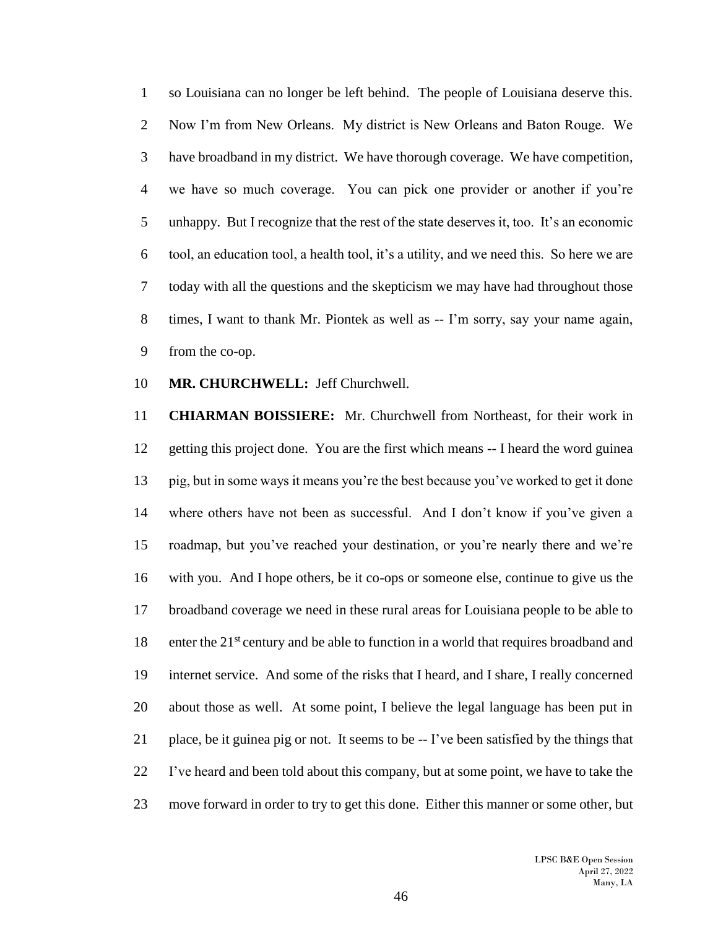so Louisiana can no longer be left behind. The people of Louisiana deserve this. Now I'm from New Orleans. My district is New Orleans and Baton Rouge. We have broadband in my district. We have thorough coverage. We have competition, we have so much coverage. You can pick one provider or another if you're unhappy. But I recognize that the rest of the state deserves it, too. It's an economic tool, an education tool, a health tool, it's a utility, and we need this. So here we are today with all the questions and the skepticism we may have had throughout those times, I want to thank Mr. Piontek as well as -- I'm sorry, say your name again, from the co-op.

**MR. CHURCHWELL:** Jeff Churchwell.

 **CHIARMAN BOISSIERE:** Mr. Churchwell from Northeast, for their work in getting this project done. You are the first which means -- I heard the word guinea pig, but in some ways it means you're the best because you've worked to get it done where others have not been as successful. And I don't know if you've given a roadmap, but you've reached your destination, or you're nearly there and we're with you. And I hope others, be it co-ops or someone else, continue to give us the broadband coverage we need in these rural areas for Louisiana people to be able to 18 enter the  $21<sup>st</sup>$  century and be able to function in a world that requires broadband and internet service. And some of the risks that I heard, and I share, I really concerned about those as well. At some point, I believe the legal language has been put in place, be it guinea pig or not. It seems to be -- I've been satisfied by the things that I've heard and been told about this company, but at some point, we have to take the move forward in order to try to get this done. Either this manner or some other, but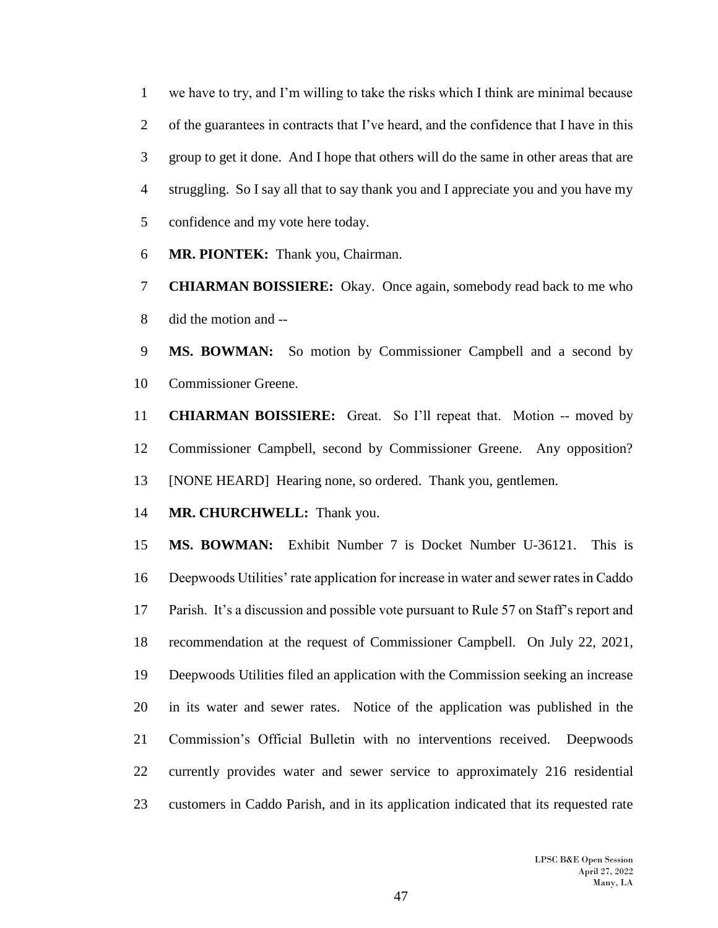we have to try, and I'm willing to take the risks which I think are minimal because 2 of the guarantees in contracts that I've heard, and the confidence that I have in this group to get it done. And I hope that others will do the same in other areas that are struggling. So I say all that to say thank you and I appreciate you and you have my confidence and my vote here today.

**MR. PIONTEK:** Thank you, Chairman.

 **CHIARMAN BOISSIERE:** Okay. Once again, somebody read back to me who did the motion and --

 **MS. BOWMAN:** So motion by Commissioner Campbell and a second by Commissioner Greene.

 **CHIARMAN BOISSIERE:** Great. So I'll repeat that. Motion -- moved by Commissioner Campbell, second by Commissioner Greene. Any opposition? [NONE HEARD] Hearing none, so ordered. Thank you, gentlemen.

**MR. CHURCHWELL:** Thank you.

 **MS. BOWMAN:** Exhibit Number 7 is Docket Number U-36121. This is Deepwoods Utilities' rate application for increase in water and sewer rates in Caddo Parish. It's a discussion and possible vote pursuant to Rule 57 on Staff's report and recommendation at the request of Commissioner Campbell. On July 22, 2021, Deepwoods Utilities filed an application with the Commission seeking an increase in its water and sewer rates. Notice of the application was published in the Commission's Official Bulletin with no interventions received. Deepwoods currently provides water and sewer service to approximately 216 residential customers in Caddo Parish, and in its application indicated that its requested rate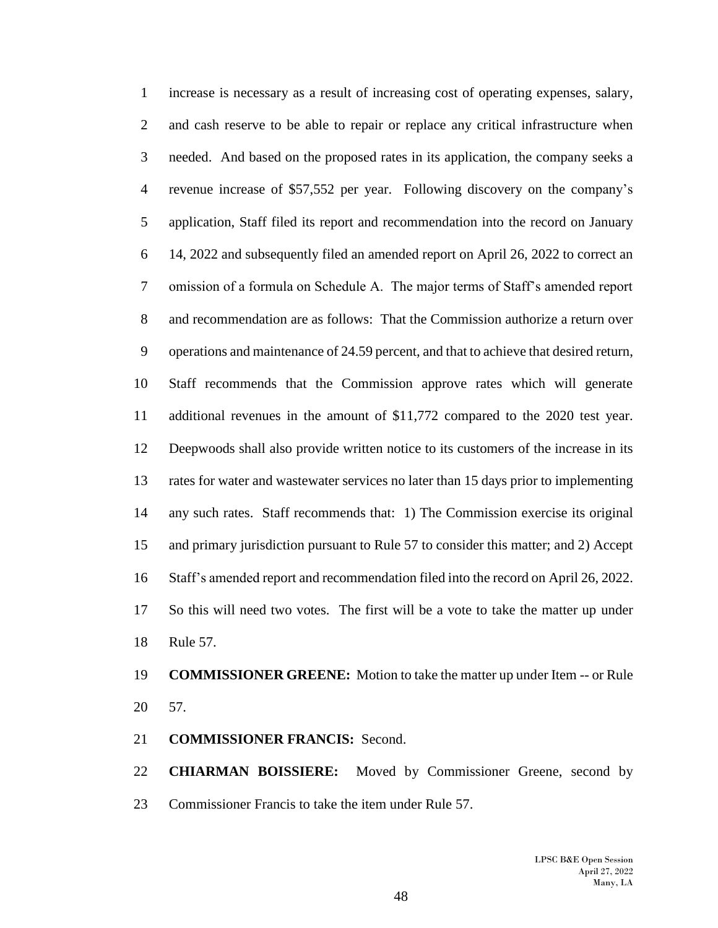increase is necessary as a result of increasing cost of operating expenses, salary, and cash reserve to be able to repair or replace any critical infrastructure when needed. And based on the proposed rates in its application, the company seeks a revenue increase of \$57,552 per year. Following discovery on the company's application, Staff filed its report and recommendation into the record on January 14, 2022 and subsequently filed an amended report on April 26, 2022 to correct an omission of a formula on Schedule A. The major terms of Staff's amended report and recommendation are as follows: That the Commission authorize a return over operations and maintenance of 24.59 percent, and that to achieve that desired return, Staff recommends that the Commission approve rates which will generate additional revenues in the amount of \$11,772 compared to the 2020 test year. Deepwoods shall also provide written notice to its customers of the increase in its rates for water and wastewater services no later than 15 days prior to implementing any such rates. Staff recommends that: 1) The Commission exercise its original and primary jurisdiction pursuant to Rule 57 to consider this matter; and 2) Accept Staff's amended report and recommendation filed into the record on April 26, 2022. So this will need two votes. The first will be a vote to take the matter up under Rule 57.

# **COMMISSIONER GREENE:** Motion to take the matter up under Item -- or Rule 57.

## **COMMISSIONER FRANCIS:** Second.

 **CHIARMAN BOISSIERE:** Moved by Commissioner Greene, second by Commissioner Francis to take the item under Rule 57.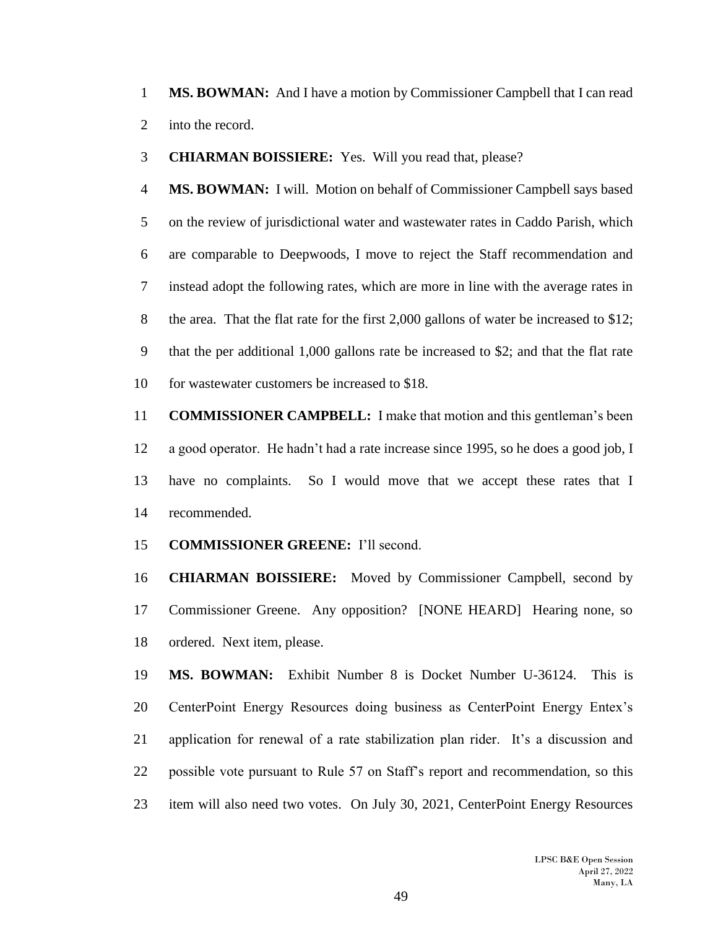**MS. BOWMAN:** And I have a motion by Commissioner Campbell that I can read into the record.

**CHIARMAN BOISSIERE:** Yes. Will you read that, please?

 **MS. BOWMAN:** I will. Motion on behalf of Commissioner Campbell says based on the review of jurisdictional water and wastewater rates in Caddo Parish, which are comparable to Deepwoods, I move to reject the Staff recommendation and instead adopt the following rates, which are more in line with the average rates in 8 the area. That the flat rate for the first 2,000 gallons of water be increased to \$12; that the per additional 1,000 gallons rate be increased to \$2; and that the flat rate for wastewater customers be increased to \$18.

 **COMMISSIONER CAMPBELL:** I make that motion and this gentleman's been a good operator. He hadn't had a rate increase since 1995, so he does a good job, I have no complaints. So I would move that we accept these rates that I recommended.

**COMMISSIONER GREENE:** I'll second.

 **CHIARMAN BOISSIERE:** Moved by Commissioner Campbell, second by Commissioner Greene. Any opposition? [NONE HEARD] Hearing none, so ordered. Next item, please.

 **MS. BOWMAN:** Exhibit Number 8 is Docket Number U-36124. This is CenterPoint Energy Resources doing business as CenterPoint Energy Entex's application for renewal of a rate stabilization plan rider. It's a discussion and possible vote pursuant to Rule 57 on Staff's report and recommendation, so this item will also need two votes. On July 30, 2021, CenterPoint Energy Resources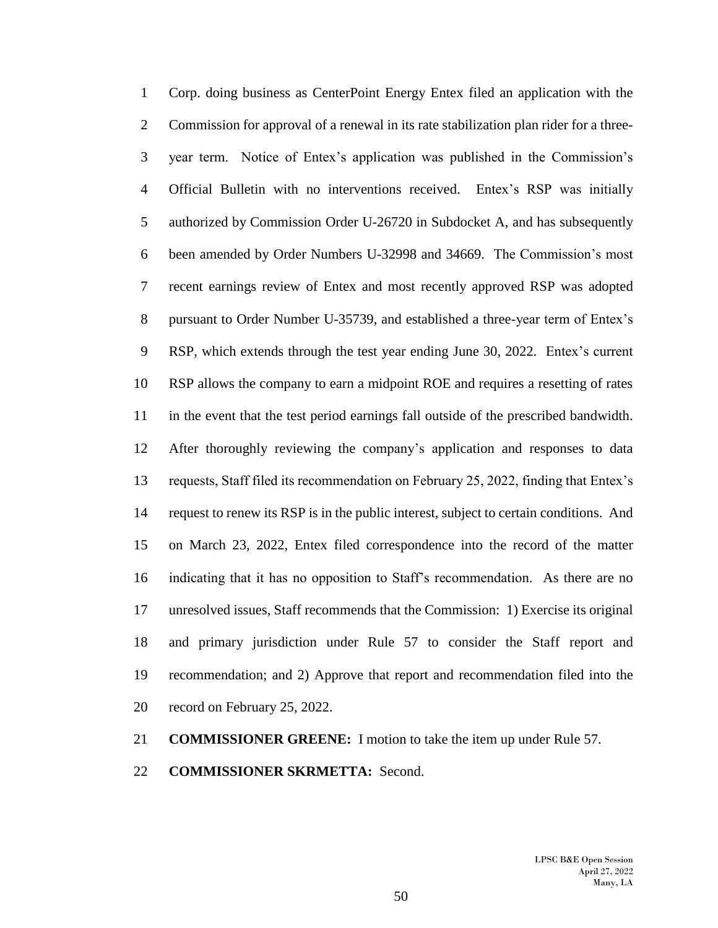Corp. doing business as CenterPoint Energy Entex filed an application with the Commission for approval of a renewal in its rate stabilization plan rider for a three- year term. Notice of Entex's application was published in the Commission's Official Bulletin with no interventions received. Entex's RSP was initially authorized by Commission Order U-26720 in Subdocket A, and has subsequently been amended by Order Numbers U-32998 and 34669. The Commission's most recent earnings review of Entex and most recently approved RSP was adopted pursuant to Order Number U-35739, and established a three-year term of Entex's RSP, which extends through the test year ending June 30, 2022. Entex's current RSP allows the company to earn a midpoint ROE and requires a resetting of rates in the event that the test period earnings fall outside of the prescribed bandwidth. After thoroughly reviewing the company's application and responses to data requests, Staff filed its recommendation on February 25, 2022, finding that Entex's request to renew its RSP is in the public interest, subject to certain conditions. And on March 23, 2022, Entex filed correspondence into the record of the matter indicating that it has no opposition to Staff's recommendation. As there are no unresolved issues, Staff recommends that the Commission: 1) Exercise its original and primary jurisdiction under Rule 57 to consider the Staff report and recommendation; and 2) Approve that report and recommendation filed into the record on February 25, 2022.

## **COMMISSIONER GREENE:** I motion to take the item up under Rule 57.

#### **COMMISSIONER SKRMETTA:** Second.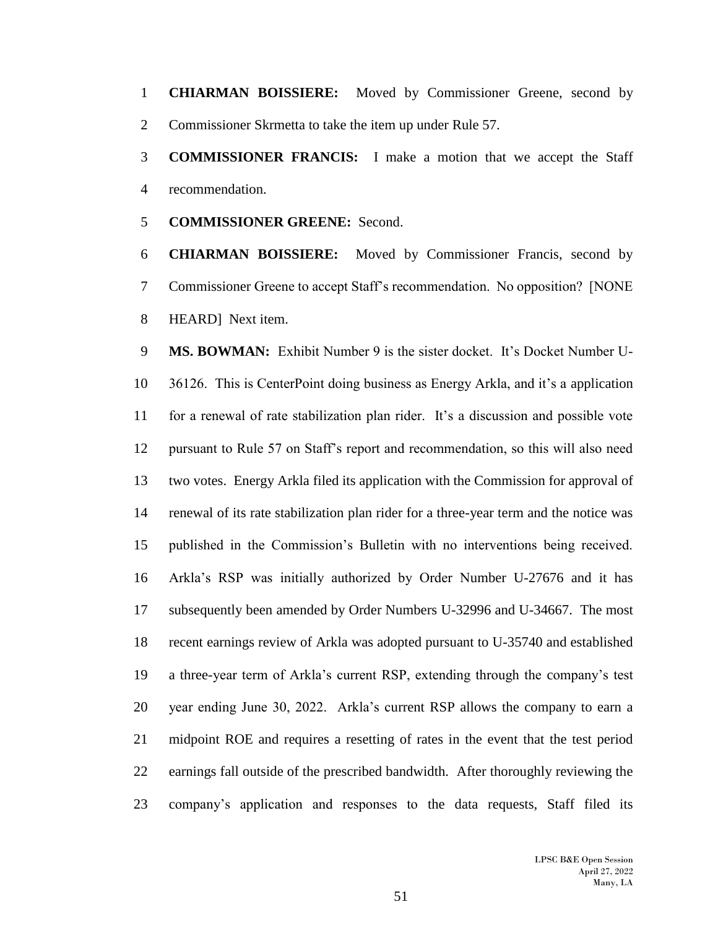**CHIARMAN BOISSIERE:** Moved by Commissioner Greene, second by Commissioner Skrmetta to take the item up under Rule 57.

 **COMMISSIONER FRANCIS:** I make a motion that we accept the Staff recommendation.

**COMMISSIONER GREENE:** Second.

 **CHIARMAN BOISSIERE:** Moved by Commissioner Francis, second by Commissioner Greene to accept Staff's recommendation. No opposition? [NONE HEARD] Next item.

 **MS. BOWMAN:** Exhibit Number 9 is the sister docket. It's Docket Number U- 36126. This is CenterPoint doing business as Energy Arkla, and it's a application for a renewal of rate stabilization plan rider. It's a discussion and possible vote pursuant to Rule 57 on Staff's report and recommendation, so this will also need two votes. Energy Arkla filed its application with the Commission for approval of renewal of its rate stabilization plan rider for a three-year term and the notice was published in the Commission's Bulletin with no interventions being received. Arkla's RSP was initially authorized by Order Number U-27676 and it has subsequently been amended by Order Numbers U-32996 and U-34667. The most recent earnings review of Arkla was adopted pursuant to U-35740 and established a three-year term of Arkla's current RSP, extending through the company's test year ending June 30, 2022. Arkla's current RSP allows the company to earn a midpoint ROE and requires a resetting of rates in the event that the test period earnings fall outside of the prescribed bandwidth. After thoroughly reviewing the company's application and responses to the data requests, Staff filed its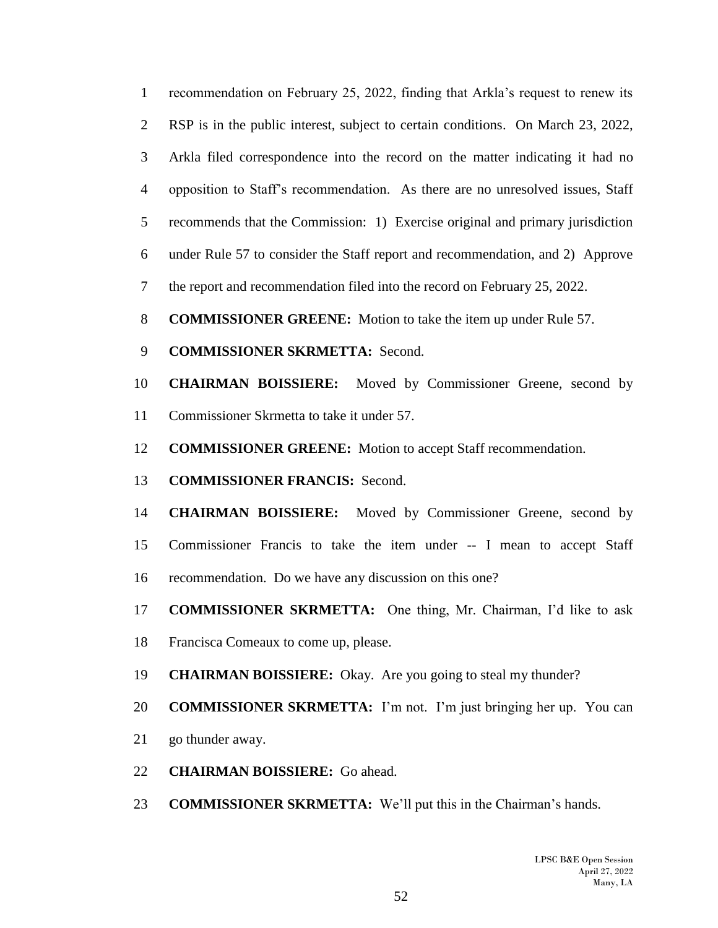recommendation on February 25, 2022, finding that Arkla's request to renew its RSP is in the public interest, subject to certain conditions. On March 23, 2022, Arkla filed correspondence into the record on the matter indicating it had no opposition to Staff's recommendation. As there are no unresolved issues, Staff recommends that the Commission: 1) Exercise original and primary jurisdiction under Rule 57 to consider the Staff report and recommendation, and 2) Approve the report and recommendation filed into the record on February 25, 2022.

- **COMMISSIONER GREENE:** Motion to take the item up under Rule 57.
- **COMMISSIONER SKRMETTA:** Second.
- **CHAIRMAN BOISSIERE:** Moved by Commissioner Greene, second by Commissioner Skrmetta to take it under 57.
- **COMMISSIONER GREENE:** Motion to accept Staff recommendation.
- **COMMISSIONER FRANCIS:** Second.
- **CHAIRMAN BOISSIERE:** Moved by Commissioner Greene, second by
- Commissioner Francis to take the item under -- I mean to accept Staff
- recommendation. Do we have any discussion on this one?
- **COMMISSIONER SKRMETTA:** One thing, Mr. Chairman, I'd like to ask
- Francisca Comeaux to come up, please.
- **CHAIRMAN BOISSIERE:** Okay. Are you going to steal my thunder?
- **COMMISSIONER SKRMETTA:** I'm not. I'm just bringing her up. You can
- go thunder away.
- **CHAIRMAN BOISSIERE:** Go ahead.
- **COMMISSIONER SKRMETTA:** We'll put this in the Chairman's hands.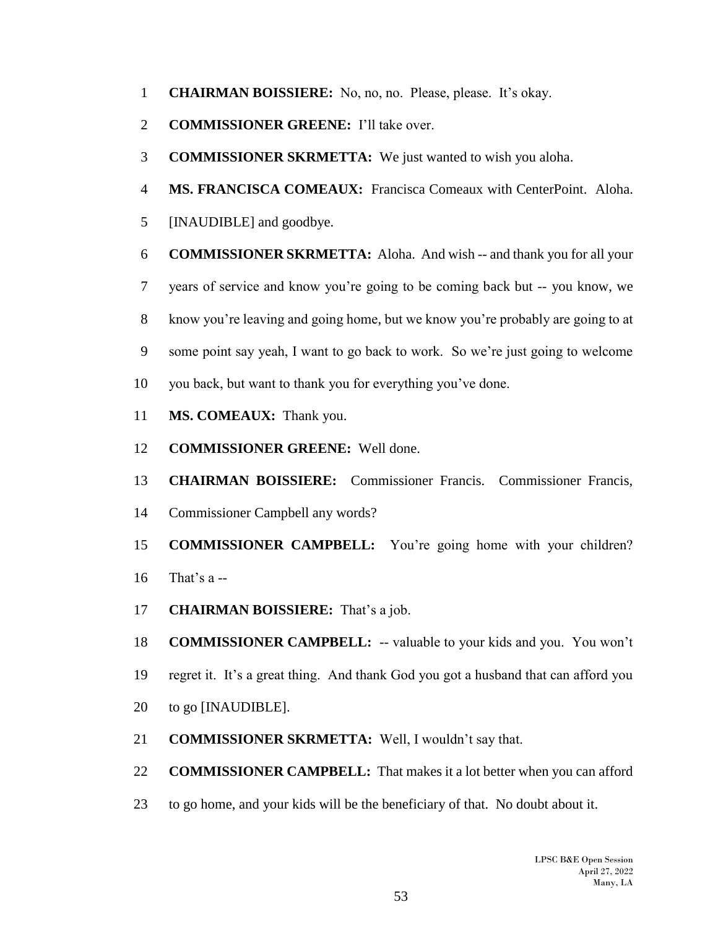- **CHAIRMAN BOISSIERE:** No, no, no. Please, please. It's okay.
- **COMMISSIONER GREENE:** I'll take over.
- **COMMISSIONER SKRMETTA:** We just wanted to wish you aloha.
- **MS. FRANCISCA COMEAUX:** Francisca Comeaux with CenterPoint. Aloha.
- [INAUDIBLE] and goodbye.
- **COMMISSIONER SKRMETTA:** Aloha. And wish -- and thank you for all your
- years of service and know you're going to be coming back but -- you know, we
- know you're leaving and going home, but we know you're probably are going to at
- some point say yeah, I want to go back to work. So we're just going to welcome
- you back, but want to thank you for everything you've done.
- **MS. COMEAUX:** Thank you.
- **COMMISSIONER GREENE:** Well done.
- **CHAIRMAN BOISSIERE:** Commissioner Francis. Commissioner Francis,
- Commissioner Campbell any words?
- **COMMISSIONER CAMPBELL:** You're going home with your children?
- That's a --
- **CHAIRMAN BOISSIERE:** That's a job.
- **COMMISSIONER CAMPBELL:** -- valuable to your kids and you. You won't
- regret it. It's a great thing. And thank God you got a husband that can afford you
- to go [INAUDIBLE].
- **COMMISSIONER SKRMETTA:** Well, I wouldn't say that.
- **COMMISSIONER CAMPBELL:** That makes it a lot better when you can afford
- to go home, and your kids will be the beneficiary of that. No doubt about it.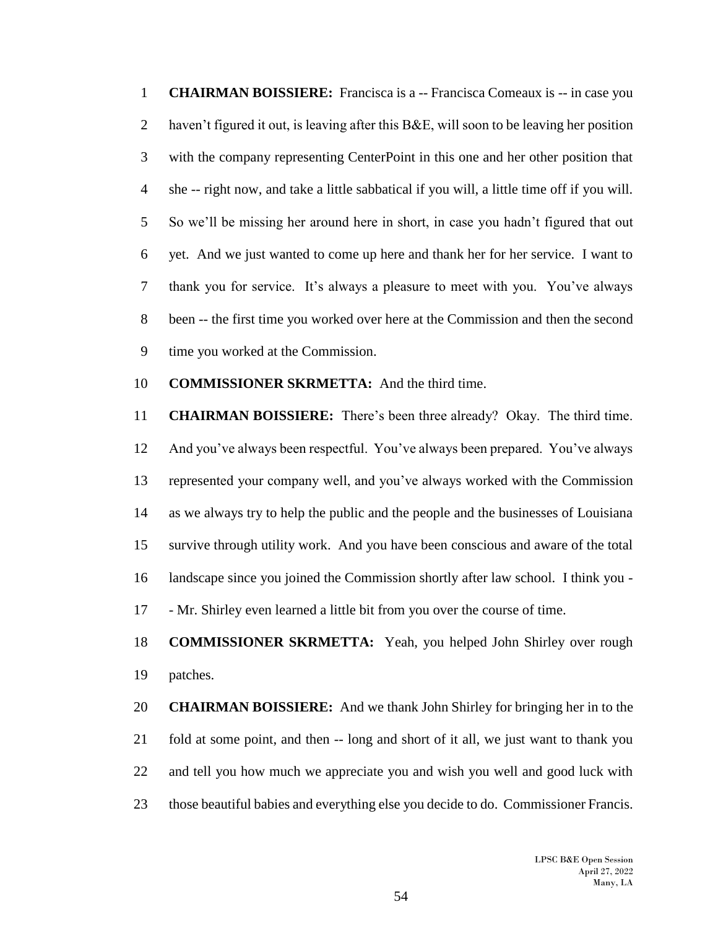**CHAIRMAN BOISSIERE:** Francisca is a -- Francisca Comeaux is -- in case you haven't figured it out, is leaving after this B&E, will soon to be leaving her position with the company representing CenterPoint in this one and her other position that she -- right now, and take a little sabbatical if you will, a little time off if you will. So we'll be missing her around here in short, in case you hadn't figured that out yet. And we just wanted to come up here and thank her for her service. I want to thank you for service. It's always a pleasure to meet with you. You've always been -- the first time you worked over here at the Commission and then the second time you worked at the Commission.

# **COMMISSIONER SKRMETTA:** And the third time.

 **CHAIRMAN BOISSIERE:** There's been three already? Okay. The third time. And you've always been respectful. You've always been prepared. You've always represented your company well, and you've always worked with the Commission as we always try to help the public and the people and the businesses of Louisiana survive through utility work. And you have been conscious and aware of the total landscape since you joined the Commission shortly after law school. I think you - - Mr. Shirley even learned a little bit from you over the course of time.

# **COMMISSIONER SKRMETTA:** Yeah, you helped John Shirley over rough patches.

 **CHAIRMAN BOISSIERE:** And we thank John Shirley for bringing her in to the fold at some point, and then -- long and short of it all, we just want to thank you and tell you how much we appreciate you and wish you well and good luck with those beautiful babies and everything else you decide to do. Commissioner Francis.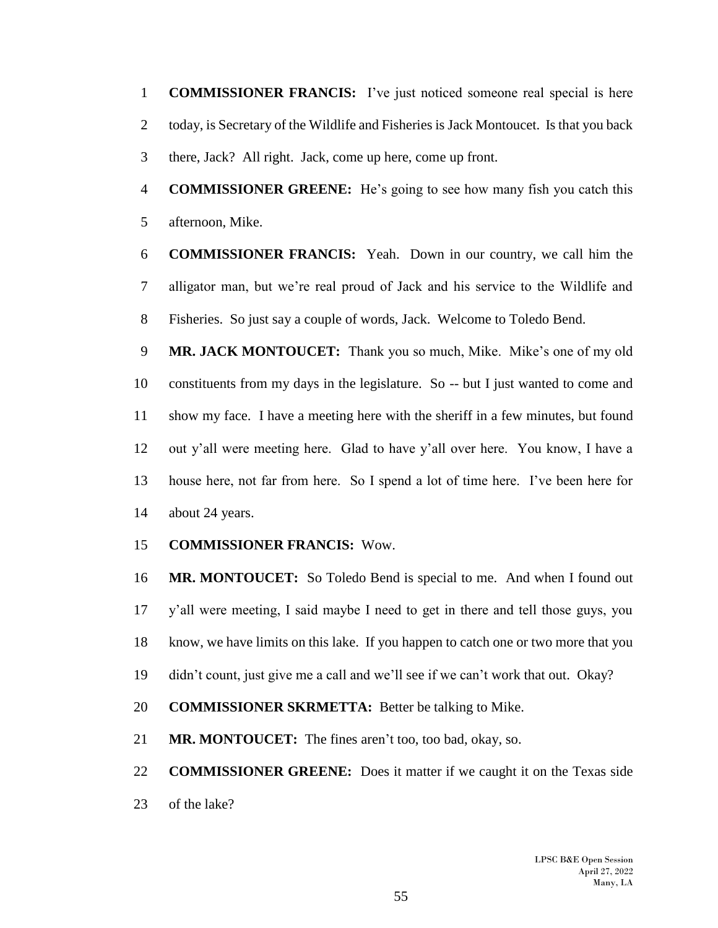**COMMISSIONER FRANCIS:** I've just noticed someone real special is here 2 today, is Secretary of the Wildlife and Fisheries is Jack Montoucet. Is that you back there, Jack? All right. Jack, come up here, come up front.

 **COMMISSIONER GREENE:** He's going to see how many fish you catch this afternoon, Mike.

 **COMMISSIONER FRANCIS:** Yeah. Down in our country, we call him the alligator man, but we're real proud of Jack and his service to the Wildlife and Fisheries. So just say a couple of words, Jack. Welcome to Toledo Bend.

 **MR. JACK MONTOUCET:** Thank you so much, Mike. Mike's one of my old constituents from my days in the legislature. So -- but I just wanted to come and show my face. I have a meeting here with the sheriff in a few minutes, but found out y'all were meeting here. Glad to have y'all over here. You know, I have a house here, not far from here. So I spend a lot of time here. I've been here for about 24 years.

#### **COMMISSIONER FRANCIS:** Wow.

 **MR. MONTOUCET:** So Toledo Bend is special to me. And when I found out y'all were meeting, I said maybe I need to get in there and tell those guys, you know, we have limits on this lake. If you happen to catch one or two more that you didn't count, just give me a call and we'll see if we can't work that out. Okay?

**COMMISSIONER SKRMETTA:** Better be talking to Mike.

**MR. MONTOUCET:** The fines aren't too, too bad, okay, so.

 **COMMISSIONER GREENE:** Does it matter if we caught it on the Texas side of the lake?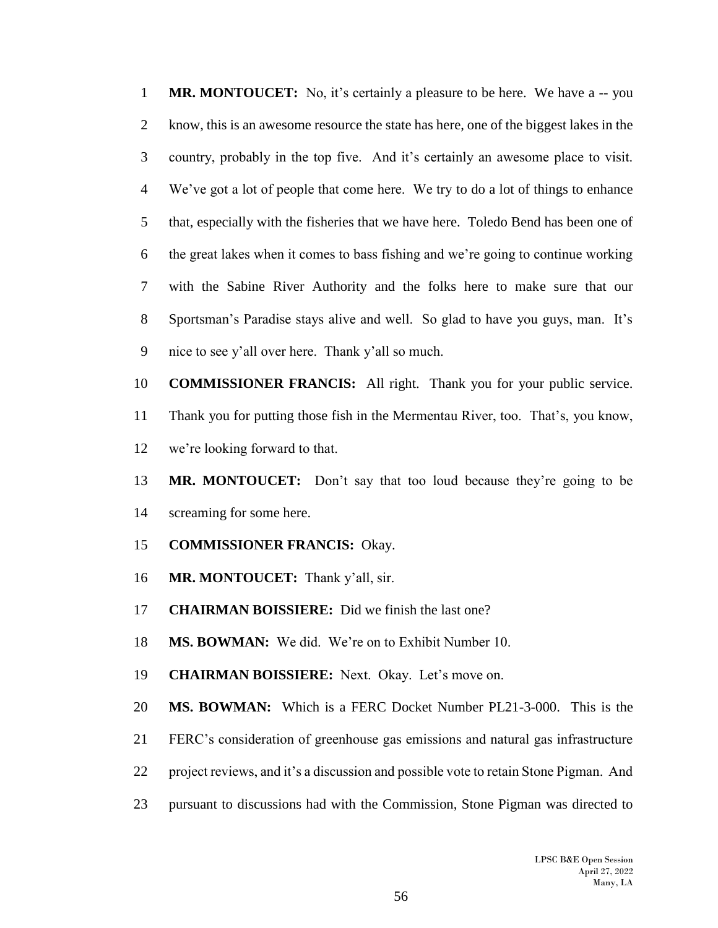**MR. MONTOUCET:** No, it's certainly a pleasure to be here. We have a -- you know, this is an awesome resource the state has here, one of the biggest lakes in the country, probably in the top five. And it's certainly an awesome place to visit. We've got a lot of people that come here. We try to do a lot of things to enhance that, especially with the fisheries that we have here. Toledo Bend has been one of the great lakes when it comes to bass fishing and we're going to continue working with the Sabine River Authority and the folks here to make sure that our Sportsman's Paradise stays alive and well. So glad to have you guys, man. It's nice to see y'all over here. Thank y'all so much.

 **COMMISSIONER FRANCIS:** All right. Thank you for your public service. Thank you for putting those fish in the Mermentau River, too. That's, you know, we're looking forward to that.

- **MR. MONTOUCET:** Don't say that too loud because they're going to be screaming for some here.
- **COMMISSIONER FRANCIS:** Okay.
- **MR. MONTOUCET:** Thank y'all, sir.
- **CHAIRMAN BOISSIERE:** Did we finish the last one?
- **MS. BOWMAN:** We did. We're on to Exhibit Number 10.
- **CHAIRMAN BOISSIERE:** Next. Okay. Let's move on.
- **MS. BOWMAN:** Which is a FERC Docket Number PL21-3-000. This is the
- FERC's consideration of greenhouse gas emissions and natural gas infrastructure
- project reviews, and it's a discussion and possible vote to retain Stone Pigman. And
- pursuant to discussions had with the Commission, Stone Pigman was directed to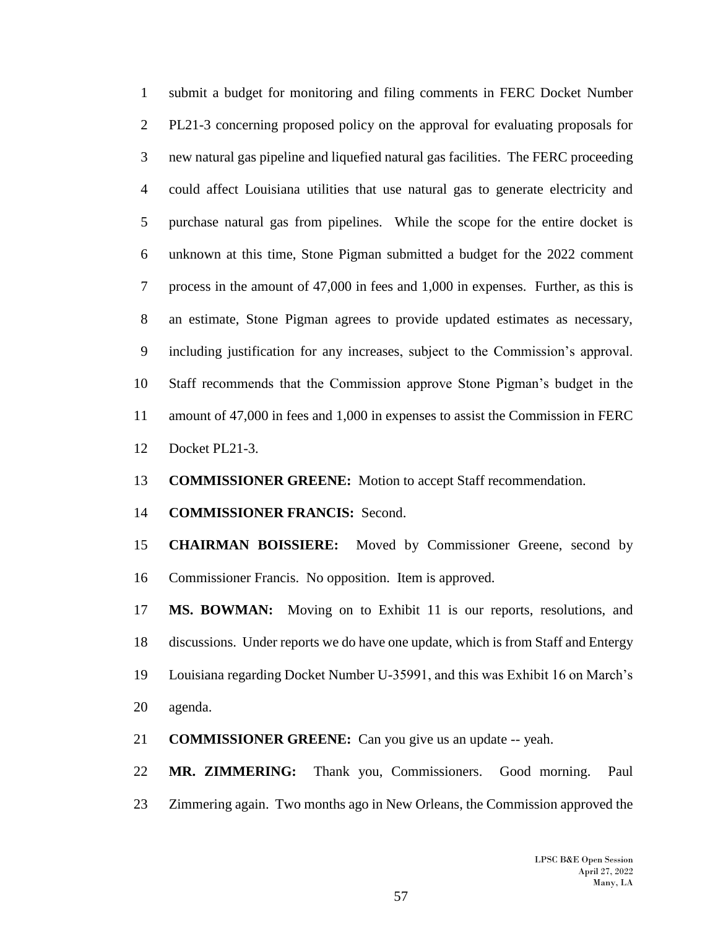submit a budget for monitoring and filing comments in FERC Docket Number PL21-3 concerning proposed policy on the approval for evaluating proposals for new natural gas pipeline and liquefied natural gas facilities. The FERC proceeding could affect Louisiana utilities that use natural gas to generate electricity and purchase natural gas from pipelines. While the scope for the entire docket is unknown at this time, Stone Pigman submitted a budget for the 2022 comment process in the amount of 47,000 in fees and 1,000 in expenses. Further, as this is an estimate, Stone Pigman agrees to provide updated estimates as necessary, including justification for any increases, subject to the Commission's approval. Staff recommends that the Commission approve Stone Pigman's budget in the amount of 47,000 in fees and 1,000 in expenses to assist the Commission in FERC Docket PL21-3.

**COMMISSIONER GREENE:** Motion to accept Staff recommendation.

**COMMISSIONER FRANCIS:** Second.

 **CHAIRMAN BOISSIERE:** Moved by Commissioner Greene, second by Commissioner Francis. No opposition. Item is approved.

 **MS. BOWMAN:** Moving on to Exhibit 11 is our reports, resolutions, and discussions. Under reports we do have one update, which is from Staff and Entergy Louisiana regarding Docket Number U-35991, and this was Exhibit 16 on March's agenda.

**COMMISSIONER GREENE:** Can you give us an update -- yeah.

 **MR. ZIMMERING:** Thank you, Commissioners. Good morning. Paul Zimmering again. Two months ago in New Orleans, the Commission approved the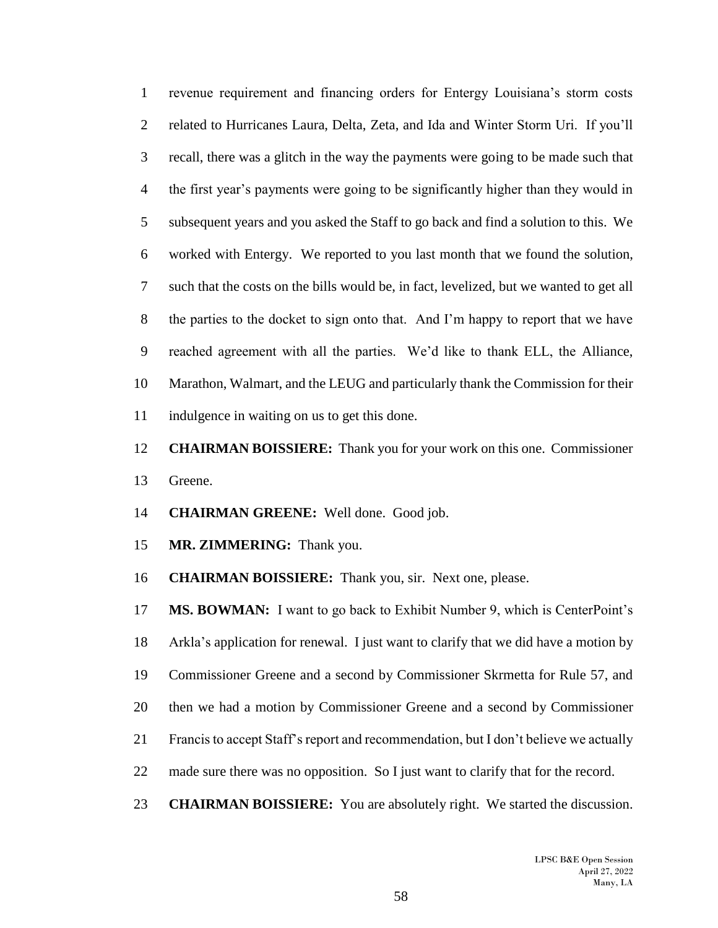revenue requirement and financing orders for Entergy Louisiana's storm costs related to Hurricanes Laura, Delta, Zeta, and Ida and Winter Storm Uri. If you'll recall, there was a glitch in the way the payments were going to be made such that the first year's payments were going to be significantly higher than they would in subsequent years and you asked the Staff to go back and find a solution to this. We worked with Entergy. We reported to you last month that we found the solution, such that the costs on the bills would be, in fact, levelized, but we wanted to get all the parties to the docket to sign onto that. And I'm happy to report that we have reached agreement with all the parties. We'd like to thank ELL, the Alliance, Marathon, Walmart, and the LEUG and particularly thank the Commission for their indulgence in waiting on us to get this done.

 **CHAIRMAN BOISSIERE:** Thank you for your work on this one. Commissioner Greene.

**CHAIRMAN GREENE:** Well done. Good job.

**MR. ZIMMERING:** Thank you.

**CHAIRMAN BOISSIERE:** Thank you, sir. Next one, please.

 **MS. BOWMAN:** I want to go back to Exhibit Number 9, which is CenterPoint's Arkla's application for renewal. I just want to clarify that we did have a motion by Commissioner Greene and a second by Commissioner Skrmetta for Rule 57, and then we had a motion by Commissioner Greene and a second by Commissioner Francis to accept Staff's report and recommendation, but I don't believe we actually made sure there was no opposition. So I just want to clarify that for the record.

**CHAIRMAN BOISSIERE:** You are absolutely right. We started the discussion.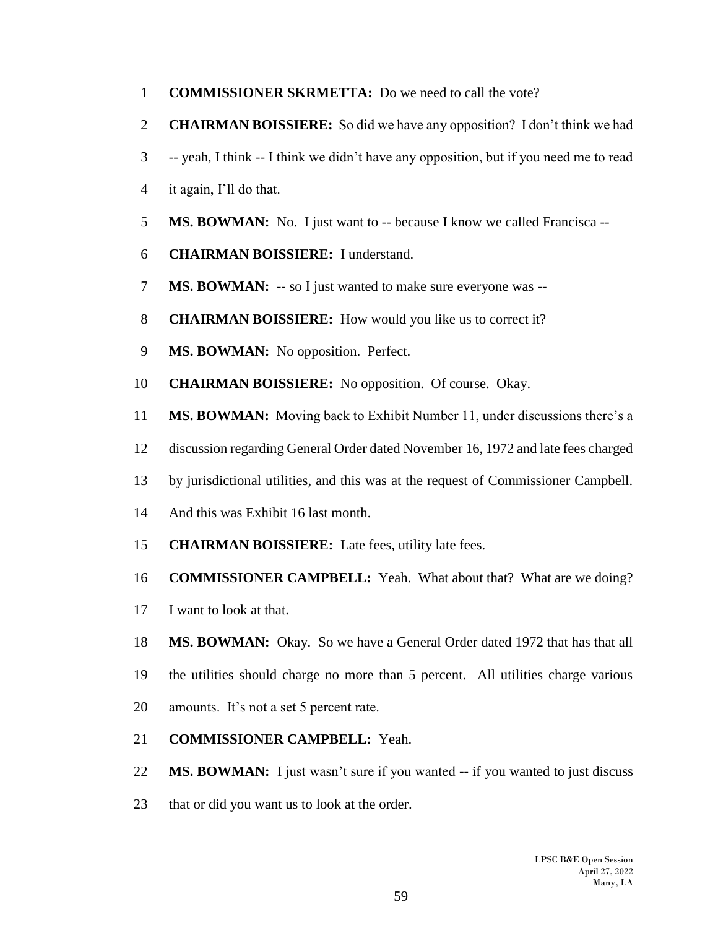- **COMMISSIONER SKRMETTA:** Do we need to call the vote?
- **CHAIRMAN BOISSIERE:** So did we have any opposition? I don't think we had
- -- yeah, I think -- I think we didn't have any opposition, but if you need me to read
- it again, I'll do that.
- **MS. BOWMAN:** No. I just want to -- because I know we called Francisca --
- **CHAIRMAN BOISSIERE:** I understand.
- **MS. BOWMAN:** -- so I just wanted to make sure everyone was --
- **CHAIRMAN BOISSIERE:** How would you like us to correct it?
- **MS. BOWMAN:** No opposition. Perfect.
- **CHAIRMAN BOISSIERE:** No opposition. Of course. Okay.
- **MS. BOWMAN:** Moving back to Exhibit Number 11, under discussions there's a
- discussion regarding General Order dated November 16, 1972 and late fees charged
- by jurisdictional utilities, and this was at the request of Commissioner Campbell.
- And this was Exhibit 16 last month.
- **CHAIRMAN BOISSIERE:** Late fees, utility late fees.
- **COMMISSIONER CAMPBELL:** Yeah. What about that? What are we doing?
- I want to look at that.
- **MS. BOWMAN:** Okay. So we have a General Order dated 1972 that has that all
- the utilities should charge no more than 5 percent. All utilities charge various amounts. It's not a set 5 percent rate.
- **COMMISSIONER CAMPBELL:** Yeah.

**MS. BOWMAN:** I just wasn't sure if you wanted -- if you wanted to just discuss

that or did you want us to look at the order.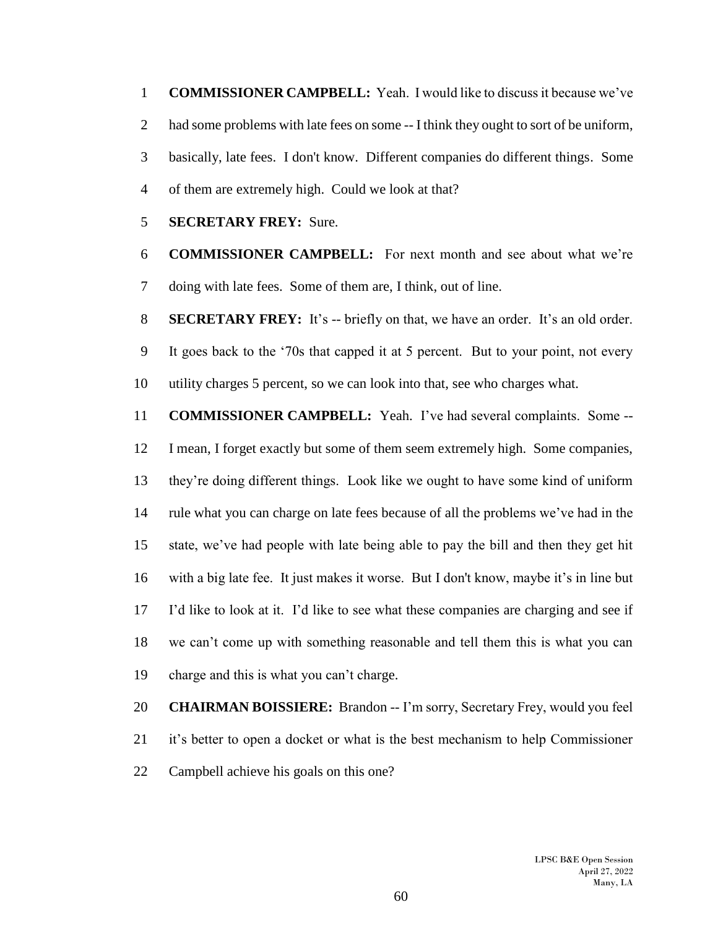**COMMISSIONER CAMPBELL:** Yeah. I would like to discuss it because we've 2 had some problems with late fees on some -- I think they ought to sort of be uniform, basically, late fees. I don't know. Different companies do different things. Some of them are extremely high. Could we look at that?

**SECRETARY FREY:** Sure.

 **COMMISSIONER CAMPBELL:** For next month and see about what we're doing with late fees. Some of them are, I think, out of line.

 **SECRETARY FREY:** It's -- briefly on that, we have an order. It's an old order. It goes back to the '70s that capped it at 5 percent. But to your point, not every

utility charges 5 percent, so we can look into that, see who charges what.

 **COMMISSIONER CAMPBELL:** Yeah. I've had several complaints. Some -- I mean, I forget exactly but some of them seem extremely high. Some companies, they're doing different things. Look like we ought to have some kind of uniform rule what you can charge on late fees because of all the problems we've had in the state, we've had people with late being able to pay the bill and then they get hit with a big late fee. It just makes it worse. But I don't know, maybe it's in line but I'd like to look at it. I'd like to see what these companies are charging and see if we can't come up with something reasonable and tell them this is what you can charge and this is what you can't charge.

 **CHAIRMAN BOISSIERE:** Brandon -- I'm sorry, Secretary Frey, would you feel it's better to open a docket or what is the best mechanism to help Commissioner Campbell achieve his goals on this one?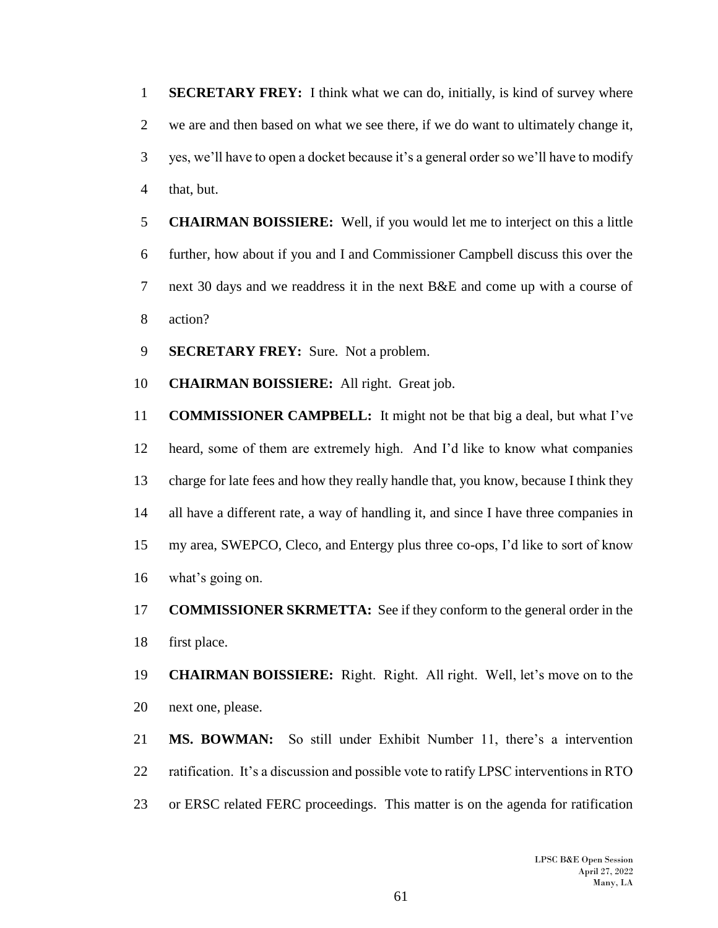**SECRETARY FREY:** I think what we can do, initially, is kind of survey where we are and then based on what we see there, if we do want to ultimately change it, yes, we'll have to open a docket because it's a general order so we'll have to modify that, but.

 **CHAIRMAN BOISSIERE:** Well, if you would let me to interject on this a little further, how about if you and I and Commissioner Campbell discuss this over the next 30 days and we readdress it in the next B&E and come up with a course of action?

**SECRETARY FREY:** Sure. Not a problem.

**CHAIRMAN BOISSIERE:** All right. Great job.

 **COMMISSIONER CAMPBELL:** It might not be that big a deal, but what I've heard, some of them are extremely high. And I'd like to know what companies charge for late fees and how they really handle that, you know, because I think they all have a different rate, a way of handling it, and since I have three companies in my area, SWEPCO, Cleco, and Entergy plus three co-ops, I'd like to sort of know what's going on.

 **COMMISSIONER SKRMETTA:** See if they conform to the general order in the first place.

 **CHAIRMAN BOISSIERE:** Right. Right. All right. Well, let's move on to the next one, please.

 **MS. BOWMAN:** So still under Exhibit Number 11, there's a intervention ratification. It's a discussion and possible vote to ratify LPSC interventions in RTO or ERSC related FERC proceedings. This matter is on the agenda for ratification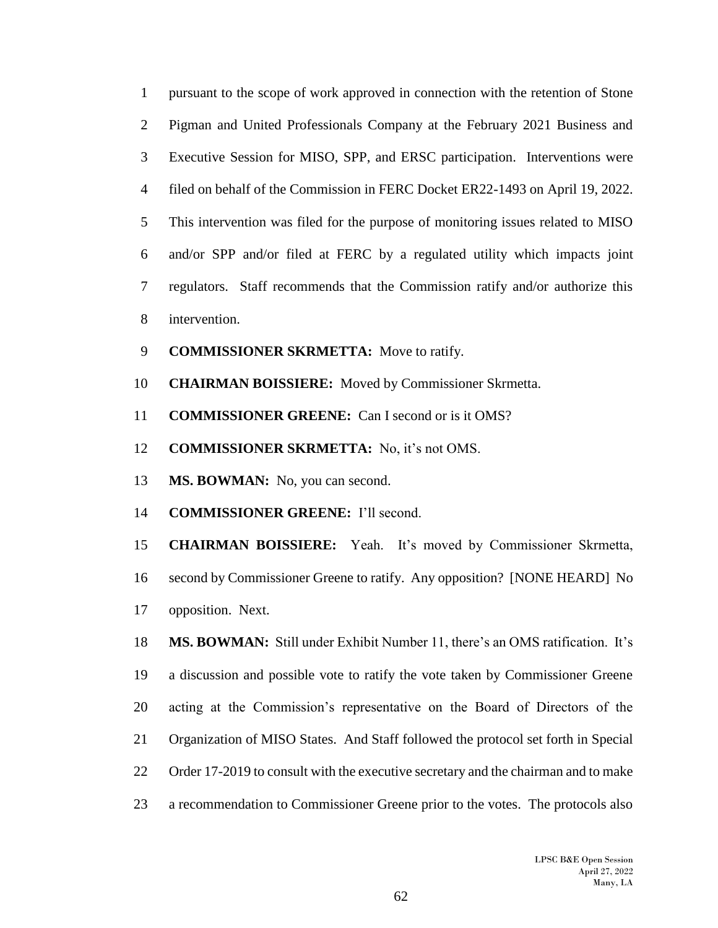| $\mathbf{1}$   | pursuant to the scope of work approved in connection with the retention of Stone   |
|----------------|------------------------------------------------------------------------------------|
| 2              | Pigman and United Professionals Company at the February 2021 Business and          |
| 3              | Executive Session for MISO, SPP, and ERSC participation. Interventions were        |
| $\overline{4}$ | filed on behalf of the Commission in FERC Docket ER22-1493 on April 19, 2022.      |
| 5              | This intervention was filed for the purpose of monitoring issues related to MISO   |
| 6              | and/or SPP and/or filed at FERC by a regulated utility which impacts joint         |
| $\tau$         | regulators. Staff recommends that the Commission ratify and/or authorize this      |
| 8              | intervention.                                                                      |
| 9              | <b>COMMISSIONER SKRMETTA:</b> Move to ratify.                                      |
| 10             | <b>CHAIRMAN BOISSIERE:</b> Moved by Commissioner Skrmetta.                         |
| 11             | <b>COMMISSIONER GREENE:</b> Can I second or is it OMS?                             |
| 12             | <b>COMMISSIONER SKRMETTA:</b> No, it's not OMS.                                    |
| 13             | MS. BOWMAN: No, you can second.                                                    |
| 14             | <b>COMMISSIONER GREENE:</b> I'll second.                                           |
| 15             | <b>CHAIRMAN BOISSIERE:</b> Yeah. It's moved by Commissioner Skrmetta,              |
| 16             | second by Commissioner Greene to ratify. Any opposition? [NONE HEARD] No           |
| 17             | opposition. Next.                                                                  |
| 18             | MS. BOWMAN: Still under Exhibit Number 11, there's an OMS ratification. It's       |
| 19             | a discussion and possible vote to ratify the vote taken by Commissioner Greene     |
| 20             | acting at the Commission's representative on the Board of Directors of the         |
| 21             | Organization of MISO States. And Staff followed the protocol set forth in Special  |
| 22             | Order 17-2019 to consult with the executive secretary and the chairman and to make |
| 23             | a recommendation to Commissioner Greene prior to the votes. The protocols also     |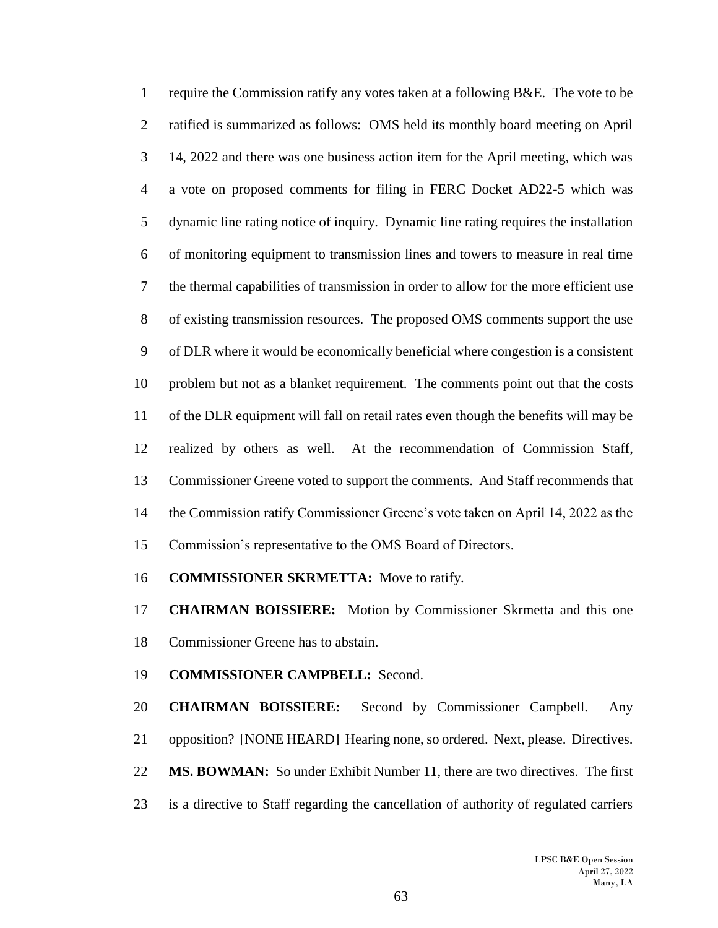require the Commission ratify any votes taken at a following B&E. The vote to be ratified is summarized as follows: OMS held its monthly board meeting on April 14, 2022 and there was one business action item for the April meeting, which was a vote on proposed comments for filing in FERC Docket AD22-5 which was dynamic line rating notice of inquiry. Dynamic line rating requires the installation of monitoring equipment to transmission lines and towers to measure in real time the thermal capabilities of transmission in order to allow for the more efficient use of existing transmission resources. The proposed OMS comments support the use of DLR where it would be economically beneficial where congestion is a consistent problem but not as a blanket requirement. The comments point out that the costs of the DLR equipment will fall on retail rates even though the benefits will may be realized by others as well. At the recommendation of Commission Staff, Commissioner Greene voted to support the comments. And Staff recommends that the Commission ratify Commissioner Greene's vote taken on April 14, 2022 as the Commission's representative to the OMS Board of Directors.

**COMMISSIONER SKRMETTA:** Move to ratify.

 **CHAIRMAN BOISSIERE:** Motion by Commissioner Skrmetta and this one Commissioner Greene has to abstain.

**COMMISSIONER CAMPBELL:** Second.

 **CHAIRMAN BOISSIERE:** Second by Commissioner Campbell. Any opposition? [NONE HEARD] Hearing none, so ordered. Next, please. Directives. **MS. BOWMAN:** So under Exhibit Number 11, there are two directives. The first is a directive to Staff regarding the cancellation of authority of regulated carriers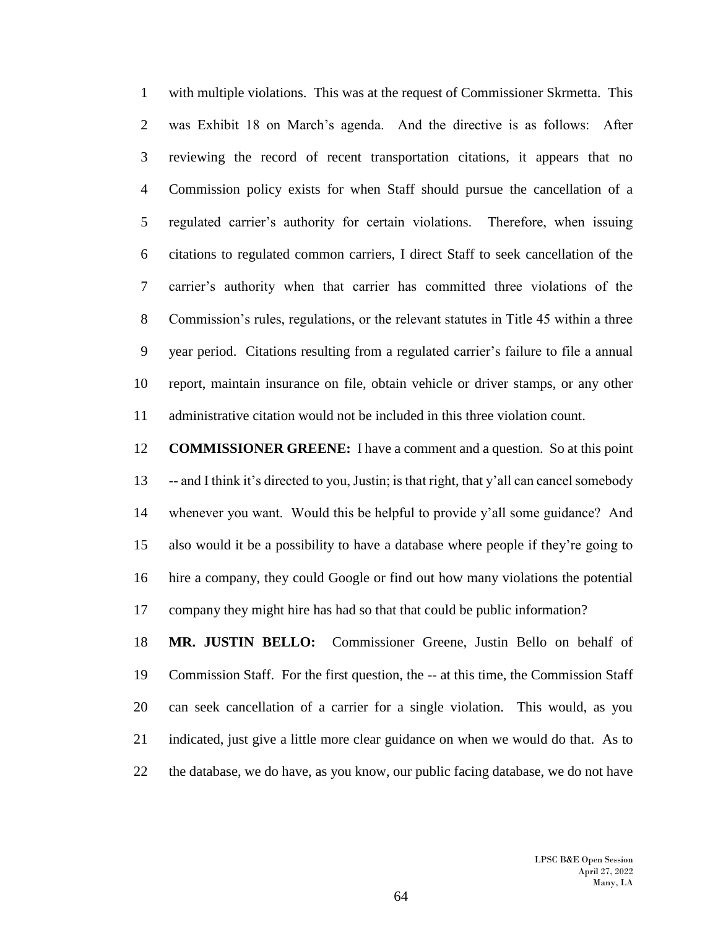with multiple violations. This was at the request of Commissioner Skrmetta. This was Exhibit 18 on March's agenda. And the directive is as follows: After reviewing the record of recent transportation citations, it appears that no Commission policy exists for when Staff should pursue the cancellation of a regulated carrier's authority for certain violations. Therefore, when issuing citations to regulated common carriers, I direct Staff to seek cancellation of the carrier's authority when that carrier has committed three violations of the Commission's rules, regulations, or the relevant statutes in Title 45 within a three year period. Citations resulting from a regulated carrier's failure to file a annual report, maintain insurance on file, obtain vehicle or driver stamps, or any other administrative citation would not be included in this three violation count.

 **COMMISSIONER GREENE:** I have a comment and a question. So at this point -- and I think it's directed to you, Justin; is that right, that y'all can cancel somebody whenever you want. Would this be helpful to provide y'all some guidance? And also would it be a possibility to have a database where people if they're going to hire a company, they could Google or find out how many violations the potential company they might hire has had so that that could be public information?

 **MR. JUSTIN BELLO:** Commissioner Greene, Justin Bello on behalf of Commission Staff. For the first question, the -- at this time, the Commission Staff can seek cancellation of a carrier for a single violation. This would, as you indicated, just give a little more clear guidance on when we would do that. As to the database, we do have, as you know, our public facing database, we do not have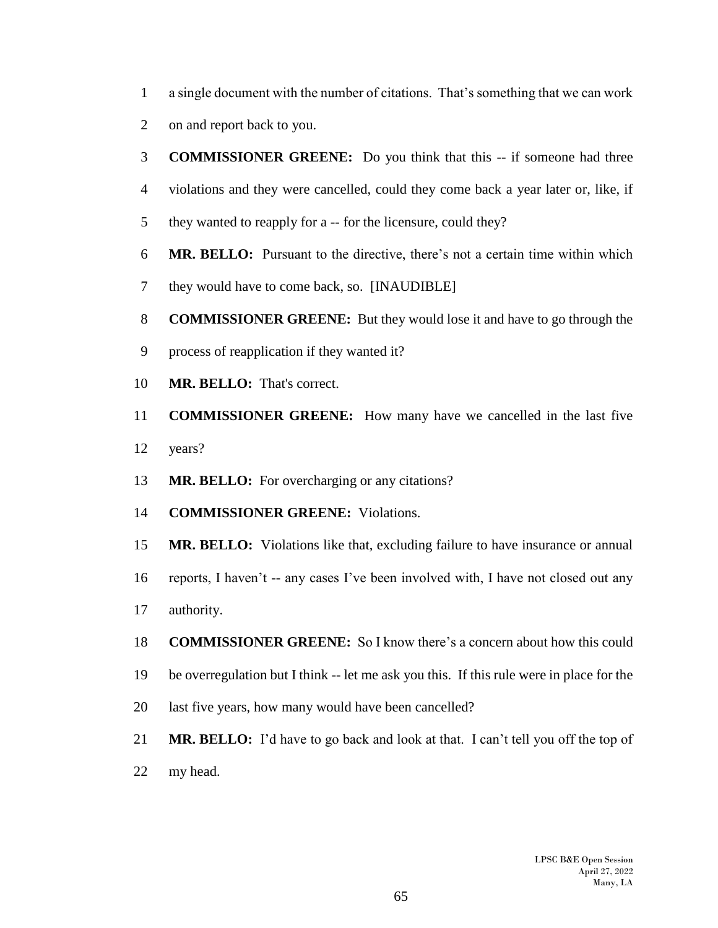- a single document with the number of citations. That's something that we can work
- on and report back to you.
- **COMMISSIONER GREENE:** Do you think that this -- if someone had three
- violations and they were cancelled, could they come back a year later or, like, if
- they wanted to reapply for a -- for the licensure, could they?
- **MR. BELLO:** Pursuant to the directive, there's not a certain time within which
- they would have to come back, so. [INAUDIBLE]
- **COMMISSIONER GREENE:** But they would lose it and have to go through the
- process of reapplication if they wanted it?
- **MR. BELLO:** That's correct.
- **COMMISSIONER GREENE:** How many have we cancelled in the last five years?
- **MR. BELLO:** For overcharging or any citations?
- **COMMISSIONER GREENE:** Violations.
- **MR. BELLO:** Violations like that, excluding failure to have insurance or annual
- reports, I haven't -- any cases I've been involved with, I have not closed out any
- authority.
- **COMMISSIONER GREENE:** So I know there's a concern about how this could
- be overregulation but I think -- let me ask you this. If this rule were in place for the
- last five years, how many would have been cancelled?
- **MR. BELLO:** I'd have to go back and look at that. I can't tell you off the top of
- my head.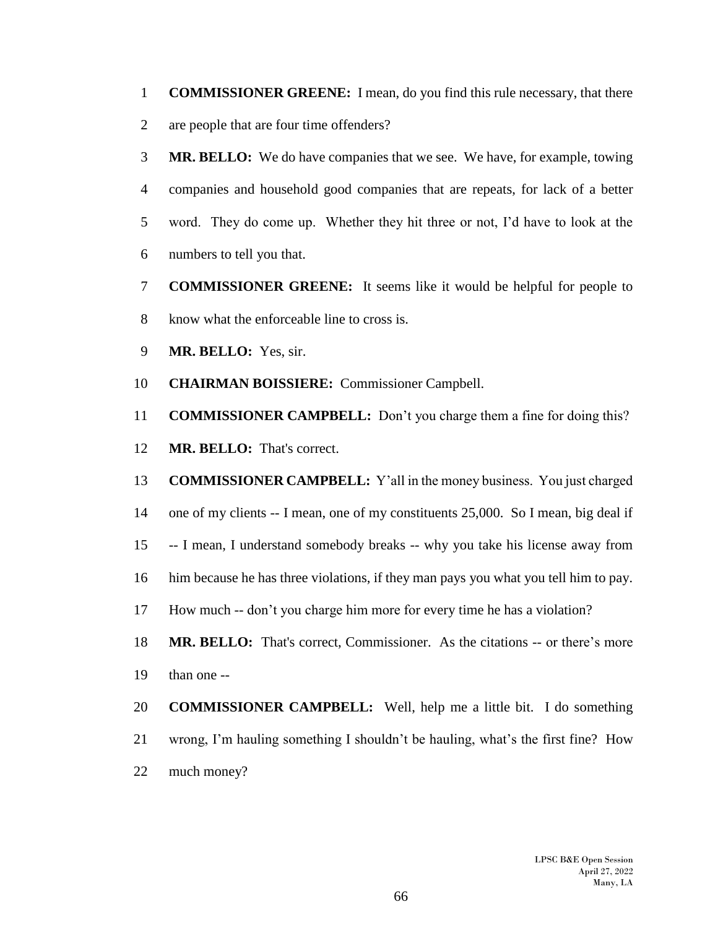- **COMMISSIONER GREENE:** I mean, do you find this rule necessary, that there are people that are four time offenders?
- **MR. BELLO:** We do have companies that we see. We have, for example, towing companies and household good companies that are repeats, for lack of a better word. They do come up. Whether they hit three or not, I'd have to look at the numbers to tell you that.
- **COMMISSIONER GREENE:** It seems like it would be helpful for people to know what the enforceable line to cross is.
- **MR. BELLO:** Yes, sir.
- **CHAIRMAN BOISSIERE:** Commissioner Campbell.
- **COMMISSIONER CAMPBELL:** Don't you charge them a fine for doing this?
- **MR. BELLO:** That's correct.
- **COMMISSIONER CAMPBELL:** Y'all in the money business. You just charged
- one of my clients -- I mean, one of my constituents 25,000. So I mean, big deal if
- -- I mean, I understand somebody breaks -- why you take his license away from
- him because he has three violations, if they man pays you what you tell him to pay.
- How much -- don't you charge him more for every time he has a violation?
- **MR. BELLO:** That's correct, Commissioner. As the citations -- or there's more than one --
- **COMMISSIONER CAMPBELL:** Well, help me a little bit. I do something wrong, I'm hauling something I shouldn't be hauling, what's the first fine? How much money?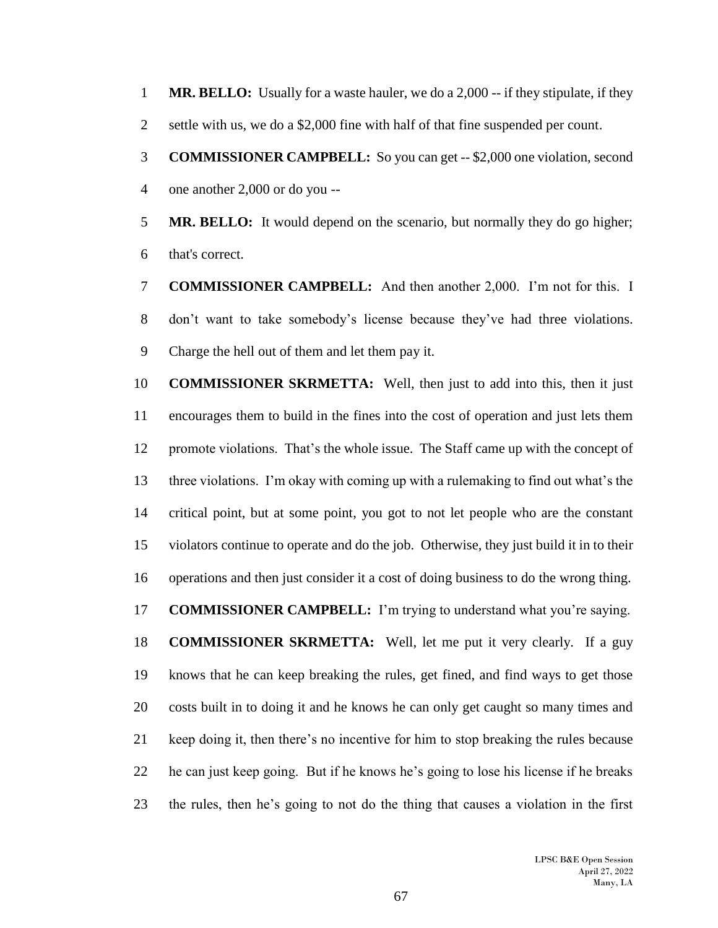**MR. BELLO:** Usually for a waste hauler, we do a 2,000 -- if they stipulate, if they

2 settle with us, we do a \$2,000 fine with half of that fine suspended per count.

 **COMMISSIONER CAMPBELL:** So you can get -- \$2,000 one violation, second one another 2,000 or do you --

 **MR. BELLO:** It would depend on the scenario, but normally they do go higher; that's correct.

 **COMMISSIONER CAMPBELL:** And then another 2,000. I'm not for this. I don't want to take somebody's license because they've had three violations. Charge the hell out of them and let them pay it.

 **COMMISSIONER SKRMETTA:** Well, then just to add into this, then it just encourages them to build in the fines into the cost of operation and just lets them promote violations. That's the whole issue. The Staff came up with the concept of three violations. I'm okay with coming up with a rulemaking to find out what's the critical point, but at some point, you got to not let people who are the constant violators continue to operate and do the job. Otherwise, they just build it in to their operations and then just consider it a cost of doing business to do the wrong thing. **COMMISSIONER CAMPBELL:** I'm trying to understand what you're saying. **COMMISSIONER SKRMETTA:** Well, let me put it very clearly. If a guy knows that he can keep breaking the rules, get fined, and find ways to get those costs built in to doing it and he knows he can only get caught so many times and keep doing it, then there's no incentive for him to stop breaking the rules because he can just keep going. But if he knows he's going to lose his license if he breaks the rules, then he's going to not do the thing that causes a violation in the first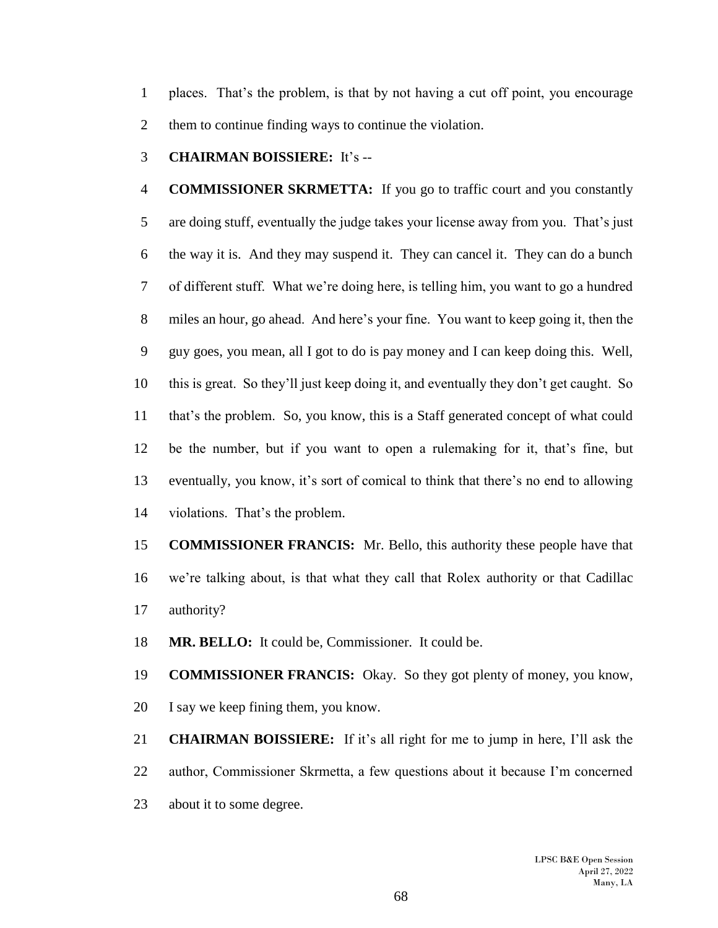places. That's the problem, is that by not having a cut off point, you encourage them to continue finding ways to continue the violation.

**CHAIRMAN BOISSIERE:** It's --

 **COMMISSIONER SKRMETTA:** If you go to traffic court and you constantly are doing stuff, eventually the judge takes your license away from you. That's just the way it is. And they may suspend it. They can cancel it. They can do a bunch of different stuff. What we're doing here, is telling him, you want to go a hundred miles an hour, go ahead. And here's your fine. You want to keep going it, then the guy goes, you mean, all I got to do is pay money and I can keep doing this. Well, this is great. So they'll just keep doing it, and eventually they don't get caught. So that's the problem. So, you know, this is a Staff generated concept of what could be the number, but if you want to open a rulemaking for it, that's fine, but eventually, you know, it's sort of comical to think that there's no end to allowing violations. That's the problem.

 **COMMISSIONER FRANCIS:** Mr. Bello, this authority these people have that we're talking about, is that what they call that Rolex authority or that Cadillac authority?

**MR. BELLO:** It could be, Commissioner. It could be.

 **COMMISSIONER FRANCIS:** Okay. So they got plenty of money, you know, I say we keep fining them, you know.

 **CHAIRMAN BOISSIERE:** If it's all right for me to jump in here, I'll ask the author, Commissioner Skrmetta, a few questions about it because I'm concerned about it to some degree.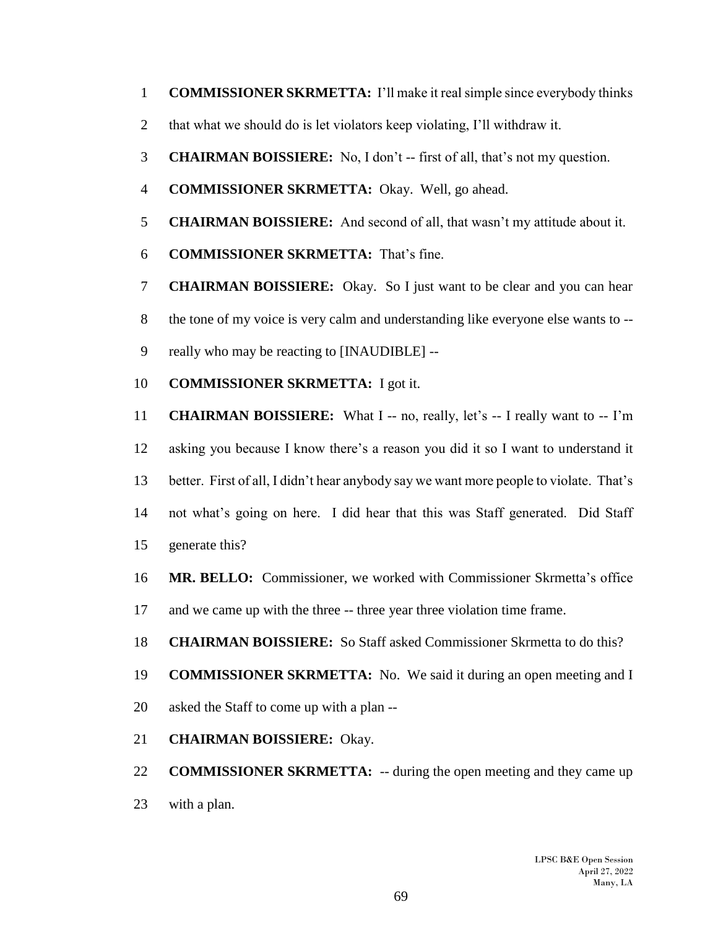- **COMMISSIONER SKRMETTA:** I'll make it real simple since everybody thinks
- that what we should do is let violators keep violating, I'll withdraw it.
- **CHAIRMAN BOISSIERE:** No, I don't -- first of all, that's not my question.
- **COMMISSIONER SKRMETTA:** Okay. Well, go ahead.
- **CHAIRMAN BOISSIERE:** And second of all, that wasn't my attitude about it.
- **COMMISSIONER SKRMETTA:** That's fine.
- **CHAIRMAN BOISSIERE:** Okay. So I just want to be clear and you can hear the tone of my voice is very calm and understanding like everyone else wants to --
- really who may be reacting to [INAUDIBLE] --
- **COMMISSIONER SKRMETTA:** I got it.

 **CHAIRMAN BOISSIERE:** What I -- no, really, let's -- I really want to -- I'm asking you because I know there's a reason you did it so I want to understand it better. First of all, I didn't hear anybody say we want more people to violate. That's not what's going on here. I did hear that this was Staff generated. Did Staff generate this?

 **MR. BELLO:** Commissioner, we worked with Commissioner Skrmetta's office and we came up with the three -- three year three violation time frame.

- **CHAIRMAN BOISSIERE:** So Staff asked Commissioner Skrmetta to do this?
- **COMMISSIONER SKRMETTA:** No. We said it during an open meeting and I
- asked the Staff to come up with a plan --
- **CHAIRMAN BOISSIERE:** Okay.

 **COMMISSIONER SKRMETTA:** -- during the open meeting and they came up with a plan.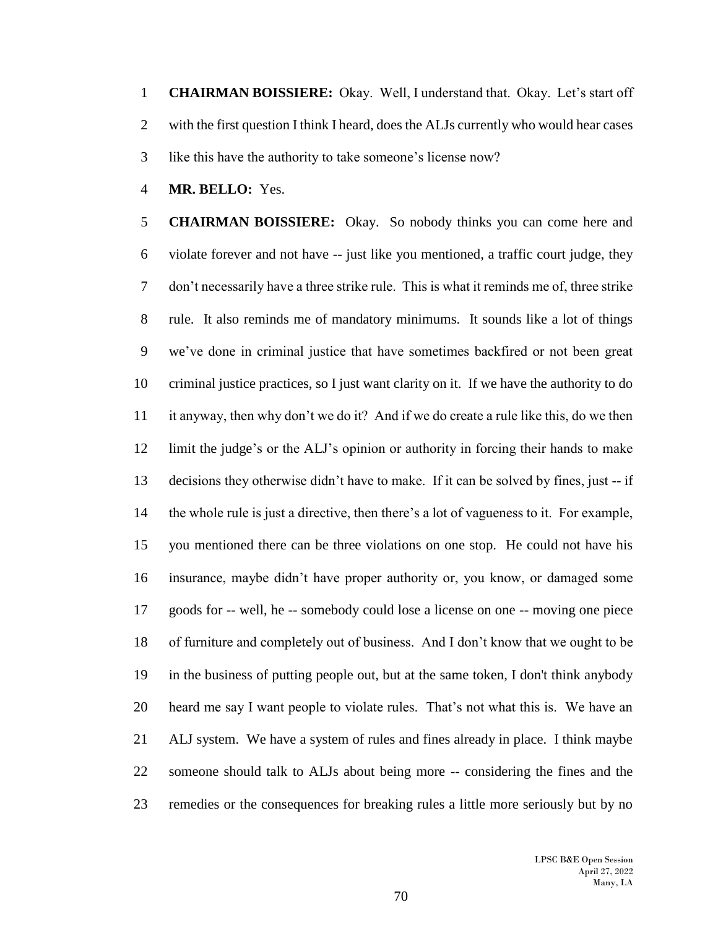**CHAIRMAN BOISSIERE:** Okay. Well, I understand that. Okay. Let's start off 2 with the first question I think I heard, does the ALJs currently who would hear cases like this have the authority to take someone's license now?

**MR. BELLO:** Yes.

 **CHAIRMAN BOISSIERE:** Okay. So nobody thinks you can come here and violate forever and not have -- just like you mentioned, a traffic court judge, they don't necessarily have a three strike rule. This is what it reminds me of, three strike rule. It also reminds me of mandatory minimums. It sounds like a lot of things we've done in criminal justice that have sometimes backfired or not been great criminal justice practices, so I just want clarity on it. If we have the authority to do it anyway, then why don't we do it? And if we do create a rule like this, do we then limit the judge's or the ALJ's opinion or authority in forcing their hands to make decisions they otherwise didn't have to make. If it can be solved by fines, just -- if the whole rule is just a directive, then there's a lot of vagueness to it. For example, you mentioned there can be three violations on one stop. He could not have his insurance, maybe didn't have proper authority or, you know, or damaged some goods for -- well, he -- somebody could lose a license on one -- moving one piece of furniture and completely out of business. And I don't know that we ought to be in the business of putting people out, but at the same token, I don't think anybody heard me say I want people to violate rules. That's not what this is. We have an ALJ system. We have a system of rules and fines already in place. I think maybe someone should talk to ALJs about being more -- considering the fines and the remedies or the consequences for breaking rules a little more seriously but by no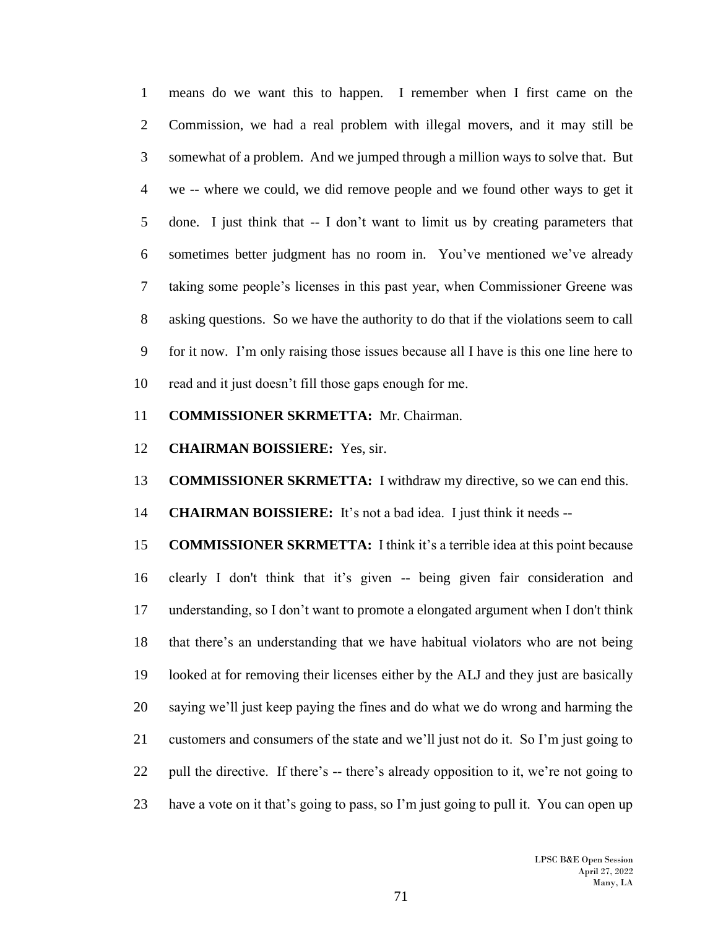means do we want this to happen. I remember when I first came on the Commission, we had a real problem with illegal movers, and it may still be somewhat of a problem. And we jumped through a million ways to solve that. But we -- where we could, we did remove people and we found other ways to get it done. I just think that -- I don't want to limit us by creating parameters that sometimes better judgment has no room in. You've mentioned we've already taking some people's licenses in this past year, when Commissioner Greene was asking questions. So we have the authority to do that if the violations seem to call for it now. I'm only raising those issues because all I have is this one line here to read and it just doesn't fill those gaps enough for me.

**COMMISSIONER SKRMETTA:** Mr. Chairman.

**CHAIRMAN BOISSIERE:** Yes, sir.

**COMMISSIONER SKRMETTA:** I withdraw my directive, so we can end this.

**CHAIRMAN BOISSIERE:** It's not a bad idea. I just think it needs --

 **COMMISSIONER SKRMETTA:** I think it's a terrible idea at this point because clearly I don't think that it's given -- being given fair consideration and understanding, so I don't want to promote a elongated argument when I don't think that there's an understanding that we have habitual violators who are not being looked at for removing their licenses either by the ALJ and they just are basically saying we'll just keep paying the fines and do what we do wrong and harming the customers and consumers of the state and we'll just not do it. So I'm just going to 22 pull the directive. If there's -- there's already opposition to it, we're not going to have a vote on it that's going to pass, so I'm just going to pull it. You can open up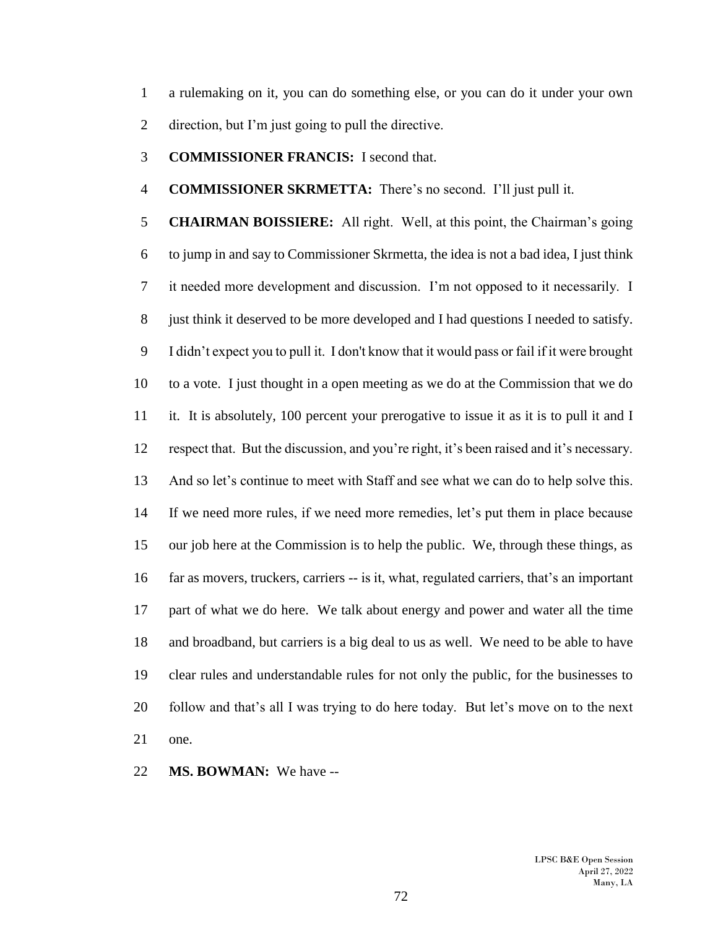a rulemaking on it, you can do something else, or you can do it under your own direction, but I'm just going to pull the directive.

**COMMISSIONER FRANCIS:** I second that.

**COMMISSIONER SKRMETTA:** There's no second. I'll just pull it.

 **CHAIRMAN BOISSIERE:** All right. Well, at this point, the Chairman's going to jump in and say to Commissioner Skrmetta, the idea is not a bad idea, I just think it needed more development and discussion. I'm not opposed to it necessarily. I just think it deserved to be more developed and I had questions I needed to satisfy. I didn't expect you to pull it. I don't know that it would pass or fail if it were brought to a vote. I just thought in a open meeting as we do at the Commission that we do it. It is absolutely, 100 percent your prerogative to issue it as it is to pull it and I respect that. But the discussion, and you're right, it's been raised and it's necessary. And so let's continue to meet with Staff and see what we can do to help solve this. If we need more rules, if we need more remedies, let's put them in place because our job here at the Commission is to help the public. We, through these things, as far as movers, truckers, carriers -- is it, what, regulated carriers, that's an important part of what we do here. We talk about energy and power and water all the time and broadband, but carriers is a big deal to us as well. We need to be able to have clear rules and understandable rules for not only the public, for the businesses to follow and that's all I was trying to do here today. But let's move on to the next one.

**MS. BOWMAN:** We have --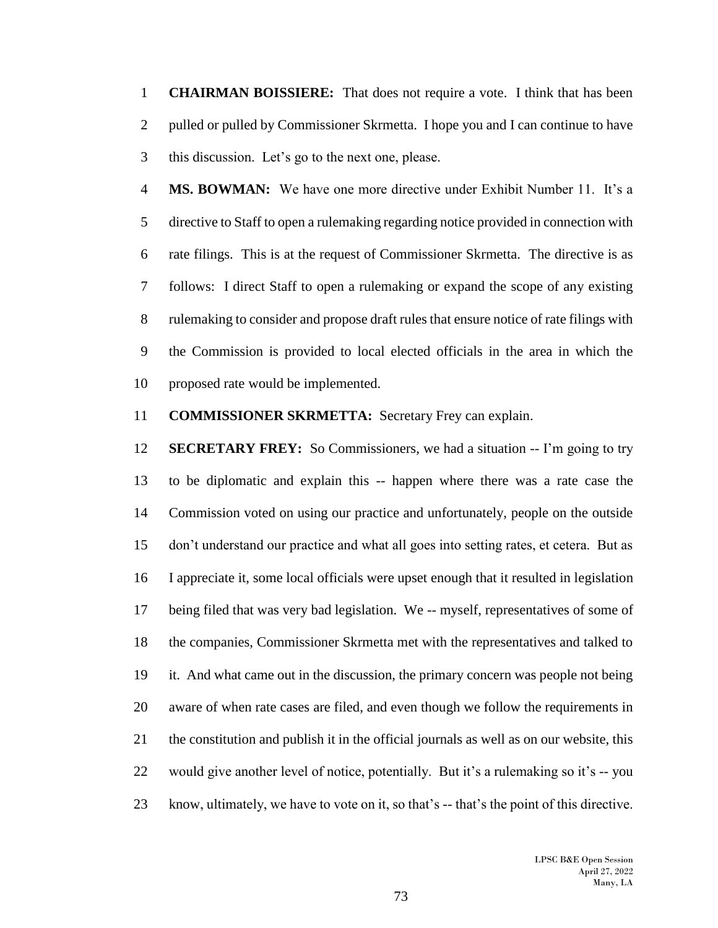**CHAIRMAN BOISSIERE:** That does not require a vote. I think that has been 2 pulled or pulled by Commissioner Skrmetta. I hope you and I can continue to have this discussion. Let's go to the next one, please.

 **MS. BOWMAN:** We have one more directive under Exhibit Number 11. It's a directive to Staff to open a rulemaking regarding notice provided in connection with rate filings. This is at the request of Commissioner Skrmetta. The directive is as follows: I direct Staff to open a rulemaking or expand the scope of any existing rulemaking to consider and propose draft rules that ensure notice of rate filings with the Commission is provided to local elected officials in the area in which the proposed rate would be implemented.

## **COMMISSIONER SKRMETTA:** Secretary Frey can explain.

 **SECRETARY FREY:** So Commissioners, we had a situation -- I'm going to try to be diplomatic and explain this -- happen where there was a rate case the Commission voted on using our practice and unfortunately, people on the outside don't understand our practice and what all goes into setting rates, et cetera. But as I appreciate it, some local officials were upset enough that it resulted in legislation being filed that was very bad legislation. We -- myself, representatives of some of the companies, Commissioner Skrmetta met with the representatives and talked to it. And what came out in the discussion, the primary concern was people not being aware of when rate cases are filed, and even though we follow the requirements in the constitution and publish it in the official journals as well as on our website, this would give another level of notice, potentially. But it's a rulemaking so it's -- you know, ultimately, we have to vote on it, so that's -- that's the point of this directive.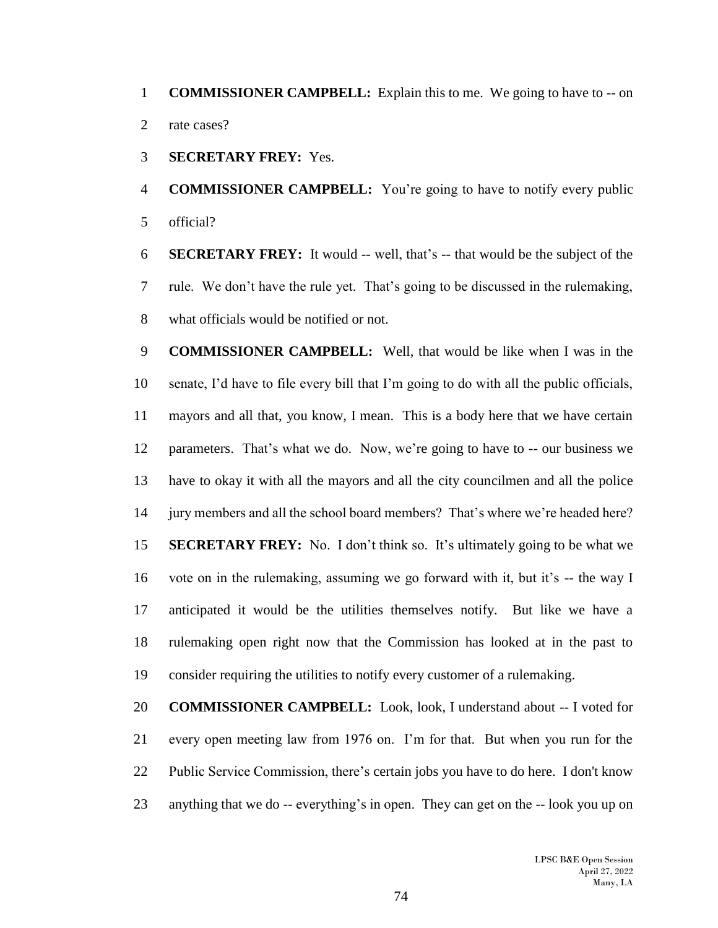**COMMISSIONER CAMPBELL:** Explain this to me. We going to have to -- on 2 rate cases?

**SECRETARY FREY:** Yes.

 **COMMISSIONER CAMPBELL:** You're going to have to notify every public official?

 **SECRETARY FREY:** It would -- well, that's -- that would be the subject of the rule. We don't have the rule yet. That's going to be discussed in the rulemaking, what officials would be notified or not.

 **COMMISSIONER CAMPBELL:** Well, that would be like when I was in the senate, I'd have to file every bill that I'm going to do with all the public officials, mayors and all that, you know, I mean. This is a body here that we have certain parameters. That's what we do. Now, we're going to have to -- our business we have to okay it with all the mayors and all the city councilmen and all the police jury members and all the school board members? That's where we're headed here? **SECRETARY FREY:** No. I don't think so. It's ultimately going to be what we vote on in the rulemaking, assuming we go forward with it, but it's -- the way I anticipated it would be the utilities themselves notify. But like we have a rulemaking open right now that the Commission has looked at in the past to consider requiring the utilities to notify every customer of a rulemaking.

 **COMMISSIONER CAMPBELL:** Look, look, I understand about -- I voted for every open meeting law from 1976 on. I'm for that. But when you run for the Public Service Commission, there's certain jobs you have to do here. I don't know anything that we do -- everything's in open. They can get on the -- look you up on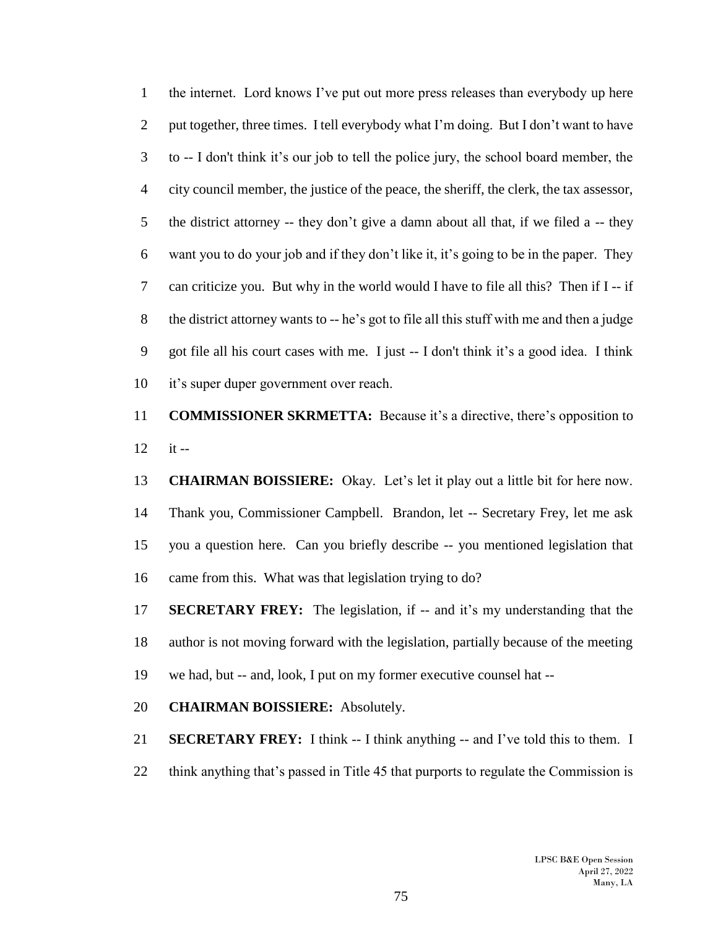the internet. Lord knows I've put out more press releases than everybody up here put together, three times. I tell everybody what I'm doing. But I don't want to have to -- I don't think it's our job to tell the police jury, the school board member, the city council member, the justice of the peace, the sheriff, the clerk, the tax assessor, 5 the district attorney -- they don't give a damn about all that, if we filed a  $-$ - they want you to do your job and if they don't like it, it's going to be in the paper. They can criticize you. But why in the world would I have to file all this? Then if I -- if the district attorney wants to -- he's got to file all this stuff with me and then a judge got file all his court cases with me. I just -- I don't think it's a good idea. I think it's super duper government over reach.

 **COMMISSIONER SKRMETTA:** Because it's a directive, there's opposition to it --

 **CHAIRMAN BOISSIERE:** Okay. Let's let it play out a little bit for here now. Thank you, Commissioner Campbell. Brandon, let -- Secretary Frey, let me ask you a question here. Can you briefly describe -- you mentioned legislation that came from this. What was that legislation trying to do?

 **SECRETARY FREY:** The legislation, if -- and it's my understanding that the author is not moving forward with the legislation, partially because of the meeting we had, but -- and, look, I put on my former executive counsel hat --

## **CHAIRMAN BOISSIERE:** Absolutely.

**SECRETARY FREY:** I think -- I think anything -- and I've told this to them. I 22 think anything that's passed in Title 45 that purports to regulate the Commission is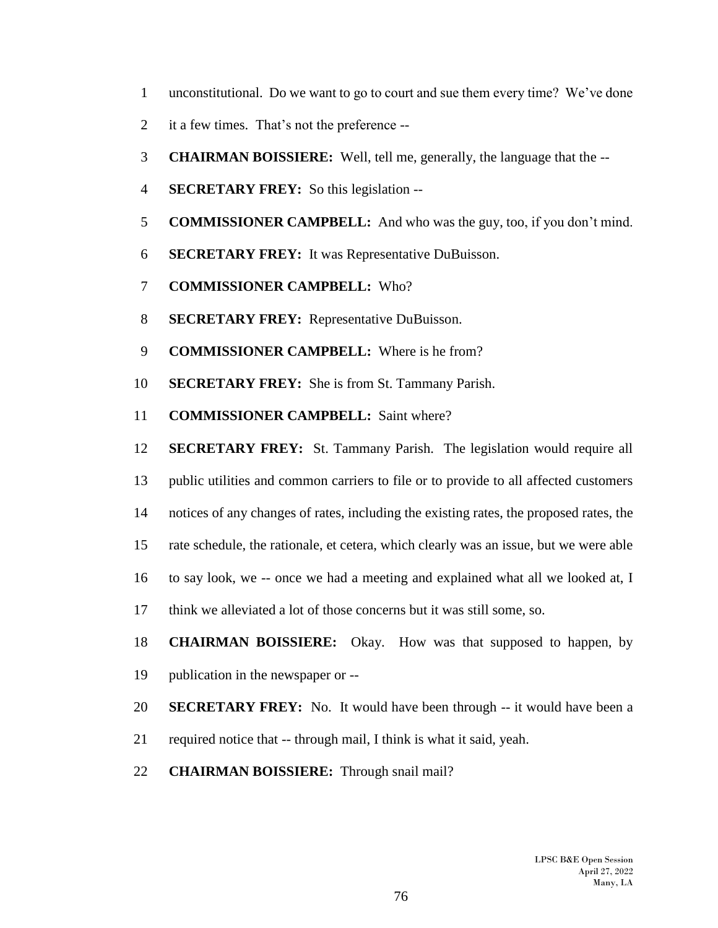- unconstitutional. Do we want to go to court and sue them every time? We've done
- it a few times. That's not the preference --
- **CHAIRMAN BOISSIERE:** Well, tell me, generally, the language that the --
- **SECRETARY FREY:** So this legislation --
- **COMMISSIONER CAMPBELL:** And who was the guy, too, if you don't mind.
- **SECRETARY FREY:** It was Representative DuBuisson.
- **COMMISSIONER CAMPBELL:** Who?
- **SECRETARY FREY:** Representative DuBuisson.
- **COMMISSIONER CAMPBELL:** Where is he from?
- **SECRETARY FREY:** She is from St. Tammany Parish.
- **COMMISSIONER CAMPBELL:** Saint where?
- **SECRETARY FREY:** St. Tammany Parish. The legislation would require all
- public utilities and common carriers to file or to provide to all affected customers
- notices of any changes of rates, including the existing rates, the proposed rates, the
- rate schedule, the rationale, et cetera, which clearly was an issue, but we were able
- to say look, we -- once we had a meeting and explained what all we looked at, I
- think we alleviated a lot of those concerns but it was still some, so.
- **CHAIRMAN BOISSIERE:** Okay. How was that supposed to happen, by publication in the newspaper or --
- **SECRETARY FREY:** No. It would have been through -- it would have been a
- required notice that -- through mail, I think is what it said, yeah.
- **CHAIRMAN BOISSIERE:** Through snail mail?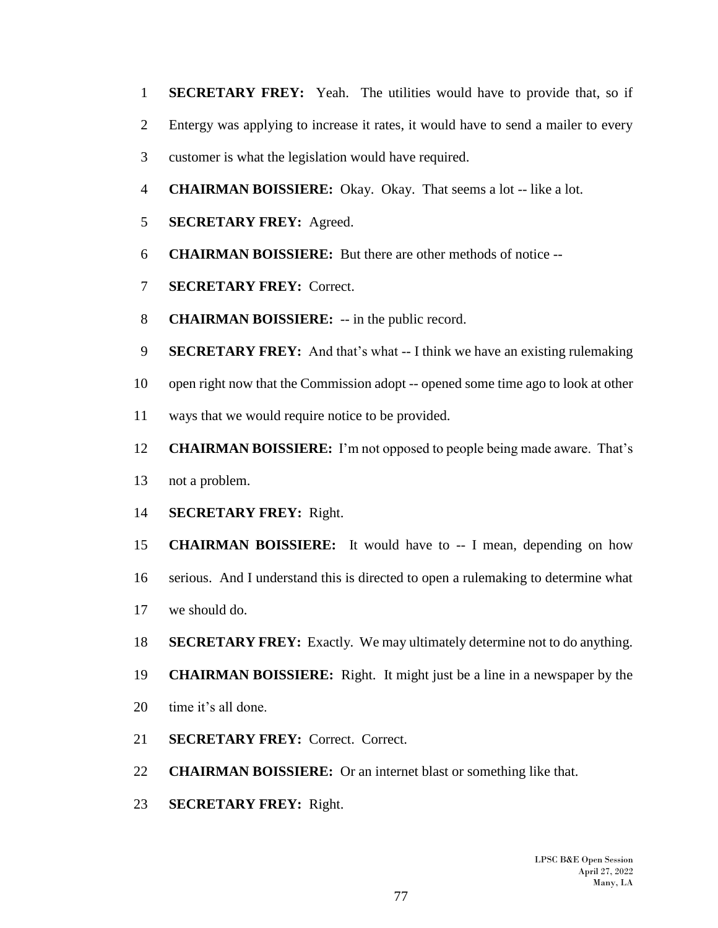- **SECRETARY FREY:** Yeah. The utilities would have to provide that, so if
- Entergy was applying to increase it rates, it would have to send a mailer to every
- customer is what the legislation would have required.
- **CHAIRMAN BOISSIERE:** Okay. Okay. That seems a lot -- like a lot.
- **SECRETARY FREY:** Agreed.
- **CHAIRMAN BOISSIERE:** But there are other methods of notice --
- **SECRETARY FREY:** Correct.
- **CHAIRMAN BOISSIERE:** -- in the public record.
- **SECRETARY FREY:** And that's what -- I think we have an existing rulemaking
- open right now that the Commission adopt -- opened some time ago to look at other
- ways that we would require notice to be provided.
- **CHAIRMAN BOISSIERE:** I'm not opposed to people being made aware. That's
- not a problem.
- **SECRETARY FREY:** Right.
- **CHAIRMAN BOISSIERE:** It would have to -- I mean, depending on how
- serious. And I understand this is directed to open a rulemaking to determine what
- we should do.
- **SECRETARY FREY:** Exactly. We may ultimately determine not to do anything.
- **CHAIRMAN BOISSIERE:** Right. It might just be a line in a newspaper by the
- time it's all done.
- **SECRETARY FREY:** Correct. Correct.
- **CHAIRMAN BOISSIERE:** Or an internet blast or something like that.
- **SECRETARY FREY:** Right.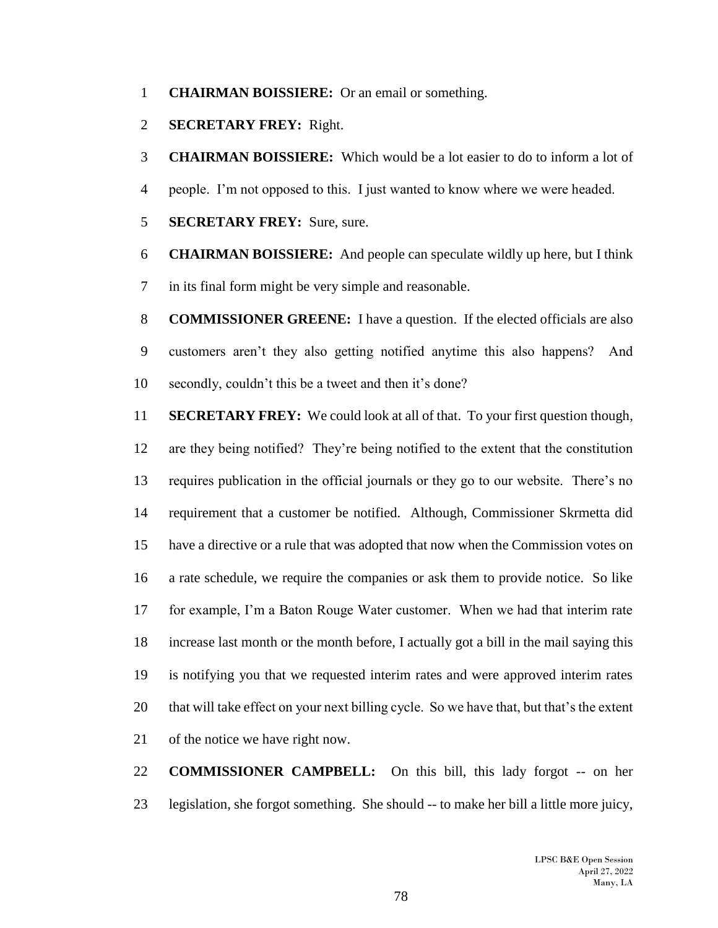- **CHAIRMAN BOISSIERE:** Or an email or something.
- **SECRETARY FREY:** Right.
- **CHAIRMAN BOISSIERE:** Which would be a lot easier to do to inform a lot of
- people. I'm not opposed to this. I just wanted to know where we were headed.
- **SECRETARY FREY:** Sure, sure.
- **CHAIRMAN BOISSIERE:** And people can speculate wildly up here, but I think in its final form might be very simple and reasonable.
- **COMMISSIONER GREENE:** I have a question. If the elected officials are also customers aren't they also getting notified anytime this also happens? And secondly, couldn't this be a tweet and then it's done?
- **SECRETARY FREY:** We could look at all of that. To your first question though, are they being notified? They're being notified to the extent that the constitution requires publication in the official journals or they go to our website. There's no requirement that a customer be notified. Although, Commissioner Skrmetta did have a directive or a rule that was adopted that now when the Commission votes on a rate schedule, we require the companies or ask them to provide notice. So like for example, I'm a Baton Rouge Water customer. When we had that interim rate increase last month or the month before, I actually got a bill in the mail saying this is notifying you that we requested interim rates and were approved interim rates that will take effect on your next billing cycle. So we have that, but that's the extent of the notice we have right now.
- **COMMISSIONER CAMPBELL:** On this bill, this lady forgot -- on her legislation, she forgot something. She should -- to make her bill a little more juicy,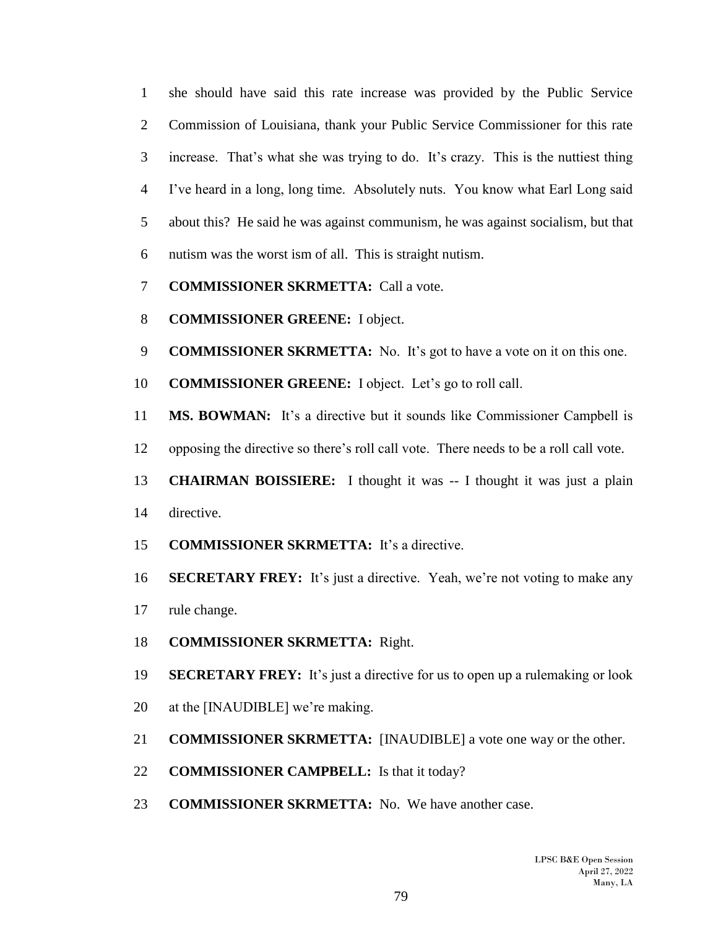she should have said this rate increase was provided by the Public Service Commission of Louisiana, thank your Public Service Commissioner for this rate increase. That's what she was trying to do. It's crazy. This is the nuttiest thing I've heard in a long, long time. Absolutely nuts. You know what Earl Long said about this? He said he was against communism, he was against socialism, but that nutism was the worst ism of all. This is straight nutism.

- **COMMISSIONER SKRMETTA:** Call a vote.
- **COMMISSIONER GREENE:** I object.
- **COMMISSIONER SKRMETTA:** No. It's got to have a vote on it on this one.
- **COMMISSIONER GREENE:** I object. Let's go to roll call.
- **MS. BOWMAN:** It's a directive but it sounds like Commissioner Campbell is
- opposing the directive so there's roll call vote. There needs to be a roll call vote.
- **CHAIRMAN BOISSIERE:** I thought it was -- I thought it was just a plain directive.
- **COMMISSIONER SKRMETTA:** It's a directive.
- **SECRETARY FREY:** It's just a directive. Yeah, we're not voting to make any rule change.
- **COMMISSIONER SKRMETTA:** Right.
- **SECRETARY FREY:** It's just a directive for us to open up a rulemaking or look
- at the [INAUDIBLE] we're making.
- **COMMISSIONER SKRMETTA:** [INAUDIBLE] a vote one way or the other.
- **COMMISSIONER CAMPBELL:** Is that it today?
- **COMMISSIONER SKRMETTA:** No. We have another case.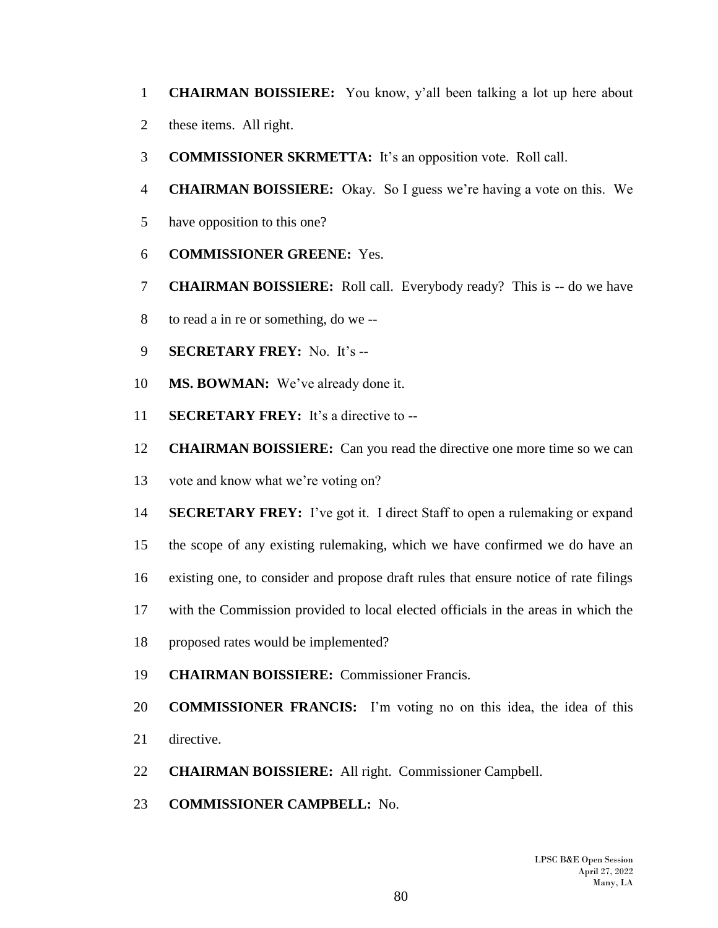- **CHAIRMAN BOISSIERE:** You know, y'all been talking a lot up here about
- these items. All right.
- **COMMISSIONER SKRMETTA:** It's an opposition vote. Roll call.
- **CHAIRMAN BOISSIERE:** Okay. So I guess we're having a vote on this. We
- have opposition to this one?
- **COMMISSIONER GREENE:** Yes.
- **CHAIRMAN BOISSIERE:** Roll call. Everybody ready? This is -- do we have
- to read a in re or something, do we --
- **SECRETARY FREY:** No. It's --
- **MS. BOWMAN:** We've already done it.
- **SECRETARY FREY:** It's a directive to --
- **CHAIRMAN BOISSIERE:** Can you read the directive one more time so we can
- vote and know what we're voting on?
- **SECRETARY FREY:** I've got it. I direct Staff to open a rulemaking or expand
- the scope of any existing rulemaking, which we have confirmed we do have an
- existing one, to consider and propose draft rules that ensure notice of rate filings
- with the Commission provided to local elected officials in the areas in which the
- proposed rates would be implemented?
- **CHAIRMAN BOISSIERE:** Commissioner Francis.
- **COMMISSIONER FRANCIS:** I'm voting no on this idea, the idea of this
- directive.
- **CHAIRMAN BOISSIERE:** All right. Commissioner Campbell.
- **COMMISSIONER CAMPBELL:** No.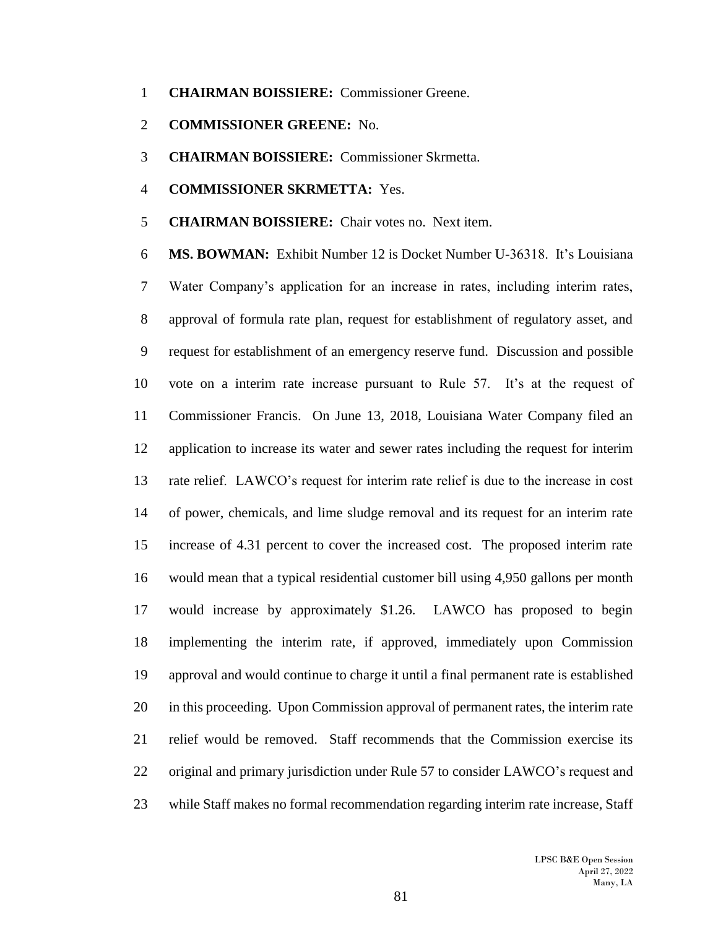- **CHAIRMAN BOISSIERE:** Commissioner Greene.
- **COMMISSIONER GREENE:** No.
- **CHAIRMAN BOISSIERE:** Commissioner Skrmetta.
- **COMMISSIONER SKRMETTA:** Yes.
- **CHAIRMAN BOISSIERE:** Chair votes no. Next item.

 **MS. BOWMAN:** Exhibit Number 12 is Docket Number U-36318. It's Louisiana Water Company's application for an increase in rates, including interim rates, approval of formula rate plan, request for establishment of regulatory asset, and request for establishment of an emergency reserve fund. Discussion and possible vote on a interim rate increase pursuant to Rule 57. It's at the request of Commissioner Francis. On June 13, 2018, Louisiana Water Company filed an application to increase its water and sewer rates including the request for interim rate relief. LAWCO's request for interim rate relief is due to the increase in cost of power, chemicals, and lime sludge removal and its request for an interim rate increase of 4.31 percent to cover the increased cost. The proposed interim rate would mean that a typical residential customer bill using 4,950 gallons per month would increase by approximately \$1.26. LAWCO has proposed to begin implementing the interim rate, if approved, immediately upon Commission approval and would continue to charge it until a final permanent rate is established in this proceeding. Upon Commission approval of permanent rates, the interim rate relief would be removed. Staff recommends that the Commission exercise its original and primary jurisdiction under Rule 57 to consider LAWCO's request and while Staff makes no formal recommendation regarding interim rate increase, Staff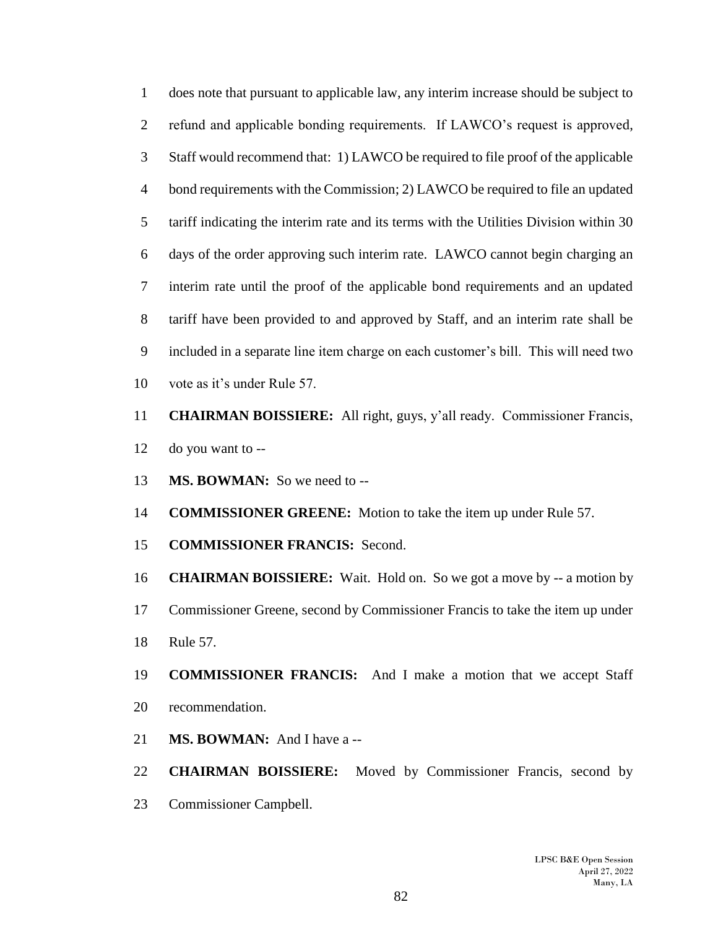does note that pursuant to applicable law, any interim increase should be subject to refund and applicable bonding requirements. If LAWCO's request is approved, Staff would recommend that: 1) LAWCO be required to file proof of the applicable bond requirements with the Commission; 2) LAWCO be required to file an updated tariff indicating the interim rate and its terms with the Utilities Division within 30 days of the order approving such interim rate. LAWCO cannot begin charging an interim rate until the proof of the applicable bond requirements and an updated tariff have been provided to and approved by Staff, and an interim rate shall be included in a separate line item charge on each customer's bill. This will need two vote as it's under Rule 57.

 **CHAIRMAN BOISSIERE:** All right, guys, y'all ready. Commissioner Francis, do you want to --

- **MS. BOWMAN:** So we need to --
- **COMMISSIONER GREENE:** Motion to take the item up under Rule 57.
- **COMMISSIONER FRANCIS:** Second.

 **CHAIRMAN BOISSIERE:** Wait. Hold on. So we got a move by -- a motion by Commissioner Greene, second by Commissioner Francis to take the item up under Rule 57.

- **COMMISSIONER FRANCIS:** And I make a motion that we accept Staff recommendation.
- **MS. BOWMAN:** And I have a --

 **CHAIRMAN BOISSIERE:** Moved by Commissioner Francis, second by Commissioner Campbell.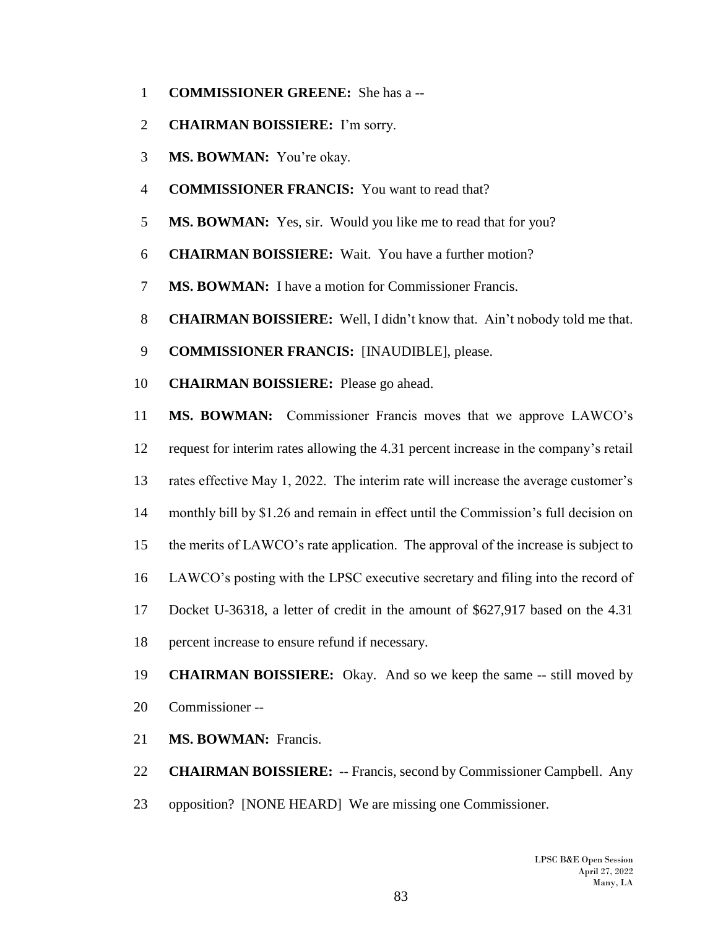- **COMMISSIONER GREENE:** She has a --
- **CHAIRMAN BOISSIERE:** I'm sorry.
- **MS. BOWMAN:** You're okay.
- **COMMISSIONER FRANCIS:** You want to read that?
- **MS. BOWMAN:** Yes, sir. Would you like me to read that for you?
- **CHAIRMAN BOISSIERE:** Wait. You have a further motion?
- **MS. BOWMAN:** I have a motion for Commissioner Francis.
- **CHAIRMAN BOISSIERE:** Well, I didn't know that. Ain't nobody told me that.
- **COMMISSIONER FRANCIS:** [INAUDIBLE], please.
- **CHAIRMAN BOISSIERE:** Please go ahead.

 **MS. BOWMAN:** Commissioner Francis moves that we approve LAWCO's request for interim rates allowing the 4.31 percent increase in the company's retail rates effective May 1, 2022. The interim rate will increase the average customer's monthly bill by \$1.26 and remain in effect until the Commission's full decision on the merits of LAWCO's rate application. The approval of the increase is subject to LAWCO's posting with the LPSC executive secretary and filing into the record of Docket U-36318, a letter of credit in the amount of \$627,917 based on the 4.31 percent increase to ensure refund if necessary.

- **CHAIRMAN BOISSIERE:** Okay. And so we keep the same -- still moved by Commissioner --
- **MS. BOWMAN:** Francis.

 **CHAIRMAN BOISSIERE:** -- Francis, second by Commissioner Campbell. Any opposition? [NONE HEARD] We are missing one Commissioner.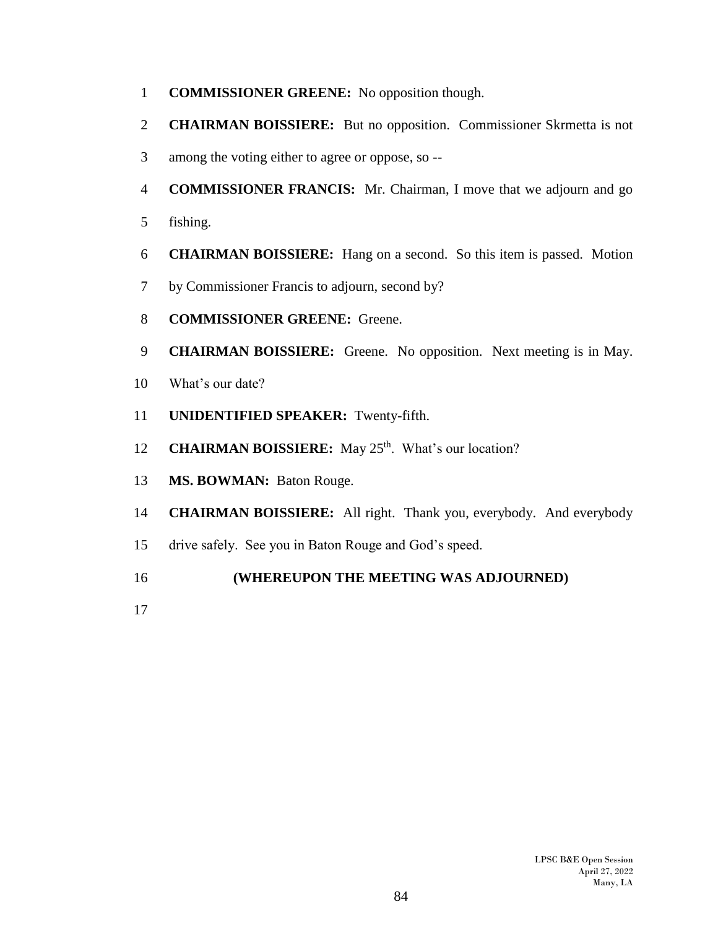- **COMMISSIONER GREENE:** No opposition though.
- **CHAIRMAN BOISSIERE:** But no opposition. Commissioner Skrmetta is not
- among the voting either to agree or oppose, so --
- **COMMISSIONER FRANCIS:** Mr. Chairman, I move that we adjourn and go
- fishing.
- **CHAIRMAN BOISSIERE:** Hang on a second. So this item is passed. Motion
- by Commissioner Francis to adjourn, second by?
- **COMMISSIONER GREENE:** Greene.
- **CHAIRMAN BOISSIERE:** Greene. No opposition. Next meeting is in May.
- What's our date?
- **UNIDENTIFIED SPEAKER:** Twenty-fifth.
- 12 **CHAIRMAN BOISSIERE:** May 25<sup>th</sup>. What's our location?
- **MS. BOWMAN:** Baton Rouge.
- **CHAIRMAN BOISSIERE:** All right. Thank you, everybody. And everybody
- drive safely. See you in Baton Rouge and God's speed.

## **(WHEREUPON THE MEETING WAS ADJOURNED)**